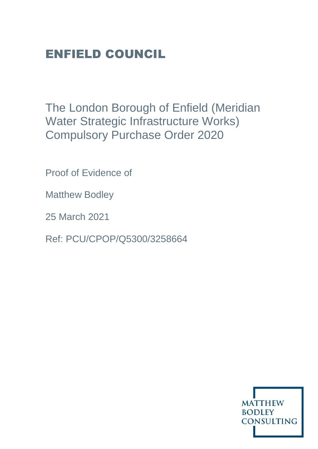# ENFIELD COUNCIL

The London Borough of Enfield (Meridian Water Strategic Infrastructure Works) Compulsory Purchase Order 2020

Proof of Evidence of

Matthew Bodley

25 March 2021

Ref: PCU/CPOP/Q5300/3258664

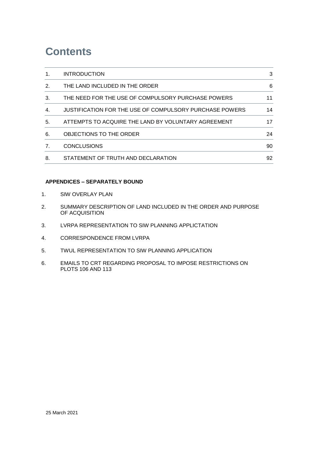## **Contents**

| 1. | <b>INTRODUCTION</b>                                     | 3  |
|----|---------------------------------------------------------|----|
| 2. | THE LAND INCLUDED IN THE ORDER                          | 6  |
| 3. | THE NEED FOR THE USE OF COMPULSORY PURCHASE POWERS      | 11 |
| 4. | JUSTIFICATION FOR THE USE OF COMPULSORY PURCHASE POWERS | 14 |
| 5. | ATTEMPTS TO ACQUIRE THE LAND BY VOLUNTARY AGREEMENT     | 17 |
| 6. | OBJECTIONS TO THE ORDER                                 | 24 |
| 7. | <b>CONCLUSIONS</b>                                      | 90 |
| 8. | STATEMENT OF TRUTH AND DECLARATION                      | 92 |

### **APPENDICES – SEPARATELY BOUND**

- 1. SIW OVERLAY PLAN
- 2. SUMMARY DESCRIPTION OF LAND INCLUDED IN THE ORDER AND PURPOSE OF ACQUISITION
- 3. LVRPA REPRESENTATION TO SIW PLANNING APPLICTATION
- 4. CORRESPONDENCE FROM LVRPA
- 5. TWUL REPRESENTATION TO SIW PLANNING APPLICATION
- 6. EMAILS TO CRT REGARDING PROPOSAL TO IMPOSE RESTRICTIONS ON PLOTS 106 AND 113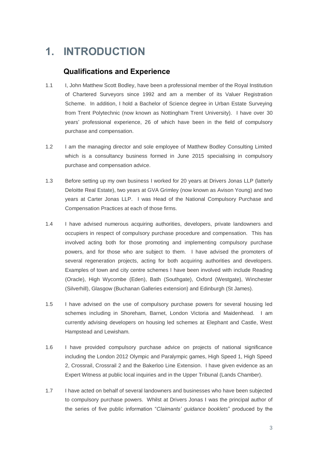## <span id="page-2-0"></span>**1. INTRODUCTION**

## **Qualifications and Experience**

- 1.1 I. John Matthew Scott Bodley, have been a professional member of the Royal Institution of Chartered Surveyors since 1992 and am a member of its Valuer Registration Scheme. In addition, I hold a Bachelor of Science degree in Urban Estate Surveying from Trent Polytechnic (now known as Nottingham Trent University). I have over 30 years' professional experience, 26 of which have been in the field of compulsory purchase and compensation.
- 1.2 I am the managing director and sole employee of Matthew Bodley Consulting Limited which is a consultancy business formed in June 2015 specialising in compulsory purchase and compensation advice.
- 1.3 Before setting up my own business I worked for 20 years at Drivers Jonas LLP (latterly Deloitte Real Estate), two years at GVA Grimley (now known as Avison Young) and two years at Carter Jonas LLP. I was Head of the National Compulsory Purchase and Compensation Practices at each of those firms.
- 1.4 I have advised numerous acquiring authorities, developers, private landowners and occupiers in respect of compulsory purchase procedure and compensation. This has involved acting both for those promoting and implementing compulsory purchase powers, and for those who are subject to them. I have advised the promoters of several regeneration projects, acting for both acquiring authorities and developers. Examples of town and city centre schemes I have been involved with include Reading (Oracle), High Wycombe (Eden), Bath (Southgate), Oxford (Westgate), Winchester (Silverhill), Glasgow (Buchanan Galleries extension) and Edinburgh (St James).
- 1.5 I have advised on the use of compulsory purchase powers for several housing led schemes including in Shoreham, Barnet, London Victoria and Maidenhead. I am currently advising developers on housing led schemes at Elephant and Castle, West Hampstead and Lewisham.
- 1.6 I have provided compulsory purchase advice on projects of national significance including the London 2012 Olympic and Paralympic games, High Speed 1, High Speed 2, Crossrail, Crossrail 2 and the Bakerloo Line Extension. I have given evidence as an Expert Witness at public local inquiries and in the Upper Tribunal (Lands Chamber).
- 1.7 I have acted on behalf of several landowners and businesses who have been subjected to compulsory purchase powers. Whilst at Drivers Jonas I was the principal author of the series of five public information "*Claimants' guidance booklets*" produced by the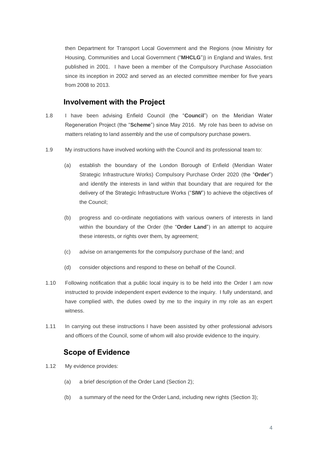then Department for Transport Local Government and the Regions (now Ministry for Housing, Communities and Local Government ("**MHCLG**")) in England and Wales, first published in 2001. I have been a member of the Compulsory Purchase Association since its inception in 2002 and served as an elected committee member for five years from 2008 to 2013.

### **Involvement with the Project**

- 1.8 I have been advising Enfield Council (the "**Council**") on the Meridian Water Regeneration Project (the "**Scheme**") since May 2016. My role has been to advise on matters relating to land assembly and the use of compulsory purchase powers.
- 1.9 My instructions have involved working with the Council and its professional team to:
	- (a) establish the boundary of the London Borough of Enfield (Meridian Water Strategic Infrastructure Works) Compulsory Purchase Order 2020 (the "**Order**") and identify the interests in land within that boundary that are required for the delivery of the Strategic Infrastructure Works ("**SIW**") to achieve the objectives of the Council;
	- (b) progress and co-ordinate negotiations with various owners of interests in land within the boundary of the Order (the "**Order Land**") in an attempt to acquire these interests, or rights over them, by agreement;
	- (c) advise on arrangements for the compulsory purchase of the land; and
	- (d) consider objections and respond to these on behalf of the Council.
- 1.10 Following notification that a public local inquiry is to be held into the Order I am now instructed to provide independent expert evidence to the inquiry. I fully understand, and have complied with, the duties owed by me to the inquiry in my role as an expert witness.
- 1.11 In carrying out these instructions I have been assisted by other professional advisors and officers of the Council, some of whom will also provide evidence to the inquiry.

### **Scope of Evidence**

- 1.12 My evidence provides:
	- (a) a brief description of the Order Land (Section 2);
	- (b) a summary of the need for the Order Land, including new rights (Section 3);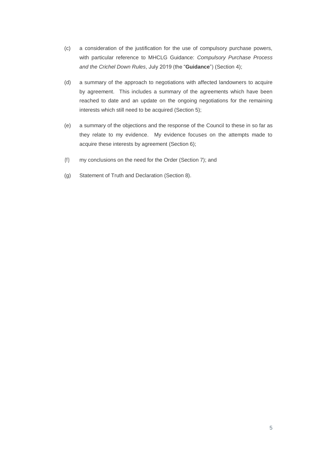- (c) a consideration of the justification for the use of compulsory purchase powers, with particular reference to MHCLG Guidance: *Compulsory Purchase Process and the Crichel Down Rules*, July 2019 (the "**Guidance**") (Section 4);
- (d) a summary of the approach to negotiations with affected landowners to acquire by agreement. This includes a summary of the agreements which have been reached to date and an update on the ongoing negotiations for the remaining interests which still need to be acquired (Section 5);
- (e) a summary of the objections and the response of the Council to these in so far as they relate to my evidence. My evidence focuses on the attempts made to acquire these interests by agreement (Section 6);
- (f) my conclusions on the need for the Order (Section 7); and
- (g) Statement of Truth and Declaration (Section 8).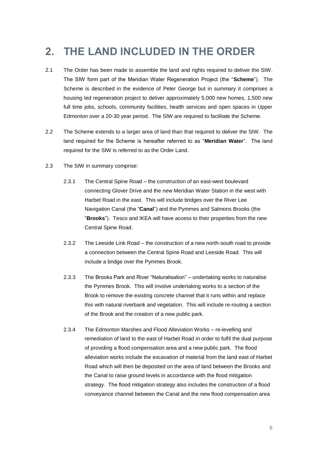## <span id="page-5-0"></span>**2. THE LAND INCLUDED IN THE ORDER**

- 2.1 The Order has been made to assemble the land and rights required to deliver the SIW. The SIW form part of the Meridian Water Regeneration Project (the "**Scheme**"). The Scheme is described in the evidence of Peter George but in summary it comprises a housing led regeneration project to deliver approximately 5,000 new homes, 1,500 new full time jobs, schools, community facilities, health services and open spaces in Upper Edmonton over a 20-30 year period. The SIW are required to facilitate the Scheme.
- 2.2 The Scheme extends to a larger area of land than that required to deliver the SIW. The land required for the Scheme is hereafter referred to as "**Meridian Water**". The land required for the SIW is referred to as the Order Land.
- 2.3 The SIW in summary comprise:
	- 2.3.1 The Central Spine Road the construction of an east-west boulevard connecting Glover Drive and the new Meridian Water Station in the west with Harbet Road in the east. This will include bridges over the River Lee Navigation Canal (the "**Canal**") and the Pymmes and Salmons Brooks (the "**Brooks**"). Tesco and IKEA will have access to their properties from the new Central Spine Road.
	- 2.3.2 The Leeside Link Road the construction of a new north-south road to provide a connection between the Central Spine Road and Leeside Road. This will include a bridge over the Pymmes Brook.
	- 2.3.3 The Brooks Park and River "Naturalisation" undertaking works to naturalise the Pymmes Brook. This will involve undertaking works to a section of the Brook to remove the existing concrete channel that it runs within and replace this with natural riverbank and vegetation. This will include re-routing a section of the Brook and the creation of a new public park.
	- 2.3.4 The Edmonton Marshes and Flood Alleviation Works re-levelling and remediation of land to the east of Harbet Road in order to fulfil the dual purpose of providing a flood compensation area and a new public park. The flood alleviation works include the excavation of material from the land east of Harbet Road which will then be deposited on the area of land between the Brooks and the Canal to raise ground levels in accordance with the flood mitigation strategy. The flood mitigation strategy also includes the construction of a flood conveyance channel between the Canal and the new flood compensation area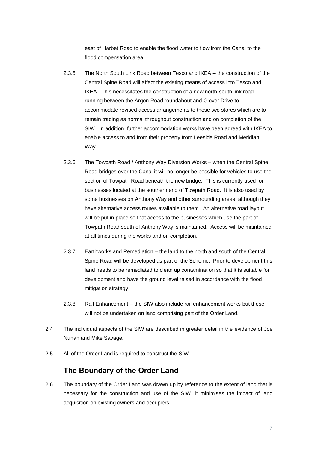east of Harbet Road to enable the flood water to flow from the Canal to the flood compensation area.

- 2.3.5 The North South Link Road between Tesco and IKEA the construction of the Central Spine Road will affect the existing means of access into Tesco and IKEA. This necessitates the construction of a new north-south link road running between the Argon Road roundabout and Glover Drive to accommodate revised access arrangements to these two stores which are to remain trading as normal throughout construction and on completion of the SIW. In addition, further accommodation works have been agreed with IKEA to enable access to and from their property from Leeside Road and Meridian Way.
- 2.3.6 The Towpath Road / Anthony Way Diversion Works when the Central Spine Road bridges over the Canal it will no longer be possible for vehicles to use the section of Towpath Road beneath the new bridge. This is currently used for businesses located at the southern end of Towpath Road. It is also used by some businesses on Anthony Way and other surrounding areas, although they have alternative access routes available to them. An alternative road layout will be put in place so that access to the businesses which use the part of Towpath Road south of Anthony Way is maintained. Access will be maintained at all times during the works and on completion.
- 2.3.7 Earthworks and Remediation the land to the north and south of the Central Spine Road will be developed as part of the Scheme. Prior to development this land needs to be remediated to clean up contamination so that it is suitable for development and have the ground level raised in accordance with the flood mitigation strategy.
- 2.3.8 Rail Enhancement the SIW also include rail enhancement works but these will not be undertaken on land comprising part of the Order Land.
- 2.4 The individual aspects of the SIW are described in greater detail in the evidence of Joe Nunan and Mike Savage.
- 2.5 All of the Order Land is required to construct the SIW.

### **The Boundary of the Order Land**

2.6 The boundary of the Order Land was drawn up by reference to the extent of land that is necessary for the construction and use of the SIW; it minimises the impact of land acquisition on existing owners and occupiers.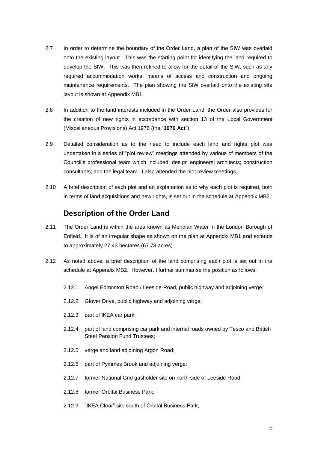- 2.7 In order to determine the boundary of the Order Land, a plan of the SIW was overlaid onto the existing layout. This was the starting point for identifying the land required to develop the SIW. This was then refined to allow for the detail of the SIW, such as any required accommodation works, means of access and construction and ongoing maintenance requirements. The plan showing the SIW overlaid onto the existing site layout is shown at Appendix MB1.
- 2.8 In addition to the land interests included in the Order Land, the Order also provides for the creation of new rights in accordance with section 13 of the Local Government (Miscellaneous Provisions) Act 1976 (the "**1976 Act**").
- 2.9 Detailed consideration as to the need to include each land and rights plot was undertaken in a series of "plot review" meetings attended by various of members of the Council's professional team which included: design engineers; architects; construction consultants; and the legal team. I also attended the plot review meetings.
- 2.10 A brief description of each plot and an explanation as to why each plot is required, both in terms of land acquisitions and new rights, is set out in the schedule at Appendix MB2.

## **Description of the Order Land**

- 2.11 The Order Land is within the area known as Meridian Water in the London Borough of Enfield. It is of an irregular shape as shown on the plan at Appendix MB1 and extends to approximately 27.43 hectares (67.78 acres).
- 2.12 As noted above, a brief description of the land comprising each plot is set out in the schedule at Appendix MB2. However, I further summarise the position as follows:
	- 2.12.1 Angel Edmonton Road / Leeside Road, public highway and adjoining verge;
	- 2.12.2 Glover Drive, public highway and adjoining verge;
	- 2.12.3 part of IKEA car park;
	- 2.12.4 part of land comprising car park and internal roads owned by Tesco and British Steel Pension Fund Trustees;
	- 2.12.5 verge and land adjoining Argon Road;
	- 2.12.6 part of Pymmes Brook and adjoining verge;
	- 2.12.7 former National Grid gasholder site on north side of Leeside Road;
	- 2.12.8 former Orbital Business Park;
	- 2.12.9 "IKEA Clear" site south of Orbital Business Park;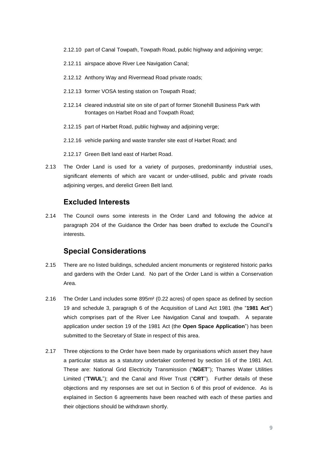- 2.12.10 part of Canal Towpath, Towpath Road, public highway and adjoining verge;
- 2.12.11 airspace above River Lee Navigation Canal;
- 2.12.12 Anthony Way and Rivermead Road private roads;
- 2.12.13 former VOSA testing station on Towpath Road;
- 2.12.14 cleared industrial site on site of part of former Stonehill Business Park with frontages on Harbet Road and Towpath Road;
- 2.12.15 part of Harbet Road, public highway and adjoining verge;
- 2.12.16 vehicle parking and waste transfer site east of Harbet Road; and
- 2.12.17 Green Belt land east of Harbet Road.
- 2.13 The Order Land is used for a variety of purposes, predominantly industrial uses, significant elements of which are vacant or under-utilised, public and private roads adjoining verges, and derelict Green Belt land.

### **Excluded Interests**

2.14 The Council owns some interests in the Order Land and following the advice at paragraph 204 of the Guidance the Order has been drafted to exclude the Council's interests.

### **Special Considerations**

- 2.15 There are no listed buildings, scheduled ancient monuments or registered historic parks and gardens with the Order Land. No part of the Order Land is within a Conservation Area.
- 2.16 The Order Land includes some 895m² (0.22 acres) of open space as defined by section 19 and schedule 3, paragraph 6 of the Acquisition of Land Act 1981 (the "**1981 Act**") which comprises part of the River Lee Navigation Canal and towpath. A separate application under section 19 of the 1981 Act (the **Open Space Application**") has been submitted to the Secretary of State in respect of this area.
- 2.17 Three objections to the Order have been made by organisations which assert they have a particular status as a statutory undertaker conferred by section 16 of the 1981 Act. These are: National Grid Electricity Transmission ("**NGET**"); Thames Water Utilities Limited ("**TWUL**"); and the Canal and River Trust ("**CRT**"). Further details of these objections and my responses are set out in Section [6](#page-23-0) of this proof of evidence. As is explained in Section [6](#page-23-0) agreements have been reached with each of these parties and their objections should be withdrawn shortly.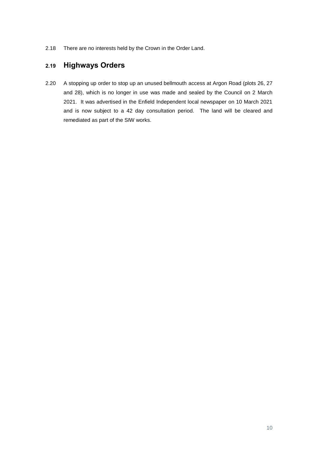2.18 There are no interests held by the Crown in the Order Land.

## **2.19 Highways Orders**

2.20 A stopping up order to stop up an unused bellmouth access at Argon Road (plots 26, 27 and 28), which is no longer in use was made and sealed by the Council on 2 March 2021. It was advertised in the Enfield Independent local newspaper on 10 March 2021 and is now subject to a 42 day consultation period. The land will be cleared and remediated as part of the SIW works.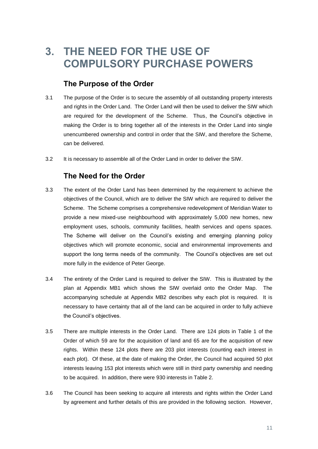## <span id="page-10-0"></span>**3. THE NEED FOR THE USE OF COMPULSORY PURCHASE POWERS**

## **The Purpose of the Order**

- 3.1 The purpose of the Order is to secure the assembly of all outstanding property interests and rights in the Order Land. The Order Land will then be used to deliver the SIW which are required for the development of the Scheme. Thus, the Council's objective in making the Order is to bring together all of the interests in the Order Land into single unencumbered ownership and control in order that the SIW, and therefore the Scheme, can be delivered.
- 3.2 It is necessary to assemble all of the Order Land in order to deliver the SIW.

## **The Need for the Order**

- 3.3 The extent of the Order Land has been determined by the requirement to achieve the objectives of the Council, which are to deliver the SIW which are required to deliver the Scheme. The Scheme comprises a comprehensive redevelopment of Meridian Water to provide a new mixed-use neighbourhood with approximately 5,000 new homes, new employment uses, schools, community facilities, health services and opens spaces. The Scheme will deliver on the Council's existing and emerging planning policy objectives which will promote economic, social and environmental improvements and support the long terms needs of the community. The Council's objectives are set out more fully in the evidence of Peter George.
- 3.4 The entirety of the Order Land is required to deliver the SIW. This is illustrated by the plan at Appendix MB1 which shows the SIW overlaid onto the Order Map. The accompanying schedule at Appendix MB2 describes why each plot is required. It is necessary to have certainty that all of the land can be acquired in order to fully achieve the Council's objectives.
- 3.5 There are multiple interests in the Order Land. There are 124 plots in Table 1 of the Order of which 59 are for the acquisition of land and 65 are for the acquisition of new rights. Within these 124 plots there are 203 plot interests (counting each interest in each plot). Of these, at the date of making the Order, the Council had acquired 50 plot interests leaving 153 plot interests which were still in third party ownership and needing to be acquired. In addition, there were 930 interests in Table 2.
- 3.6 The Council has been seeking to acquire all interests and rights within the Order Land by agreement and further details of this are provided in the following section. However,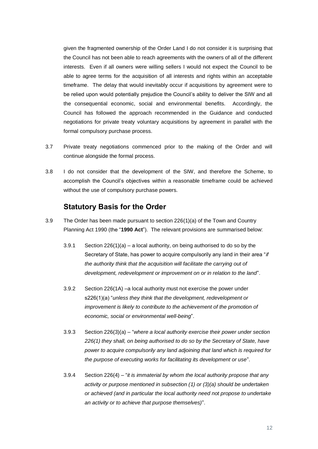given the fragmented ownership of the Order Land I do not consider it is surprising that the Council has not been able to reach agreements with the owners of all of the different interests. Even if all owners were willing sellers I would not expect the Council to be able to agree terms for the acquisition of all interests and rights within an acceptable timeframe. The delay that would inevitably occur if acquisitions by agreement were to be relied upon would potentially prejudice the Council's ability to deliver the SIW and all the consequential economic, social and environmental benefits. Accordingly, the Council has followed the approach recommended in the Guidance and conducted negotiations for private treaty voluntary acquisitions by agreement in parallel with the formal compulsory purchase process.

- 3.7 Private treaty negotiations commenced prior to the making of the Order and will continue alongside the formal process.
- 3.8 I do not consider that the development of the SIW, and therefore the Scheme, to accomplish the Council's objectives within a reasonable timeframe could be achieved without the use of compulsory purchase powers.

### **Statutory Basis for the Order**

- 3.9 The Order has been made pursuant to section 226(1)(a) of the Town and Country Planning Act 1990 (the "**1990 Act**"). The relevant provisions are summarised below:
	- 3.9.1 Section  $226(1)(a) a$  local authority, on being authorised to do so by the Secretary of State, has power to acquire compulsorily any land in their area "*if the authority think that the acquisition will facilitate the carrying out of development, redevelopment or improvement on or in relation to the land*".
	- 3.9.2 Section 226(1A) –a local authority must not exercise the power under s226(1)(a) "*unless they think that the development, redevelopment or improvement is likely to contribute to the achievement of the promotion of economic, social or environmental well-being*".
	- 3.9.3 Section 226(3)(a) "*where a local authority exercise their power under section 226(1) they shall, on being authorised to do so by the Secretary of State, have power to acquire compulsorily any land adjoining that land which is required for the purpose of executing works for facilitating its development or use*".
	- 3.9.4 Section 226(4) "*it is immaterial by whom the local authority propose that any activity or purpose mentioned in subsection (1) or (3)(a) should be undertaken or achieved (and in particular the local authority need not propose to undertake an activity or to achieve that purpose themselves)*".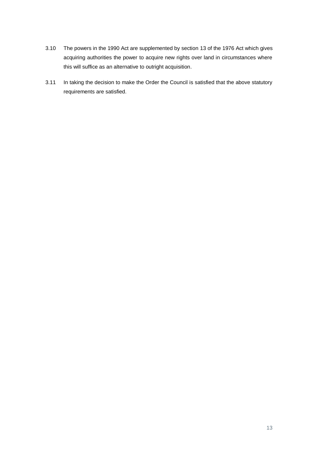- 3.10 The powers in the 1990 Act are supplemented by section 13 of the 1976 Act which gives acquiring authorities the power to acquire new rights over land in circumstances where this will suffice as an alternative to outright acquisition.
- 3.11 In taking the decision to make the Order the Council is satisfied that the above statutory requirements are satisfied.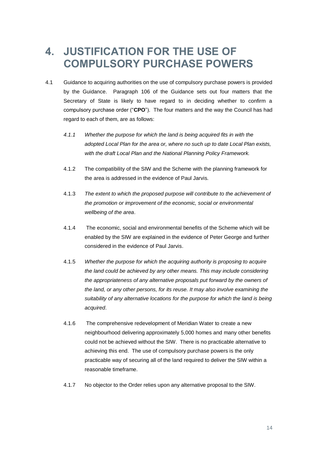## <span id="page-13-0"></span>**4. JUSTIFICATION FOR THE USE OF COMPULSORY PURCHASE POWERS**

- 4.1 Guidance to acquiring authorities on the use of compulsory purchase powers is provided by the Guidance. Paragraph 106 of the Guidance sets out four matters that the Secretary of State is likely to have regard to in deciding whether to confirm a compulsory purchase order ("**CPO**"). The four matters and the way the Council has had regard to each of them, are as follows:
	- *4.1.1 Whether the purpose for which the land is being acquired fits in with the adopted Local Plan for the area or, where no such up to date Local Plan exists, with the draft Local Plan and the National Planning Policy Framework.*
	- 4.1.2 The compatibility of the SIW and the Scheme with the planning framework for the area is addressed in the evidence of Paul Jarvis.
	- 4.1.3 *The extent to which the proposed purpose will contribute to the achievement of the promotion or improvement of the economic, social or environmental wellbeing of the area*.
	- 4.1.4 The economic, social and environmental benefits of the Scheme which will be enabled by the SIW are explained in the evidence of Peter George and further considered in the evidence of Paul Jarvis.
	- 4.1.5 *Whether the purpose for which the acquiring authority is proposing to acquire the land could be achieved by any other means. This may include considering the appropriateness of any alternative proposals put forward by the owners of the land, or any other persons, for its reuse. It may also involve examining the suitability of any alternative locations for the purpose for which the land is being acquired*.
	- 4.1.6 The comprehensive redevelopment of Meridian Water to create a new neighbourhood delivering approximately 5,000 homes and many other benefits could not be achieved without the SIW. There is no practicable alternative to achieving this end. The use of compulsory purchase powers is the only practicable way of securing all of the land required to deliver the SIW within a reasonable timeframe.
	- 4.1.7 No objector to the Order relies upon any alternative proposal to the SIW.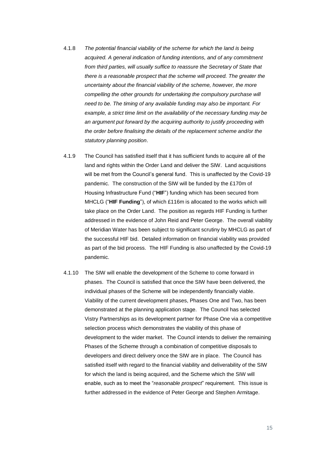- 4.1.8 *The potential financial viability of the scheme for which the land is being acquired. A general indication of funding intentions, and of any commitment from third parties, will usually suffice to reassure the Secretary of State that there is a reasonable prospect that the scheme will proceed. The greater the uncertainty about the financial viability of the scheme, however, the more compelling the other grounds for undertaking the compulsory purchase will need to be. The timing of any available funding may also be important. For example, a strict time limit on the availability of the necessary funding may be an argument put forward by the acquiring authority to justify proceeding with the order before finalising the details of the replacement scheme and/or the statutory planning position*.
- <span id="page-14-0"></span>4.1.9 The Council has satisfied itself that it has sufficient funds to acquire all of the land and rights within the Order Land and deliver the SIW. Land acquisitions will be met from the Council's general fund. This is unaffected by the Covid-19 pandemic. The construction of the SIW will be funded by the £170m of Housing Infrastructure Fund ("**HIF**") funding which has been secured from MHCLG ("**HIF Funding**"), of which £116m is allocated to the works which will take place on the Order Land. The position as regards HIF Funding is further addressed in the evidence of John Reid and Peter George. The overall viability of Meridian Water has been subject to significant scrutiny by MHCLG as part of the successful HIF bid. Detailed information on financial viability was provided as part of the bid process. The HIF Funding is also unaffected by the Covid-19 pandemic.
- <span id="page-14-1"></span>4.1.10 The SIW will enable the development of the Scheme to come forward in phases. The Council is satisfied that once the SIW have been delivered, the individual phases of the Scheme will be independently financially viable. Viability of the current development phases, Phases One and Two, has been demonstrated at the planning application stage. The Council has selected Vistry Partnerships as its development partner for Phase One via a competitive selection process which demonstrates the viability of this phase of development to the wider market. The Council intends to deliver the remaining Phases of the Scheme through a combination of competitive disposals to developers and direct delivery once the SIW are in place. The Council has satisfied itself with regard to the financial viability and deliverability of the SIW for which the land is being acquired, and the Scheme which the SIW will enable, such as to meet the "*reasonable prospect*" requirement. This issue is further addressed in the evidence of Peter George and Stephen Armitage.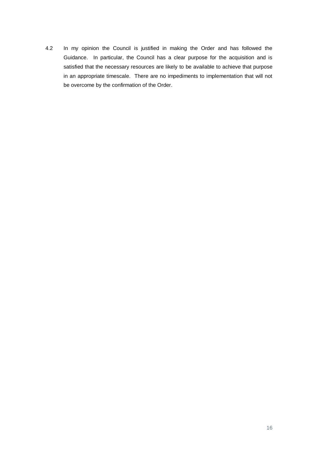4.2 In my opinion the Council is justified in making the Order and has followed the Guidance. In particular, the Council has a clear purpose for the acquisition and is satisfied that the necessary resources are likely to be available to achieve that purpose in an appropriate timescale. There are no impediments to implementation that will not be overcome by the confirmation of the Order.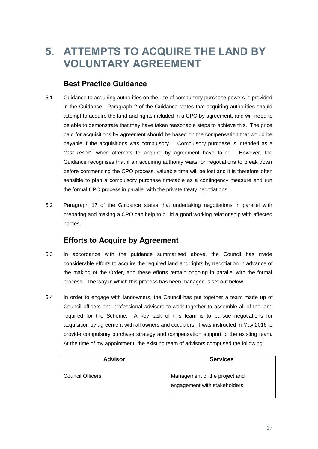## <span id="page-16-0"></span>**5. ATTEMPTS TO ACQUIRE THE LAND BY VOLUNTARY AGREEMENT**

## **Best Practice Guidance**

- 5.1 Guidance to acquiring authorities on the use of compulsory purchase powers is provided in the Guidance. Paragraph 2 of the Guidance states that acquiring authorities should attempt to acquire the land and rights included in a CPO by agreement, and will need to be able to demonstrate that they have taken reasonable steps to achieve this. The price paid for acquisitions by agreement should be based on the compensation that would be payable if the acquisitions was compulsory. Compulsory purchase is intended as a "*last resort*" when attempts to acquire by agreement have failed. However, the Guidance recognises that if an acquiring authority waits for negotiations to break down before commencing the CPO process, valuable time will be lost and it is therefore often sensible to plan a compulsory purchase timetable as a contingency measure and run the formal CPO process in parallel with the private treaty negotiations.
- 5.2 Paragraph 17 of the Guidance states that undertaking negotiations in parallel with preparing and making a CPO can help to build a good working relationship with affected parties.

## **Efforts to Acquire by Agreement**

- 5.3 In accordance with the guidance summarised above, the Council has made considerable efforts to acquire the required land and rights by negotiation in advance of the making of the Order, and these efforts remain ongoing in parallel with the formal process. The way in which this process has been managed is set out below.
- 5.4 In order to engage with landowners, the Council has put together a team made up of Council officers and professional advisors to work together to assemble all of the land required for the Scheme. A key task of this team is to pursue negotiations for acquisition by agreement with all owners and occupiers. I was instructed in May 2016 to provide compulsory purchase strategy and compensation support to the existing team. At the time of my appointment, the existing team of advisors comprised the following:

| <b>Advisor</b>          | <b>Services</b>                                               |
|-------------------------|---------------------------------------------------------------|
| <b>Council Officers</b> | Management of the project and<br>engagement with stakeholders |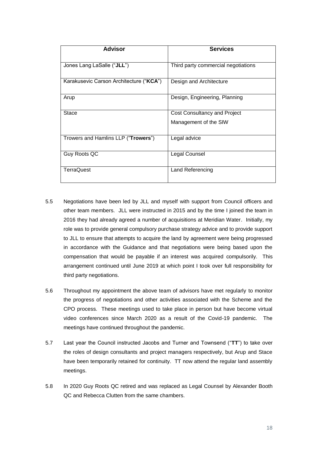| <b>Advisor</b>                          | <b>Services</b>                     |
|-----------------------------------------|-------------------------------------|
| Jones Lang LaSalle ("JLL")              | Third party commercial negotiations |
| Karakusevic Carson Architecture ("KCA") | Design and Architecture             |
| Arup                                    | Design, Engineering, Planning       |
| Stace                                   | Cost Consultancy and Project        |
|                                         | Management of the SIW               |
| Trowers and Hamlins LLP ("Trowers")     | Legal advice                        |
| Guy Roots QC                            | Legal Counsel                       |
| TerraQuest                              | Land Referencing                    |

- 5.5 Negotiations have been led by JLL and myself with support from Council officers and other team members. JLL were instructed in 2015 and by the time I joined the team in 2016 they had already agreed a number of acquisitions at Meridian Water. Initially, my role was to provide general compulsory purchase strategy advice and to provide support to JLL to ensure that attempts to acquire the land by agreement were being progressed in accordance with the Guidance and that negotiations were being based upon the compensation that would be payable if an interest was acquired compulsorily. This arrangement continued until June 2019 at which point I took over full responsibility for third party negotiations.
- 5.6 Throughout my appointment the above team of advisors have met regularly to monitor the progress of negotiations and other activities associated with the Scheme and the CPO process. These meetings used to take place in person but have become virtual video conferences since March 2020 as a result of the Covid-19 pandemic. The meetings have continued throughout the pandemic.
- 5.7 Last year the Council instructed Jacobs and Turner and Townsend ("**TT**") to take over the roles of design consultants and project managers respectively, but Arup and Stace have been temporarily retained for continuity. TT now attend the regular land assembly meetings.
- 5.8 In 2020 Guy Roots QC retired and was replaced as Legal Counsel by Alexander Booth QC and Rebecca Clutten from the same chambers.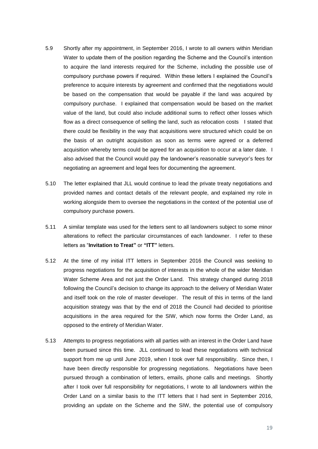- 5.9 Shortly after my appointment, in September 2016, I wrote to all owners within Meridian Water to update them of the position regarding the Scheme and the Council's intention to acquire the land interests required for the Scheme, including the possible use of compulsory purchase powers if required. Within these letters I explained the Council's preference to acquire interests by agreement and confirmed that the negotiations would be based on the compensation that would be payable if the land was acquired by compulsory purchase. I explained that compensation would be based on the market value of the land, but could also include additional sums to reflect other losses which flow as a direct consequence of selling the land, such as relocation costs I stated that there could be flexibility in the way that acquisitions were structured which could be on the basis of an outright acquisition as soon as terms were agreed or a deferred acquisition whereby terms could be agreed for an acquisition to occur at a later date. I also advised that the Council would pay the landowner's reasonable surveyor's fees for negotiating an agreement and legal fees for documenting the agreement.
- 5.10 The letter explained that JLL would continue to lead the private treaty negotiations and provided names and contact details of the relevant people, and explained my role in working alongside them to oversee the negotiations in the context of the potential use of compulsory purchase powers.
- 5.11 A similar template was used for the letters sent to all landowners subject to some minor alterations to reflect the particular circumstances of each landowner. I refer to these letters as "**Invitation to Treat"** or **"ITT"** letters.
- 5.12 At the time of my initial ITT letters in September 2016 the Council was seeking to progress negotiations for the acquisition of interests in the whole of the wider Meridian Water Scheme Area and not just the Order Land. This strategy changed during 2018 following the Council's decision to change its approach to the delivery of Meridian Water and itself took on the role of master developer. The result of this in terms of the land acquisition strategy was that by the end of 2018 the Council had decided to prioritise acquisitions in the area required for the SIW, which now forms the Order Land, as opposed to the entirety of Meridian Water.
- 5.13 Attempts to progress negotiations with all parties with an interest in the Order Land have been pursued since this time. JLL continued to lead these negotiations with technical support from me up until June 2019, when I took over full responsibility. Since then, I have been directly responsible for progressing negotiations. Negotiations have been pursued through a combination of letters, emails, phone calls and meetings. Shortly after I took over full responsibility for negotiations, I wrote to all landowners within the Order Land on a similar basis to the ITT letters that I had sent in September 2016, providing an update on the Scheme and the SIW, the potential use of compulsory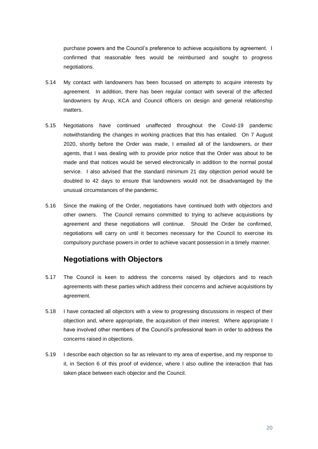purchase powers and the Council's preference to achieve acquisitions by agreement. I confirmed that reasonable fees would be reimbursed and sought to progress negotiations.

- 5.14 My contact with landowners has been focussed on attempts to acquire interests by agreement. In addition, there has been regular contact with several of the affected landowners by Arup, KCA and Council officers on design and general relationship matters.
- 5.15 Negotiations have continued unaffected throughout the Covid-19 pandemic notwithstanding the changes in working practices that this has entailed. On 7 August 2020, shortly before the Order was made, I emailed all of the landowners, or their agents, that I was dealing with to provide prior notice that the Order was about to be made and that notices would be served electronically in addition to the normal postal service. I also advised that the standard minimum 21 day objection period would be doubled to 42 days to ensure that landowners would not be disadvantaged by the unusual circumstances of the pandemic.
- 5.16 Since the making of the Order, negotiations have continued both with objectors and other owners. The Council remains committed to trying to achieve acquisitions by agreement and these negotiations will continue. Should the Order be confirmed, negotiations will carry on until it becomes necessary for the Council to exercise its compulsory purchase powers in order to achieve vacant possession in a timely manner.

### **Negotiations with Objectors**

- 5.17 The Council is keen to address the concerns raised by objectors and to reach agreements with these parties which address their concerns and achieve acquisitions by agreement.
- 5.18 I have contacted all objectors with a view to progressing discussions in respect of their objection and, where appropriate, the acquisition of their interest. Where appropriate I have involved other members of the Council's professional team in order to address the concerns raised in objections.
- 5.19 I describe each objection so far as relevant to my area of expertise, and my response to it, in Section [6](#page-23-0) of this proof of evidence, where I also outline the interaction that has taken place between each objector and the Council.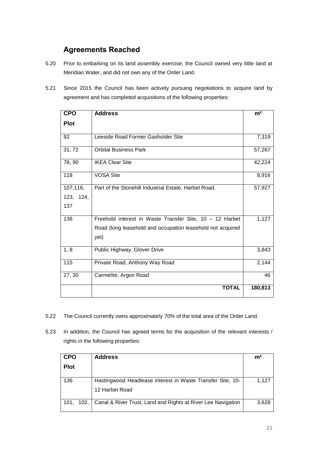## **Agreements Reached**

- 5.20 Prior to embarking on its land assembly exercise, the Council owned very little land at Meridian Water, and did not own any of the Order Land.
- 5.21 Since 2015 the Council has been actively pursuing negotiations to acquire land by agreement and has completed acquisitions of the following properties:

| <b>CPO</b>  | <b>Address</b>                                             | m <sup>2</sup> |
|-------------|------------------------------------------------------------|----------------|
| <b>Plot</b> |                                                            |                |
| 92          | Leeside Road Former Gasholder Site                         | 7,319          |
| 31,72       | <b>Orbital Business Park</b>                               | 57,267         |
| 78, 90      | <b>IKEA Clear Site</b>                                     | 42,224         |
| 118         | <b>VOSA Site</b>                                           | 8,916          |
| 107,116,    | Part of the Stonehill Industrial Estate, Harbet Road.      | 57,927         |
| 123, 124,   |                                                            |                |
| 137         |                                                            |                |
| 136         | Freehold interest in Waste Transfer Site, 10 - 12 Harbet   | 1,127          |
|             | Road (long leasehold and occupation leasehold not acquired |                |
|             | yet)                                                       |                |
| 1, 8        | Public Highway, Glover Drive                               | 3,843          |
| 115         | Private Road, Anthony Way Road                             | 2,144          |
| 27, 30      | Carmelite, Argon Road                                      | 46             |
|             | <b>TOTAL</b>                                               | 180,813        |

- 5.22 The Council currently owns approximately 70% of the total area of the Order Land.
- 5.23 In addition, the Council has agreed terms for the acquisition of the relevant interests / rights in the following properties:

| <b>CPO</b>   | <b>Address</b>                                                               | m <sup>2</sup> |
|--------------|------------------------------------------------------------------------------|----------------|
| <b>Plot</b>  |                                                                              |                |
| 136          | Hastingwood Headlease interest in Waste Transfer Site, 10-<br>12 Harbet Road | 1,127          |
| 102.<br>101. | Canal & River Trust, Land and Rights at River Lee Navigation                 | 3,628          |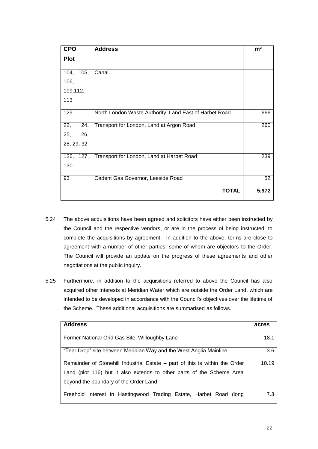| <b>CPO</b>  | <b>Address</b>                                         | m <sup>2</sup> |
|-------------|--------------------------------------------------------|----------------|
| <b>Plot</b> |                                                        |                |
| 104, 105,   | Canal                                                  |                |
| 106,        |                                                        |                |
| 109,112,    |                                                        |                |
| 113         |                                                        |                |
| 129         | North London Waste Authority, Land East of Harbet Road | 666            |
| 22,<br>24,  | Transport for London, Land at Argon Road               | 260            |
| 25,<br>26,  |                                                        |                |
| 28, 29, 32  |                                                        |                |
| 126, 127,   | Transport for London, Land at Harbet Road              | 239            |
| 130         |                                                        |                |
| 93          | Cadent Gas Governor, Leeside Road                      | 52             |
|             | <b>TOTAL</b>                                           | 5,972          |

- 5.24 The above acquisitions have been agreed and solicitors have either been instructed by the Council and the respective vendors, or are in the process of being instructed, to complete the acquisitions by agreement. In addition to the above, terms are close to agreement with a number of other parties, some of whom are objectors to the Order. The Council will provide an update on the progress of these agreements and other negotiations at the public inquiry.
- 5.25 Furthermore, in addition to the acquisitions referred to above the Council has also acquired other interests at Meridian Water which are outside the Order Land, which are intended to be developed in accordance with the Council's objectives over the lifetime of the Scheme. These additional acquisitions are summarised as follows.

| <b>Address</b>                                                              | acres |
|-----------------------------------------------------------------------------|-------|
|                                                                             |       |
| Former National Grid Gas Site, Willoughby Lane                              | 18.1  |
| "Tear Drop" site between Meridian Way and the West Anglia Mainline          | 3.6   |
| Remainder of Stonehill Industrial Estate – part of this is within the Order | 10.19 |
| Land (plot 116) but it also extends to other parts of the Scheme Area       |       |
| beyond the boundary of the Order Land                                       |       |
| Freehold interest in Hastingwood Trading Estate, Harbet Road (long          | 7.3   |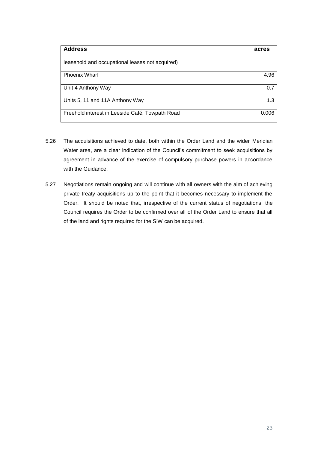| <b>Address</b>                                  | acres |
|-------------------------------------------------|-------|
| leasehold and occupational leases not acquired) |       |
| <b>Phoenix Wharf</b>                            | 4.96  |
| Unit 4 Anthony Way                              | 0.7   |
| Units 5, 11 and 11A Anthony Way                 | 1.3   |
| Freehold interest in Leeside Café, Towpath Road | 0.006 |

- 5.26 The acquisitions achieved to date, both within the Order Land and the wider Meridian Water area, are a clear indication of the Council's commitment to seek acquisitions by agreement in advance of the exercise of compulsory purchase powers in accordance with the Guidance.
- 5.27 Negotiations remain ongoing and will continue with all owners with the aim of achieving private treaty acquisitions up to the point that it becomes necessary to implement the Order. It should be noted that, irrespective of the current status of negotiations, the Council requires the Order to be confirmed over all of the Order Land to ensure that all of the land and rights required for the SIW can be acquired.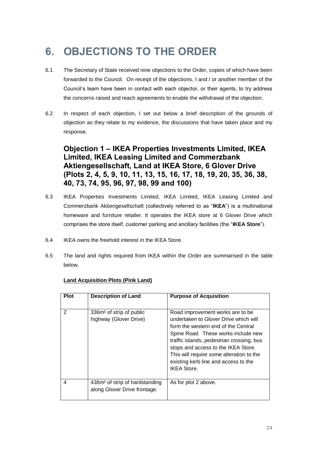## <span id="page-23-0"></span>**6. OBJECTIONS TO THE ORDER**

- 6.1 The Secretary of State received nine objections to the Order, copies of which have been forwarded to the Council. On receipt of the objections, I and / or another member of the Council's team have been in contact with each objector, or their agents, to try address the concerns raised and reach agreements to enable the withdrawal of the objection.
- 6.2 In respect of each objection, I set out below a brief description of the grounds of objection as they relate to my evidence, the discussions that have taken place and my response.

**Objection 1 – IKEA Properties Investments Limited, IKEA Limited, IKEA Leasing Limited and Commerzbank Aktiengesellschaft, Land at IKEA Store, 6 Glover Drive (Plots 2, 4, 5, 9, 10, 11, 13, 15, 16, 17, 18, 19, 20, 35, 36, 38, 40, 73, 74, 95, 96, 97, 98, 99 and 100)**

- 6.3 IKEA Properties Investments Limited, IKEA Limited, IKEA Leasing Limited and Commerzbank Aktiengesellschaft (collectively referred to as "**IKEA**") is a multinational homeware and furniture retailer. It operates the IKEA store at 6 Glover Drive which comprises the store itself, customer parking and ancillary facilities (the "**IKEA Store**").
- 6.4 IKEA owns the freehold interest in the IKEA Store.
- 6.5 The land and rights required from IKEA within the Order are summarised in the table below.

| <b>Plot</b> | <b>Description of Land</b>                                                 | <b>Purpose of Acquisition</b>                                                                                                                                                                                                                                                                                                                        |
|-------------|----------------------------------------------------------------------------|------------------------------------------------------------------------------------------------------------------------------------------------------------------------------------------------------------------------------------------------------------------------------------------------------------------------------------------------------|
| 2           | 336m <sup>2</sup> of strip of public<br>highway (Glover Drive)             | Road improvement works are to be<br>undertaken to Glover Drive which will<br>form the western end of the Central<br>Spine Road. These works include new<br>traffic islands, pedestrian crossing, bus<br>stops and access to the IKEA Store.<br>This will require some alteration to the<br>existing kerb line and access to the<br><b>IKEA Store</b> |
| 4           | 436m <sup>2</sup> of strip of hardstanding<br>along Glover Drive frontage. | As for plot 2 above.                                                                                                                                                                                                                                                                                                                                 |

### **Land Acquisition Plots (Pink Land)**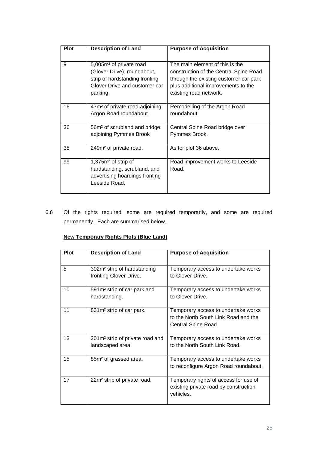| <b>Plot</b> | <b>Description of Land</b>                                                                                                                        | <b>Purpose of Acquisition</b>                                                                                                                                                        |
|-------------|---------------------------------------------------------------------------------------------------------------------------------------------------|--------------------------------------------------------------------------------------------------------------------------------------------------------------------------------------|
| 9           | 5,005m <sup>2</sup> of private road<br>(Glover Drive), roundabout,<br>strip of hardstanding fronting<br>Glover Drive and customer car<br>parking. | The main element of this is the<br>construction of the Central Spine Road<br>through the existing customer car park<br>plus additional improvements to the<br>existing road network. |
| 16          | 47m <sup>2</sup> of private road adjoining<br>Argon Road roundabout.                                                                              | Remodelling of the Argon Road<br>roundabout.                                                                                                                                         |
| 36          | 56m <sup>2</sup> of scrubland and bridge<br>adjoining Pymmes Brook                                                                                | Central Spine Road bridge over<br>Pymmes Brook.                                                                                                                                      |
| 38          | 249m <sup>2</sup> of private road.                                                                                                                | As for plot 36 above.                                                                                                                                                                |
| 99          | 1,375m <sup>2</sup> of strip of<br>hardstanding, scrubland, and<br>advertising hoardings fronting<br>Leeside Road.                                | Road improvement works to Leeside<br>Road.                                                                                                                                           |

6.6 Of the rights required, some are required temporarily, and some are required permanently. Each are summarised below.

### **New Temporary Rights Plots (Blue Land)**

| <b>Plot</b> | <b>Description of Land</b>                                        | <b>Purpose of Acquisition</b>                                                                      |
|-------------|-------------------------------------------------------------------|----------------------------------------------------------------------------------------------------|
| 5           | 302m <sup>2</sup> strip of hardstanding<br>fronting Glover Drive. | Temporary access to undertake works<br>to Glover Drive.                                            |
| 10          | 591m <sup>2</sup> strip of car park and<br>hardstanding.          | Temporary access to undertake works<br>to Glover Drive.                                            |
| 11          | 831m <sup>2</sup> strip of car park.                              | Temporary access to undertake works<br>to the North South Link Road and the<br>Central Spine Road. |
| 13          | 301m <sup>2</sup> strip of private road and<br>landscaped area.   | Temporary access to undertake works<br>to the North South Link Road.                               |
| 15          | 85m <sup>2</sup> of grassed area.                                 | Temporary access to undertake works<br>to reconfigure Argon Road roundabout.                       |
| 17          | 22m <sup>2</sup> strip of private road.                           | Temporary rights of access for use of<br>existing private road by construction<br>vehicles.        |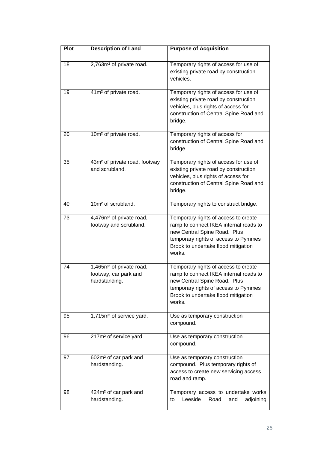| Plot | <b>Description of Land</b>                                                     | <b>Purpose of Acquisition</b>                                                                                                                                                                           |
|------|--------------------------------------------------------------------------------|---------------------------------------------------------------------------------------------------------------------------------------------------------------------------------------------------------|
| 18   | 2,763m <sup>2</sup> of private road.                                           | Temporary rights of access for use of<br>existing private road by construction<br>vehicles.                                                                                                             |
| 19   | 41m <sup>2</sup> of private road.                                              | Temporary rights of access for use of<br>existing private road by construction<br>vehicles, plus rights of access for<br>construction of Central Spine Road and<br>bridge.                              |
| 20   | 10m <sup>2</sup> of private road.                                              | Temporary rights of access for<br>construction of Central Spine Road and<br>bridge.                                                                                                                     |
| 35   | 43m <sup>2</sup> of private road, footway<br>and scrubland.                    | Temporary rights of access for use of<br>existing private road by construction<br>vehicles, plus rights of access for<br>construction of Central Spine Road and<br>bridge.                              |
| 40   | 10m <sup>2</sup> of scrubland.                                                 | Temporary rights to construct bridge.                                                                                                                                                                   |
| 73   | 4,476m <sup>2</sup> of private road,<br>footway and scrubland.                 | Temporary rights of access to create<br>ramp to connect IKEA internal roads to<br>new Central Spine Road. Plus<br>temporary rights of access to Pymmes<br>Brook to undertake flood mitigation<br>works. |
| 74   | 1,465m <sup>2</sup> of private road,<br>footway, car park and<br>hardstanding. | Temporary rights of access to create<br>ramp to connect IKEA internal roads to<br>new Central Spine Road. Plus<br>temporary rights of access to Pymmes<br>Brook to undertake flood mitigation<br>works. |
| 95   | 1,715m <sup>2</sup> of service yard.                                           | Use as temporary construction<br>compound.                                                                                                                                                              |
| 96   | 217m <sup>2</sup> of service yard.                                             | Use as temporary construction<br>compound.                                                                                                                                                              |
| 97   | 602m <sup>2</sup> of car park and<br>hardstanding.                             | Use as temporary construction<br>compound. Plus temporary rights of<br>access to create new servicing access<br>road and ramp.                                                                          |
| 98   | 424m <sup>2</sup> of car park and<br>hardstanding.                             | Temporary access to undertake works<br>Leeside<br>Road<br>adjoining<br>to<br>and                                                                                                                        |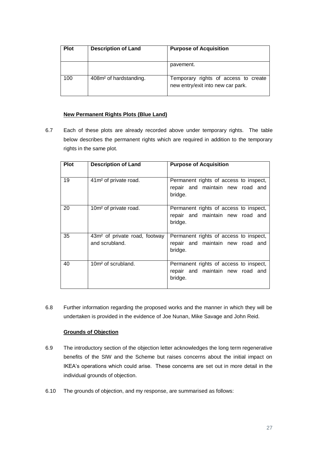| <b>Plot</b> | <b>Description of Land</b>         | <b>Purpose of Acquisition</b>                                             |
|-------------|------------------------------------|---------------------------------------------------------------------------|
|             |                                    | pavement.                                                                 |
| 100         | 408m <sup>2</sup> of hardstanding. | Temporary rights of access to create<br>new entry/exit into new car park. |

#### **New Permanent Rights Plots (Blue Land)**

6.7 Each of these plots are already recorded above under temporary rights. The table below describes the permanent rights which are required in addition to the temporary rights in the same plot.

| <b>Plot</b> | <b>Description of Land</b>                                  | <b>Purpose of Acquisition</b>                                                         |
|-------------|-------------------------------------------------------------|---------------------------------------------------------------------------------------|
| 19          | 41m <sup>2</sup> of private road.                           | Permanent rights of access to inspect,<br>repair and maintain new road and<br>bridge. |
| 20          | 10m <sup>2</sup> of private road.                           | Permanent rights of access to inspect,<br>repair and maintain new road and<br>bridge. |
| 35          | 43m <sup>2</sup> of private road, footway<br>and scrubland. | Permanent rights of access to inspect,<br>repair and maintain new road and<br>bridge. |
| 40          | 10m <sup>2</sup> of scrubland.                              | Permanent rights of access to inspect,<br>repair and maintain new road and<br>bridge. |

6.8 Further information regarding the proposed works and the manner in which they will be undertaken is provided in the evidence of Joe Nunan, Mike Savage and John Reid.

### **Grounds of Objection**

- 6.9 The introductory section of the objection letter acknowledges the long term regenerative benefits of the SIW and the Scheme but raises concerns about the initial impact on IKEA's operations which could arise. These concerns are set out in more detail in the individual grounds of objection.
- 6.10 The grounds of objection, and my response, are summarised as follows: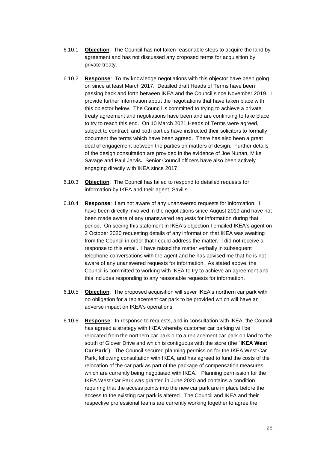- 6.10.1 **Objection**: The Council has not taken reasonable steps to acquire the land by agreement and has not discussed any proposed terms for acquisition by private treaty.
- 6.10.2 **Response**: To my knowledge negotiations with this objector have been going on since at least March 2017. Detailed draft Heads of Terms have been passing back and forth between IKEA and the Council since November 2019. I provide further information about the negotiations that have taken place with this objector below. The Council is committed to trying to achieve a private treaty agreement and negotiations have been and are continuing to take place to try to reach this end. On 10 March 2021 Heads of Terms were agreed, subject to contract, and both parties have instructed their solicitors to formally document the terms which have been agreed. There has also been a great deal of engagement between the parties on matters of design. Further details of the design consultation are provided in the evidence of Joe Nunan, Mike Savage and Paul Jarvis**.** Senior Council officers have also been actively engaging directly with IKEA since 2017.
- 6.10.3 **Objection**: The Council has failed to respond to detailed requests for information by IKEA and their agent, Savills.
- 6.10.4 **Response**: I am not aware of any unanswered requests for information. I have been directly involved in the negotiations since August 2019 and have not been made aware of any unanswered requests for information during that period. On seeing this statement in IKEA's objection I emailed IKEA's agent on 2 October 2020 requesting details of any information that IKEA was awaiting from the Council in order that I could address the matter. I did not receive a response to this email. I have raised the matter verbally in subsequent telephone conversations with the agent and he has advised me that he is not aware of any unanswered requests for information. As stated above, the Council is committed to working with IKEA to try to achieve an agreement and this includes responding to any reasonable requests for information.
- 6.10.5 **Objection**: The proposed acquisition will sever IKEA's northern car park with no obligation for a replacement car park to be provided which will have an adverse impact on IKEA's operations.
- 6.10.6 **Response**: In response to requests, and in consultation with IKEA, the Council has agreed a strategy with IKEA whereby customer car parking will be relocated from the northern car park onto a replacement car park on land to the south of Glover Drive and which is contiguous with the store (the "**IKEA West Car Park**"). The Council secured planning permission for the IKEA West Car Park, following consultation with IKEA, and has agreed to fund the costs of the relocation of the car park as part of the package of compensation measures which are currently being negotiated with IKEA. Planning permission for the IKEA West Car Park was granted in June 2020 and contains a condition requiring that the access points into the new car park are in place before the access to the existing car park is altered. The Council and IKEA and their respective professional teams are currently working together to agree the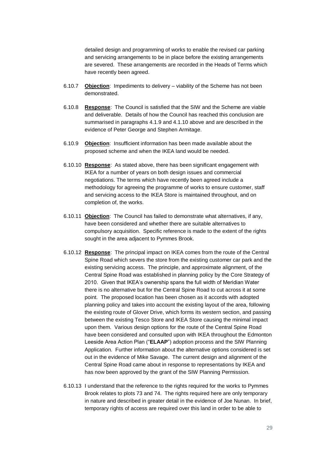detailed design and programming of works to enable the revised car parking and servicing arrangements to be in place before the existing arrangements are severed. These arrangements are recorded in the Heads of Terms which have recently been agreed.

- 6.10.7 **Objection**: Impediments to delivery viability of the Scheme has not been demonstrated.
- 6.10.8 **Response**: The Council is satisfied that the SIW and the Scheme are viable and deliverable. Details of how the Council has reached this conclusion are summarised in paragraphs [4.1.9](#page-14-0) and [4.1.10](#page-14-1) above and are described in the evidence of Peter George and Stephen Armitage.
- 6.10.9 **Objection**: Insufficient information has been made available about the proposed scheme and when the IKEA land would be needed.
- 6.10.10 **Response**: As stated above, there has been significant engagement with IKEA for a number of years on both design issues and commercial negotiations. The terms which have recently been agreed include a methodology for agreeing the programme of works to ensure customer, staff and servicing access to the IKEA Store is maintained throughout, and on completion of, the works.
- 6.10.11 **Objection**: The Council has failed to demonstrate what alternatives, if any, have been considered and whether there are suitable alternatives to compulsory acquisition. Specific reference is made to the extent of the rights sought in the area adjacent to Pymmes Brook.
- 6.10.12 **Response**: The principal impact on IKEA comes from the route of the Central Spine Road which severs the store from the existing customer car park and the existing servicing access. The principle, and approximate alignment, of the Central Spine Road was established in planning policy by the Core Strategy of 2010. Given that IKEA's ownership spans the full width of Meridian Water there is no alternative but for the Central Spine Road to cut across it at some point. The proposed location has been chosen as it accords with adopted planning policy and takes into account the existing layout of the area, following the existing route of Glover Drive, which forms its western section, and passing between the existing Tesco Store and IKEA Store causing the minimal impact upon them. Various design options for the route of the Central Spine Road have been considered and consulted upon with IKEA throughout the Edmonton Leeside Area Action Plan ("**ELAAP**") adoption process and the SIW Planning Application. Further information about the alternative options considered is set out in the evidence of Mike Savage. The current design and alignment of the Central Spine Road came about in response to representations by IKEA and has now been approved by the grant of the SIW Planning Permission.
- 6.10.13 I understand that the reference to the rights required for the works to Pymmes Brook relates to plots 73 and 74. The rights required here are only temporary in nature and described in greater detail in the evidence of Joe Nunan. In brief, temporary rights of access are required over this land in order to be able to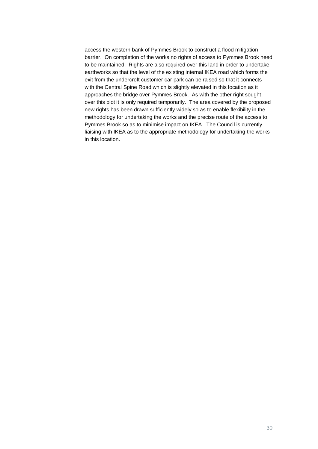access the western bank of Pymmes Brook to construct a flood mitigation barrier. On completion of the works no rights of access to Pymmes Brook need to be maintained. Rights are also required over this land in order to undertake earthworks so that the level of the existing internal IKEA road which forms the exit from the undercroft customer car park can be raised so that it connects with the Central Spine Road which is slightly elevated in this location as it approaches the bridge over Pymmes Brook. As with the other right sought over this plot it is only required temporarily. The area covered by the proposed new rights has been drawn sufficiently widely so as to enable flexibility in the methodology for undertaking the works and the precise route of the access to Pymmes Brook so as to minimise impact on IKEA. The Council is currently liaising with IKEA as to the appropriate methodology for undertaking the works in this location.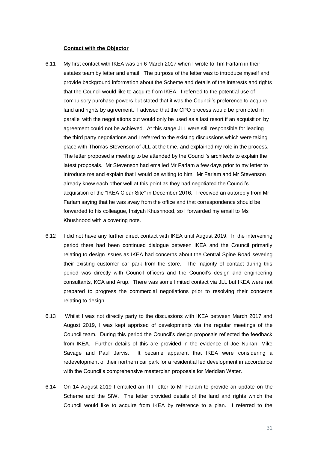#### **Contact with the Objector**

- 6.11 My first contact with IKEA was on 6 March 2017 when I wrote to Tim Farlam in their estates team by letter and email. The purpose of the letter was to introduce myself and provide background information about the Scheme and details of the interests and rights that the Council would like to acquire from IKEA. I referred to the potential use of compulsory purchase powers but stated that it was the Council's preference to acquire land and rights by agreement. I advised that the CPO process would be promoted in parallel with the negotiations but would only be used as a last resort if an acquisition by agreement could not be achieved. At this stage JLL were still responsible for leading the third party negotiations and I referred to the existing discussions which were taking place with Thomas Stevenson of JLL at the time, and explained my role in the process. The letter proposed a meeting to be attended by the Council's architects to explain the latest proposals. Mr Stevenson had emailed Mr Farlam a few days prior to my letter to introduce me and explain that I would be writing to him. Mr Farlam and Mr Stevenson already knew each other well at this point as they had negotiated the Council's acquisition of the "IKEA Clear Site" in December 2016. I received an autoreply from Mr Farlam saying that he was away from the office and that correspondence should be forwarded to his colleague, Insiyah Khushnood, so I forwarded my email to Ms Khushnood with a covering note.
- 6.12 I did not have any further direct contact with IKEA until August 2019. In the intervening period there had been continued dialogue between IKEA and the Council primarily relating to design issues as IKEA had concerns about the Central Spine Road severing their existing customer car park from the store. The majority of contact during this period was directly with Council officers and the Council's design and engineering consultants, KCA and Arup. There was some limited contact via JLL but IKEA were not prepared to progress the commercial negotiations prior to resolving their concerns relating to design.
- 6.13 Whilst I was not directly party to the discussions with IKEA between March 2017 and August 2019, I was kept apprised of developments via the regular meetings of the Council team. During this period the Council's design proposals reflected the feedback from IKEA. Further details of this are provided in the evidence of Joe Nunan, Mike Savage and Paul Jarvis. It became apparent that IKEA were considering a redevelopment of their northern car park for a residential led development in accordance with the Council's comprehensive masterplan proposals for Meridian Water.
- 6.14 On 14 August 2019 I emailed an ITT letter to Mr Farlam to provide an update on the Scheme and the SIW. The letter provided details of the land and rights which the Council would like to acquire from IKEA by reference to a plan. I referred to the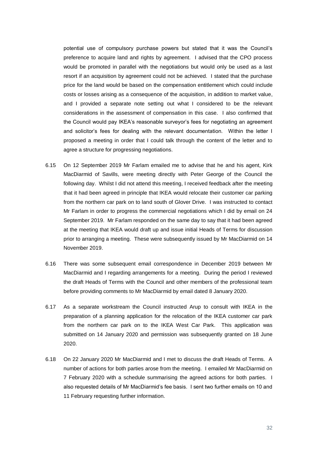potential use of compulsory purchase powers but stated that it was the Council's preference to acquire land and rights by agreement. I advised that the CPO process would be promoted in parallel with the negotiations but would only be used as a last resort if an acquisition by agreement could not be achieved. I stated that the purchase price for the land would be based on the compensation entitlement which could include costs or losses arising as a consequence of the acquisition, in addition to market value, and I provided a separate note setting out what I considered to be the relevant considerations in the assessment of compensation in this case. I also confirmed that the Council would pay IKEA's reasonable surveyor's fees for negotiating an agreement and solicitor's fees for dealing with the relevant documentation. Within the letter I proposed a meeting in order that I could talk through the content of the letter and to agree a structure for progressing negotiations.

- 6.15 On 12 September 2019 Mr Farlam emailed me to advise that he and his agent, Kirk MacDiarmid of Savills, were meeting directly with Peter George of the Council the following day. Whilst I did not attend this meeting, I received feedback after the meeting that it had been agreed in principle that IKEA would relocate their customer car parking from the northern car park on to land south of Glover Drive. I was instructed to contact Mr Farlam in order to progress the commercial negotiations which I did by email on 24 September 2019. Mr Farlam responded on the same day to say that it had been agreed at the meeting that IKEA would draft up and issue initial Heads of Terms for discussion prior to arranging a meeting. These were subsequently issued by Mr MacDiarmid on 14 November 2019.
- 6.16 There was some subsequent email correspondence in December 2019 between Mr MacDiarmid and I regarding arrangements for a meeting. During the period I reviewed the draft Heads of Terms with the Council and other members of the professional team before providing comments to Mr MacDiarmid by email dated 8 January 2020.
- 6.17 As a separate workstream the Council instructed Arup to consult with IKEA in the preparation of a planning application for the relocation of the IKEA customer car park from the northern car park on to the IKEA West Car Park. This application was submitted on 14 January 2020 and permission was subsequently granted on 18 June 2020.
- 6.18 On 22 January 2020 Mr MacDiarmid and I met to discuss the draft Heads of Terms. A number of actions for both parties arose from the meeting. I emailed Mr MacDiarmid on 7 February 2020 with a schedule summarising the agreed actions for both parties. I also requested details of Mr MacDiarmid's fee basis. I sent two further emails on 10 and 11 February requesting further information.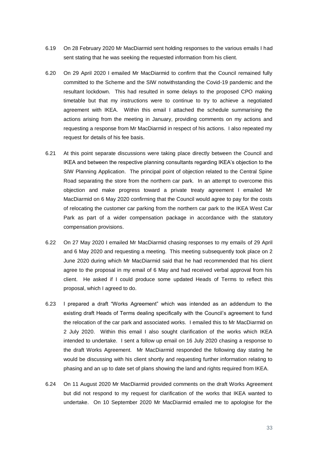- 6.19 On 28 February 2020 Mr MacDiarmid sent holding responses to the various emails I had sent stating that he was seeking the requested information from his client.
- 6.20 On 29 April 2020 I emailed Mr MacDiarmid to confirm that the Council remained fully committed to the Scheme and the SIW notwithstanding the Covid-19 pandemic and the resultant lockdown. This had resulted in some delays to the proposed CPO making timetable but that my instructions were to continue to try to achieve a negotiated agreement with IKEA. Within this email I attached the schedule summarising the actions arising from the meeting in January, providing comments on my actions and requesting a response from Mr MacDiarmid in respect of his actions. I also repeated my request for details of his fee basis.
- 6.21 At this point separate discussions were taking place directly between the Council and IKEA and between the respective planning consultants regarding IKEA's objection to the SIW Planning Application. The principal point of objection related to the Central Spine Road separating the store from the northern car park. In an attempt to overcome this objection and make progress toward a private treaty agreement I emailed Mr MacDiarmid on 6 May 2020 confirming that the Council would agree to pay for the costs of relocating the customer car parking from the northern car park to the IKEA West Car Park as part of a wider compensation package in accordance with the statutory compensation provisions.
- 6.22 On 27 May 2020 I emailed Mr MacDiarmid chasing responses to my emails of 29 April and 6 May 2020 and requesting a meeting. This meeting subsequently took place on 2 June 2020 during which Mr MacDiarmid said that he had recommended that his client agree to the proposal in my email of 6 May and had received verbal approval from his client. He asked if I could produce some updated Heads of Terms to reflect this proposal, which I agreed to do.
- 6.23 I prepared a draft "Works Agreement" which was intended as an addendum to the existing draft Heads of Terms dealing specifically with the Council's agreement to fund the relocation of the car park and associated works. I emailed this to Mr MacDiarmid on 2 July 2020. Within this email I also sought clarification of the works which IKEA intended to undertake. I sent a follow up email on 16 July 2020 chasing a response to the draft Works Agreement. Mr MacDiarmid responded the following day stating he would be discussing with his client shortly and requesting further information relating to phasing and an up to date set of plans showing the land and rights required from IKEA.
- 6.24 On 11 August 2020 Mr MacDiarmid provided comments on the draft Works Agreement but did not respond to my request for clarification of the works that IKEA wanted to undertake. On 10 September 2020 Mr MacDiarmid emailed me to apologise for the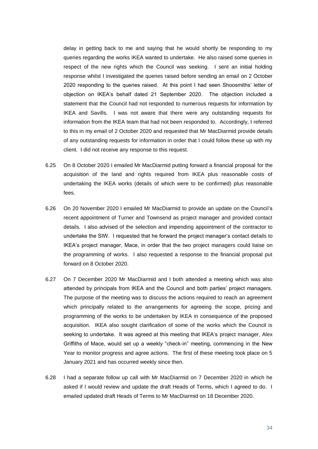delay in getting back to me and saying that he would shortly be responding to my queries regarding the works IKEA wanted to undertake. He also raised some queries in respect of the new rights which the Council was seeking. I sent an initial holding response whilst I investigated the queries raised before sending an email on 2 October 2020 responding to the queries raised. At this point I had seen Shoosmiths' letter of objection on IKEA's behalf dated 21 September 2020. The objection included a statement that the Council had not responded to numerous requests for information by IKEA and Savills. I was not aware that there were any outstanding requests for information from the IKEA team that had not been responded to. Accordingly, I referred to this in my email of 2 October 2020 and requested that Mr MacDiarmid provide details of any outstanding requests for information in order that I could follow these up with my client. I did not receive any response to this request.

- 6.25 On 8 October 2020 I emailed Mr MacDiarmid putting forward a financial proposal for the acquisition of the land and rights required from IKEA plus reasonable costs of undertaking the IKEA works (details of which were to be confirmed) plus reasonable fees.
- 6.26 On 20 November 2020 I emailed Mr MacDiarmid to provide an update on the Council's recent appointment of Turner and Townsend as project manager and provided contact details. I also advised of the selection and impending appointment of the contractor to undertake the SIW. I requested that he forward the project manager's contact details to IKEA's project manager, Mace, in order that the two project managers could liaise on the programming of works. I also requested a response to the financial proposal put forward on 8 October 2020.
- 6.27 On 7 December 2020 Mr MacDiarmid and I both attended a meeting which was also attended by principals from IKEA and the Council and both parties' project managers. The purpose of the meeting was to discuss the actions required to reach an agreement which principally related to the arrangements for agreeing the scope, pricing and programming of the works to be undertaken by IKEA in consequence of the proposed acquisition. IKEA also sought clarification of some of the works which the Council is seeking to undertake. It was agreed at this meeting that IKEA's project manager, Alex Griffiths of Mace, would set up a weekly "check-in" meeting, commencing in the New Year to monitor progress and agree actions. The first of these meeting took place on 5 January 2021 and has occurred weekly since then.
- 6.28 I had a separate follow up call with Mr MacDiarmid on 7 December 2020 in which he asked if I would review and update the draft Heads of Terms, which I agreed to do. I emailed updated draft Heads of Terms to Mr MacDiarmid on 18 December 2020.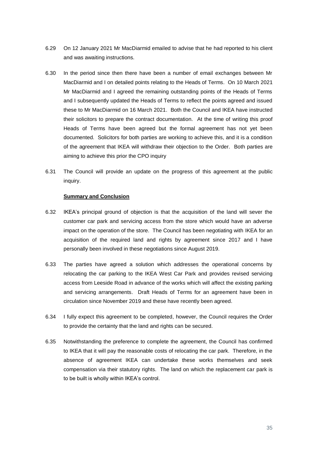- 6.29 On 12 January 2021 Mr MacDiarmid emailed to advise that he had reported to his client and was awaiting instructions.
- 6.30 In the period since then there have been a number of email exchanges between Mr MacDiarmid and I on detailed points relating to the Heads of Terms. On 10 March 2021 Mr MacDiarmid and I agreed the remaining outstanding points of the Heads of Terms and I subsequently updated the Heads of Terms to reflect the points agreed and issued these to Mr MacDiarmid on 16 March 2021. Both the Council and IKEA have instructed their solicitors to prepare the contract documentation. At the time of writing this proof Heads of Terms have been agreed but the formal agreement has not yet been documented. Solicitors for both parties are working to achieve this, and it is a condition of the agreement that IKEA will withdraw their objection to the Order. Both parties are aiming to achieve this prior the CPO inquiry
- 6.31 The Council will provide an update on the progress of this agreement at the public inquiry.

#### **Summary and Conclusion**

- 6.32 IKEA's principal ground of objection is that the acquisition of the land will sever the customer car park and servicing access from the store which would have an adverse impact on the operation of the store. The Council has been negotiating with IKEA for an acquisition of the required land and rights by agreement since 2017 and I have personally been involved in these negotiations since August 2019.
- 6.33 The parties have agreed a solution which addresses the operational concerns by relocating the car parking to the IKEA West Car Park and provides revised servicing access from Leeside Road in advance of the works which will affect the existing parking and servicing arrangements. Draft Heads of Terms for an agreement have been in circulation since November 2019 and these have recently been agreed.
- 6.34 I fully expect this agreement to be completed, however, the Council requires the Order to provide the certainty that the land and rights can be secured.
- 6.35 Notwithstanding the preference to complete the agreement, the Council has confirmed to IKEA that it will pay the reasonable costs of relocating the car park. Therefore, in the absence of agreement IKEA can undertake these works themselves and seek compensation via their statutory rights. The land on which the replacement car park is to be built is wholly within IKEA's control.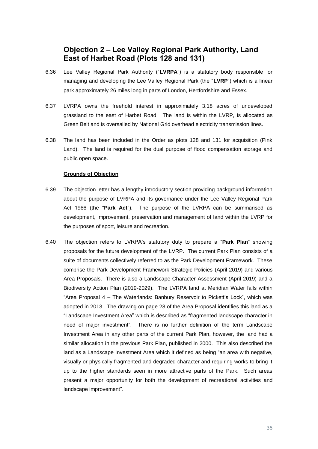### **Objection 2 – Lee Valley Regional Park Authority, Land East of Harbet Road (Plots 128 and 131)**

- 6.36 Lee Valley Regional Park Authority ("**LVRPA**") is a statutory body responsible for managing and developing the Lee Valley Regional Park (the "**LVRP**") which is a linear park approximately 26 miles long in parts of London, Hertfordshire and Essex.
- 6.37 LVRPA owns the freehold interest in approximately 3.18 acres of undeveloped grassland to the east of Harbet Road. The land is within the LVRP, is allocated as Green Belt and is oversailed by National Grid overhead electricity transmission lines.
- 6.38 The land has been included in the Order as plots 128 and 131 for acquisition (Pink Land). The land is required for the dual purpose of flood compensation storage and public open space.

### **Grounds of Objection**

- 6.39 The objection letter has a lengthy introductory section providing background information about the purpose of LVRPA and its governance under the Lee Valley Regional Park Act 1966 (the "**Park Act**"). The purpose of the LVRPA can be summarised as development, improvement, preservation and management of land within the LVRP for the purposes of sport, leisure and recreation.
- 6.40 The objection refers to LVRPA's statutory duty to prepare a "**Park Plan**" showing proposals for the future development of the LVRP. The current Park Plan consists of a suite of documents collectively referred to as the Park Development Framework. These comprise the Park Development Framework Strategic Policies (April 2019) and various Area Proposals. There is also a Landscape Character Assessment (April 2019) and a Biodiversity Action Plan (2019-2029). The LVRPA land at Meridian Water falls within "Area Proposal 4 – The Waterlands: Banbury Reservoir to Pickett's Lock", which was adopted in 2013. The drawing on page 28 of the Area Proposal identifies this land as a "Landscape Investment Area" which is described as "fragmented landscape character in need of major investment". There is no further definition of the term Landscape Investment Area in any other parts of the current Park Plan, however, the land had a similar allocation in the previous Park Plan, published in 2000. This also described the land as a Landscape Investment Area which it defined as being "an area with negative, visually or physically fragmented and degraded character and requiring works to bring it up to the higher standards seen in more attractive parts of the Park. Such areas present a major opportunity for both the development of recreational activities and landscape improvement".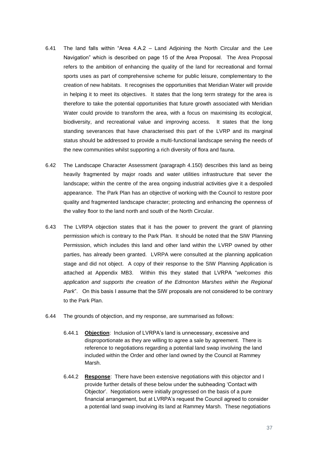- 6.41 The land falls within "Area 4.A.2 Land Adjoining the North Circular and the Lee Navigation" which is described on page 15 of the Area Proposal. The Area Proposal refers to the ambition of enhancing the quality of the land for recreational and formal sports uses as part of comprehensive scheme for public leisure, complementary to the creation of new habitats. It recognises the opportunities that Meridian Water will provide in helping it to meet its objectives. It states that the long term strategy for the area is therefore to take the potential opportunities that future growth associated with Meridian Water could provide to transform the area, with a focus on maximising its ecological, biodiversity, and recreational value and improving access. It states that the long standing severances that have characterised this part of the LVRP and its marginal status should be addressed to provide a multi-functional landscape serving the needs of the new communities whilst supporting a rich diversity of flora and fauna.
- 6.42 The Landscape Character Assessment (paragraph 4.150) describes this land as being heavily fragmented by major roads and water utilities infrastructure that sever the landscape; within the centre of the area ongoing industrial activities give it a despoiled appearance. The Park Plan has an objective of working with the Council to restore poor quality and fragmented landscape character; protecting and enhancing the openness of the valley floor to the land north and south of the North Circular.
- 6.43 The LVRPA objection states that it has the power to prevent the grant of planning permission which is contrary to the Park Plan. It should be noted that the SIW Planning Permission, which includes this land and other land within the LVRP owned by other parties, has already been granted. LVRPA were consulted at the planning application stage and did not object. A copy of their response to the SIW Planning Application is attached at Appendix MB3. Within this they stated that LVRPA "*welcomes this*  application and supports the creation of the Edmonton Marshes within the Regional *Park*". On this basis I assume that the SIW proposals are not considered to be contrary to the Park Plan.
- <span id="page-36-0"></span>6.44 The grounds of objection, and my response, are summarised as follows:
	- 6.44.1 **Objection**: Inclusion of LVRPA's land is unnecessary, excessive and disproportionate as they are willing to agree a sale by agreement. There is reference to negotiations regarding a potential land swap involving the land included within the Order and other land owned by the Council at Rammey Marsh.
	- 6.44.2 **Response**: There have been extensive negotiations with this objector and I provide further details of these below under the subheading 'Contact with Objector'. Negotiations were initially progressed on the basis of a pure financial arrangement, but at LVRPA's request the Council agreed to consider a potential land swap involving its land at Rammey Marsh. These negotiations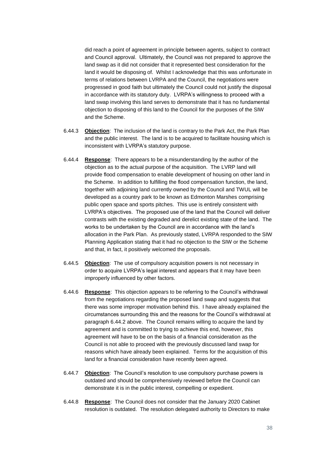did reach a point of agreement in principle between agents, subject to contract and Council approval. Ultimately, the Council was not prepared to approve the land swap as it did not consider that it represented best consideration for the land it would be disposing of. Whilst I acknowledge that this was unfortunate in terms of relations between LVRPA and the Council, the negotiations were progressed in good faith but ultimately the Council could not justify the disposal in accordance with its statutory duty. LVRPA's willingness to proceed with a land swap involving this land serves to demonstrate that it has no fundamental objection to disposing of this land to the Council for the purposes of the SIW and the Scheme.

- 6.44.3 **Objection**: The inclusion of the land is contrary to the Park Act, the Park Plan and the public interest. The land is to be acquired to facilitate housing which is inconsistent with LVRPA's statutory purpose.
- 6.44.4 **Response**: There appears to be a misunderstanding by the author of the objection as to the actual purpose of the acquisition. The LVRP land will provide flood compensation to enable development of housing on other land in the Scheme. In addition to fulfilling the flood compensation function, the land, together with adjoining land currently owned by the Council and TWUL will be developed as a country park to be known as Edmonton Marshes comprising public open space and sports pitches. This use is entirely consistent with LVRPA's objectives. The proposed use of the land that the Council will deliver contrasts with the existing degraded and derelict existing state of the land. The works to be undertaken by the Council are in accordance with the land's allocation in the Park Plan. As previously stated, LVRPA responded to the SIW Planning Application stating that it had no objection to the SIW or the Scheme and that, in fact, it positively welcomed the proposals.
- 6.44.5 **Objection**: The use of compulsory acquisition powers is not necessary in order to acquire LVRPA's legal interest and appears that it may have been improperly influenced by other factors.
- 6.44.6 **Response**: This objection appears to be referring to the Council's withdrawal from the negotiations regarding the proposed land swap and suggests that there was some improper motivation behind this. I have already explained the circumstances surrounding this and the reasons for the Council's withdrawal at paragraph [6.44.2](#page-36-0) above. The Council remains willing to acquire the land by agreement and is committed to trying to achieve this end, however, this agreement will have to be on the basis of a financial consideration as the Council is not able to proceed with the previously discussed land swap for reasons which have already been explained. Terms for the acquisition of this land for a financial consideration have recently been agreed.
- 6.44.7 **Objection**: The Council's resolution to use compulsory purchase powers is outdated and should be comprehensively reviewed before the Council can demonstrate it is in the public interest, compelling or expedient.
- 6.44.8 **Response**: The Council does not consider that the January 2020 Cabinet resolution is outdated. The resolution delegated authority to Directors to make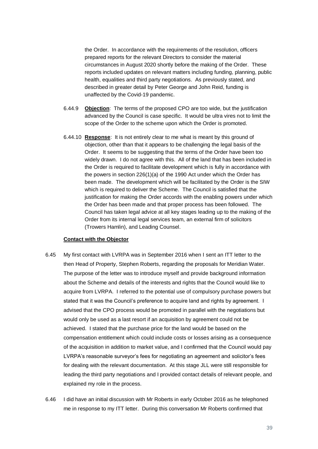the Order. In accordance with the requirements of the resolution, officers prepared reports for the relevant Directors to consider the material circumstances in August 2020 shortly before the making of the Order. These reports included updates on relevant matters including funding, planning, public health, equalities and third party negotiations. As previously stated, and described in greater detail by Peter George and John Reid, funding is unaffected by the Covid-19 pandemic.

- 6.44.9 **Objection**: The terms of the proposed CPO are too wide, but the justification advanced by the Council is case specific. It would be ultra vires not to limit the scope of the Order to the scheme upon which the Order is promoted.
- 6.44.10 **Response**: It is not entirely clear to me what is meant by this ground of objection, other than that it appears to be challenging the legal basis of the Order. It seems to be suggesting that the terms of the Order have been too widely drawn. I do not agree with this. All of the land that has been included in the Order is required to facilitate development which is fully in accordance with the powers in section 226(1)(a) of the 1990 Act under which the Order has been made. The development which will be facilitated by the Order is the SIW which is required to deliver the Scheme. The Council is satisfied that the justification for making the Order accords with the enabling powers under which the Order has been made and that proper process has been followed. The Council has taken legal advice at all key stages leading up to the making of the Order from its internal legal services team, an external firm of solicitors (Trowers Hamlin), and Leading Counsel.

## **Contact with the Objector**

- 6.45 My first contact with LVRPA was in September 2016 when I sent an ITT letter to the then Head of Property, Stephen Roberts, regarding the proposals for Meridian Water. The purpose of the letter was to introduce myself and provide background information about the Scheme and details of the interests and rights that the Council would like to acquire from LVRPA. I referred to the potential use of compulsory purchase powers but stated that it was the Council's preference to acquire land and rights by agreement. I advised that the CPO process would be promoted in parallel with the negotiations but would only be used as a last resort if an acquisition by agreement could not be achieved. I stated that the purchase price for the land would be based on the compensation entitlement which could include costs or losses arising as a consequence of the acquisition in addition to market value, and I confirmed that the Council would pay LVRPA's reasonable surveyor's fees for negotiating an agreement and solicitor's fees for dealing with the relevant documentation. At this stage JLL were still responsible for leading the third party negotiations and I provided contact details of relevant people, and explained my role in the process.
- 6.46 I did have an initial discussion with Mr Roberts in early October 2016 as he telephoned me in response to my ITT letter. During this conversation Mr Roberts confirmed that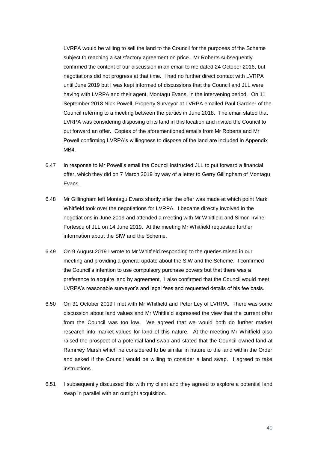LVRPA would be willing to sell the land to the Council for the purposes of the Scheme subject to reaching a satisfactory agreement on price. Mr Roberts subsequently confirmed the content of our discussion in an email to me dated 24 October 2016, but negotiations did not progress at that time. I had no further direct contact with LVRPA until June 2019 but I was kept informed of discussions that the Council and JLL were having with LVRPA and their agent, Montagu Evans, in the intervening period. On 11 September 2018 Nick Powell, Property Surveyor at LVRPA emailed Paul Gardner of the Council referring to a meeting between the parties in June 2018. The email stated that LVRPA was considering disposing of its land in this location and invited the Council to put forward an offer. Copies of the aforementioned emails from Mr Roberts and Mr Powell confirming LVRPA's willingness to dispose of the land are included in Appendix MB4.

- 6.47 In response to Mr Powell's email the Council instructed JLL to put forward a financial offer, which they did on 7 March 2019 by way of a letter to Gerry Gillingham of Montagu Evans.
- 6.48 Mr Gillingham left Montagu Evans shortly after the offer was made at which point Mark Whitfield took over the negotiations for LVRPA. I became directly involved in the negotiations in June 2019 and attended a meeting with Mr Whitfield and Simon Irvine-Fortescu of JLL on 14 June 2019. At the meeting Mr Whitfield requested further information about the SIW and the Scheme.
- 6.49 On 9 August 2019 I wrote to Mr Whitfield responding to the queries raised in our meeting and providing a general update about the SIW and the Scheme. I confirmed the Council's intention to use compulsory purchase powers but that there was a preference to acquire land by agreement. I also confirmed that the Council would meet LVRPA's reasonable surveyor's and legal fees and requested details of his fee basis.
- 6.50 On 31 October 2019 I met with Mr Whitfield and Peter Ley of LVRPA. There was some discussion about land values and Mr Whitfield expressed the view that the current offer from the Council was too low. We agreed that we would both do further market research into market values for land of this nature. At the meeting Mr Whitfield also raised the prospect of a potential land swap and stated that the Council owned land at Rammey Marsh which he considered to be similar in nature to the land within the Order and asked if the Council would be willing to consider a land swap. I agreed to take instructions.
- 6.51 I subsequently discussed this with my client and they agreed to explore a potential land swap in parallel with an outright acquisition.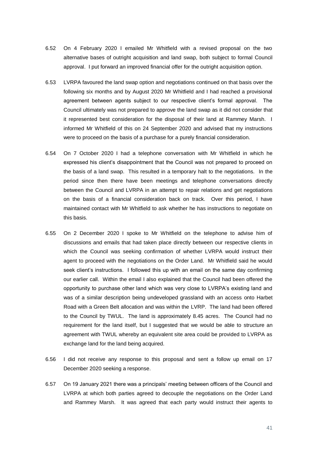- 6.52 On 4 February 2020 I emailed Mr Whitfield with a revised proposal on the two alternative bases of outright acquisition and land swap, both subject to formal Council approval. I put forward an improved financial offer for the outright acquisition option.
- 6.53 LVRPA favoured the land swap option and negotiations continued on that basis over the following six months and by August 2020 Mr Whitfield and I had reached a provisional agreement between agents subject to our respective client's formal approval. The Council ultimately was not prepared to approve the land swap as it did not consider that it represented best consideration for the disposal of their land at Rammey Marsh. I informed Mr Whitfield of this on 24 September 2020 and advised that my instructions were to proceed on the basis of a purchase for a purely financial consideration.
- 6.54 On 7 October 2020 I had a telephone conversation with Mr Whitfield in which he expressed his client's disappointment that the Council was not prepared to proceed on the basis of a land swap. This resulted in a temporary halt to the negotiations. In the period since then there have been meetings and telephone conversations directly between the Council and LVRPA in an attempt to repair relations and get negotiations on the basis of a financial consideration back on track. Over this period, I have maintained contact with Mr Whitfield to ask whether he has instructions to negotiate on this basis.
- 6.55 On 2 December 2020 I spoke to Mr Whitfield on the telephone to advise him of discussions and emails that had taken place directly between our respective clients in which the Council was seeking confirmation of whether LVRPA would instruct their agent to proceed with the negotiations on the Order Land. Mr Whitfield said he would seek client's instructions. I followed this up with an email on the same day confirming our earlier call. Within the email I also explained that the Council had been offered the opportunity to purchase other land which was very close to LVRPA's existing land and was of a similar description being undeveloped grassland with an access onto Harbet Road with a Green Belt allocation and was within the LVRP. The land had been offered to the Council by TWUL. The land is approximately 8.45 acres. The Council had no requirement for the land itself, but I suggested that we would be able to structure an agreement with TWUL whereby an equivalent site area could be provided to LVRPA as exchange land for the land being acquired.
- 6.56 I did not receive any response to this proposal and sent a follow up email on 17 December 2020 seeking a response.
- 6.57 On 19 January 2021 there was a principals' meeting between officers of the Council and LVRPA at which both parties agreed to decouple the negotiations on the Order Land and Rammey Marsh. It was agreed that each party would instruct their agents to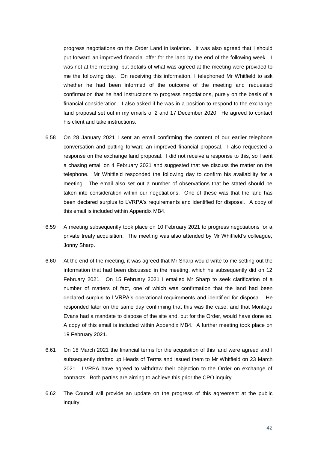progress negotiations on the Order Land in isolation. It was also agreed that I should put forward an improved financial offer for the land by the end of the following week. I was not at the meeting, but details of what was agreed at the meeting were provided to me the following day. On receiving this information, I telephoned Mr Whitfield to ask whether he had been informed of the outcome of the meeting and requested confirmation that he had instructions to progress negotiations, purely on the basis of a financial consideration. I also asked if he was in a position to respond to the exchange land proposal set out in my emails of 2 and 17 December 2020. He agreed to contact his client and take instructions.

- 6.58 On 28 January 2021 I sent an email confirming the content of our earlier telephone conversation and putting forward an improved financial proposal. I also requested a response on the exchange land proposal. I did not receive a response to this, so I sent a chasing email on 4 February 2021 and suggested that we discuss the matter on the telephone. Mr Whitfield responded the following day to confirm his availability for a meeting. The email also set out a number of observations that he stated should be taken into consideration within our negotiations. One of these was that the land has been declared surplus to LVRPA's requirements and identified for disposal. A copy of this email is included within Appendix MB4.
- 6.59 A meeting subsequently took place on 10 February 2021 to progress negotiations for a private treaty acquisition. The meeting was also attended by Mr Whitfield's colleague, Jonny Sharp.
- 6.60 At the end of the meeting, it was agreed that Mr Sharp would write to me setting out the information that had been discussed in the meeting, which he subsequently did on 12 February 2021. On 15 February 2021 I emailed Mr Sharp to seek clarification of a number of matters of fact, one of which was confirmation that the land had been declared surplus to LVRPA's operational requirements and identified for disposal. He responded later on the same day confirming that this was the case, and that Montagu Evans had a mandate to dispose of the site and, but for the Order, would have done so. A copy of this email is included within Appendix MB4. A further meeting took place on 19 February 2021.
- 6.61 On 18 March 2021 the financial terms for the acquisition of this land were agreed and I subsequently drafted up Heads of Terms and issued them to Mr Whitfield on 23 March 2021. LVRPA have agreed to withdraw their objection to the Order on exchange of contracts. Both parties are aiming to achieve this prior the CPO inquiry.
- 6.62 The Council will provide an update on the progress of this agreement at the public inquiry.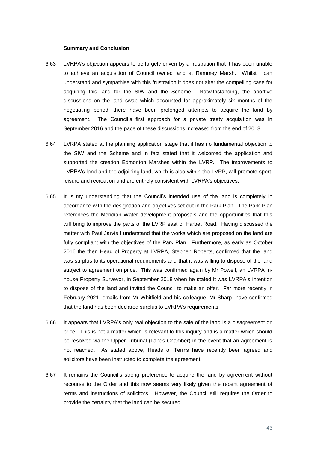### **Summary and Conclusion**

- 6.63 LVRPA's objection appears to be largely driven by a frustration that it has been unable to achieve an acquisition of Council owned land at Rammey Marsh. Whilst I can understand and sympathise with this frustration it does not alter the compelling case for acquiring this land for the SIW and the Scheme. Notwithstanding, the abortive discussions on the land swap which accounted for approximately six months of the negotiating period, there have been prolonged attempts to acquire the land by agreement. The Council's first approach for a private treaty acquisition was in September 2016 and the pace of these discussions increased from the end of 2018.
- 6.64 LVRPA stated at the planning application stage that it has no fundamental objection to the SIW and the Scheme and in fact stated that it welcomed the application and supported the creation Edmonton Marshes within the LVRP. The improvements to LVRPA's land and the adjoining land, which is also within the LVRP, will promote sport, leisure and recreation and are entirely consistent with LVRPA's objectives.
- 6.65 It is my understanding that the Council's intended use of the land is completely in accordance with the designation and objectives set out in the Park Plan. The Park Plan references the Meridian Water development proposals and the opportunities that this will bring to improve the parts of the LVRP east of Harbet Road. Having discussed the matter with Paul Jarvis I understand that the works which are proposed on the land are fully compliant with the objectives of the Park Plan. Furthermore, as early as October 2016 the then Head of Property at LVRPA, Stephen Roberts, confirmed that the land was surplus to its operational requirements and that it was willing to dispose of the land subject to agreement on price. This was confirmed again by Mr Powell, an LVRPA inhouse Property Surveyor, in September 2018 when he stated it was LVRPA's intention to dispose of the land and invited the Council to make an offer. Far more recently in February 2021, emails from Mr Whitfield and his colleague, Mr Sharp, have confirmed that the land has been declared surplus to LVRPA's requirements.
- 6.66 It appears that LVRPA's only real objection to the sale of the land is a disagreement on price. This is not a matter which is relevant to this inquiry and is a matter which should be resolved via the Upper Tribunal (Lands Chamber) in the event that an agreement is not reached. As stated above, Heads of Terms have recently been agreed and solicitors have been instructed to complete the agreement.
- 6.67 It remains the Council's strong preference to acquire the land by agreement without recourse to the Order and this now seems very likely given the recent agreement of terms and instructions of solicitors. However, the Council still requires the Order to provide the certainty that the land can be secured.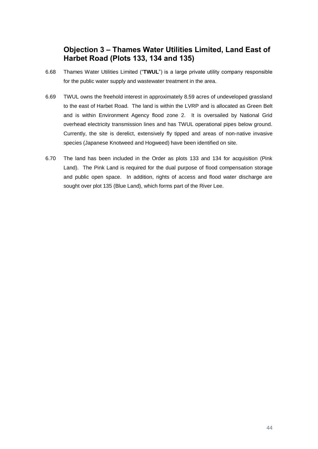# **Objection 3 – Thames Water Utilities Limited, Land East of Harbet Road (Plots 133, 134 and 135)**

- 6.68 Thames Water Utilities Limited ("**TWUL**") is a large private utility company responsible for the public water supply and wastewater treatment in the area.
- 6.69 TWUL owns the freehold interest in approximately 8.59 acres of undeveloped grassland to the east of Harbet Road. The land is within the LVRP and is allocated as Green Belt and is within Environment Agency flood zone 2. It is oversailed by National Grid overhead electricity transmission lines and has TWUL operational pipes below ground. Currently, the site is derelict, extensively fly tipped and areas of non-native invasive species (Japanese Knotweed and Hogweed) have been identified on site.
- 6.70 The land has been included in the Order as plots 133 and 134 for acquisition (Pink Land). The Pink Land is required for the dual purpose of flood compensation storage and public open space. In addition, rights of access and flood water discharge are sought over plot 135 (Blue Land), which forms part of the River Lee.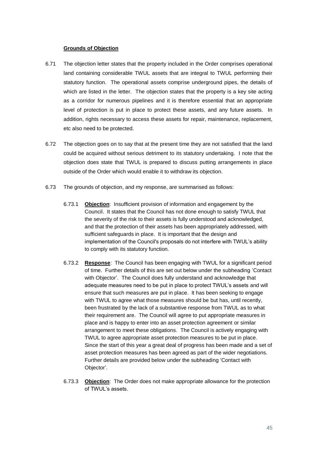## **Grounds of Objection**

- 6.71 The objection letter states that the property included in the Order comprises operational land containing considerable TWUL assets that are integral to TWUL performing their statutory function. The operational assets comprise underground pipes, the details of which are listed in the letter. The objection states that the property is a key site acting as a corridor for numerous pipelines and it is therefore essential that an appropriate level of protection is put in place to protect these assets, and any future assets. In addition, rights necessary to access these assets for repair, maintenance, replacement, etc also need to be protected.
- 6.72 The objection goes on to say that at the present time they are not satisfied that the land could be acquired without serious detriment to its statutory undertaking. I note that the objection does state that TWUL is prepared to discuss putting arrangements in place outside of the Order which would enable it to withdraw its objection.
- 6.73 The grounds of objection, and my response, are summarised as follows:
	- 6.73.1 **Objection**: Insufficient provision of information and engagement by the Council. It states that the Council has not done enough to satisfy TWUL that the severity of the risk to their assets is fully understood and acknowledged, and that the protection of their assets has been appropriately addressed, with sufficient safeguards in place. It is important that the design and implementation of the Council's proposals do not interfere with TWUL's ability to comply with its statutory function.
	- 6.73.2 **Response**: The Council has been engaging with TWUL for a significant period of time. Further details of this are set out below under the subheading 'Contact with Objector'. The Council does fully understand and acknowledge that adequate measures need to be put in place to protect TWUL's assets and will ensure that such measures are put in place. It has been seeking to engage with TWUL to agree what those measures should be but has, until recently, been frustrated by the lack of a substantive response from TWUL as to what their requirement are. The Council will agree to put appropriate measures in place and is happy to enter into an asset protection agreement or similar arrangement to meet these obligations. The Council is actively engaging with TWUL to agree appropriate asset protection measures to be put in place. Since the start of this year a great deal of progress has been made and a set of asset protection measures has been agreed as part of the wider negotiations. Further details are provided below under the subheading 'Contact with Objector'.
	- 6.73.3 **Objection**: The Order does not make appropriate allowance for the protection of TWUL's assets.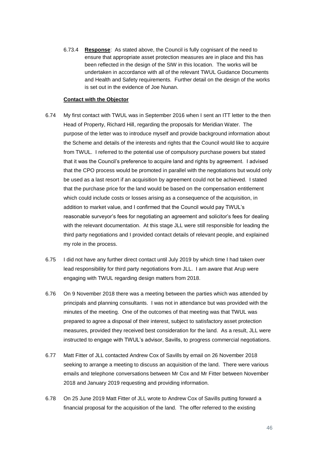6.73.4 **Response**: As stated above, the Council is fully cognisant of the need to ensure that appropriate asset protection measures are in place and this has been reflected in the design of the SIW in this location. The works will be undertaken in accordance with all of the relevant TWUL Guidance Documents and Health and Safety requirements. Further detail on the design of the works is set out in the evidence of Joe Nunan.

## **Contact with the Objector**

- 6.74 My first contact with TWUL was in September 2016 when I sent an ITT letter to the then Head of Property, Richard Hill, regarding the proposals for Meridian Water. The purpose of the letter was to introduce myself and provide background information about the Scheme and details of the interests and rights that the Council would like to acquire from TWUL. I referred to the potential use of compulsory purchase powers but stated that it was the Council's preference to acquire land and rights by agreement. I advised that the CPO process would be promoted in parallel with the negotiations but would only be used as a last resort if an acquisition by agreement could not be achieved. I stated that the purchase price for the land would be based on the compensation entitlement which could include costs or losses arising as a consequence of the acquisition, in addition to market value, and I confirmed that the Council would pay TWUL's reasonable surveyor's fees for negotiating an agreement and solicitor's fees for dealing with the relevant documentation. At this stage JLL were still responsible for leading the third party negotiations and I provided contact details of relevant people, and explained my role in the process.
- 6.75 I did not have any further direct contact until July 2019 by which time I had taken over lead responsibility for third party negotiations from JLL. I am aware that Arup were engaging with TWUL regarding design matters from 2018.
- 6.76 On 9 November 2018 there was a meeting between the parties which was attended by principals and planning consultants. I was not in attendance but was provided with the minutes of the meeting. One of the outcomes of that meeting was that TWUL was prepared to agree a disposal of their interest, subject to satisfactory asset protection measures, provided they received best consideration for the land. As a result, JLL were instructed to engage with TWUL's advisor, Savills, to progress commercial negotiations.
- 6.77 Matt Fitter of JLL contacted Andrew Cox of Savills by email on 26 November 2018 seeking to arrange a meeting to discuss an acquisition of the land. There were various emails and telephone conversations between Mr Cox and Mr Fitter between November 2018 and January 2019 requesting and providing information.
- 6.78 On 25 June 2019 Matt Fitter of JLL wrote to Andrew Cox of Savills putting forward a financial proposal for the acquisition of the land. The offer referred to the existing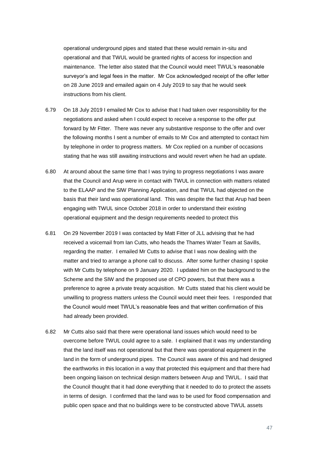operational underground pipes and stated that these would remain in-situ and operational and that TWUL would be granted rights of access for inspection and maintenance. The letter also stated that the Council would meet TWUL's reasonable surveyor's and legal fees in the matter. Mr Cox acknowledged receipt of the offer letter on 28 June 2019 and emailed again on 4 July 2019 to say that he would seek instructions from his client.

- 6.79 On 18 July 2019 I emailed Mr Cox to advise that I had taken over responsibility for the negotiations and asked when I could expect to receive a response to the offer put forward by Mr Fitter. There was never any substantive response to the offer and over the following months I sent a number of emails to Mr Cox and attempted to contact him by telephone in order to progress matters. Mr Cox replied on a number of occasions stating that he was still awaiting instructions and would revert when he had an update.
- 6.80 At around about the same time that I was trying to progress negotiations I was aware that the Council and Arup were in contact with TWUL in connection with matters related to the ELAAP and the SIW Planning Application, and that TWUL had objected on the basis that their land was operational land. This was despite the fact that Arup had been engaging with TWUL since October 2018 in order to understand their existing operational equipment and the design requirements needed to protect this
- 6.81 On 29 November 2019 I was contacted by Matt Fitter of JLL advising that he had received a voicemail from Ian Cutts, who heads the Thames Water Team at Savills, regarding the matter. I emailed Mr Cutts to advise that I was now dealing with the matter and tried to arrange a phone call to discuss. After some further chasing I spoke with Mr Cutts by telephone on 9 January 2020. I updated him on the background to the Scheme and the SIW and the proposed use of CPO powers, but that there was a preference to agree a private treaty acquisition. Mr Cutts stated that his client would be unwilling to progress matters unless the Council would meet their fees. I responded that the Council would meet TWUL's reasonable fees and that written confirmation of this had already been provided.
- 6.82 Mr Cutts also said that there were operational land issues which would need to be overcome before TWUL could agree to a sale. I explained that it was my understanding that the land itself was not operational but that there was operational equipment in the land in the form of underground pipes. The Council was aware of this and had designed the earthworks in this location in a way that protected this equipment and that there had been ongoing liaison on technical design matters between Arup and TWUL. I said that the Council thought that it had done everything that it needed to do to protect the assets in terms of design. I confirmed that the land was to be used for flood compensation and public open space and that no buildings were to be constructed above TWUL assets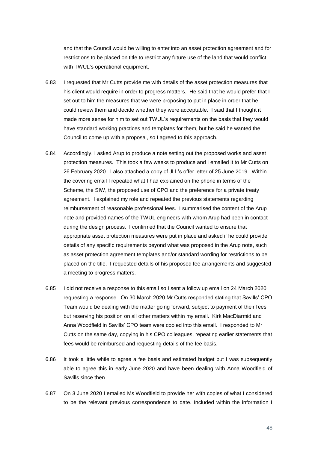and that the Council would be willing to enter into an asset protection agreement and for restrictions to be placed on title to restrict any future use of the land that would conflict with TWUL's operational equipment.

- 6.83 I requested that Mr Cutts provide me with details of the asset protection measures that his client would require in order to progress matters. He said that he would prefer that I set out to him the measures that we were proposing to put in place in order that he could review them and decide whether they were acceptable. I said that I thought it made more sense for him to set out TWUL's requirements on the basis that they would have standard working practices and templates for them, but he said he wanted the Council to come up with a proposal, so I agreed to this approach.
- 6.84 Accordingly, I asked Arup to produce a note setting out the proposed works and asset protection measures. This took a few weeks to produce and I emailed it to Mr Cutts on 26 February 2020. I also attached a copy of JLL's offer letter of 25 June 2019. Within the covering email I repeated what I had explained on the phone in terms of the Scheme, the SIW, the proposed use of CPO and the preference for a private treaty agreement. I explained my role and repeated the previous statements regarding reimbursement of reasonable professional fees. I summarised the content of the Arup note and provided names of the TWUL engineers with whom Arup had been in contact during the design process. I confirmed that the Council wanted to ensure that appropriate asset protection measures were put in place and asked if he could provide details of any specific requirements beyond what was proposed in the Arup note, such as asset protection agreement templates and/or standard wording for restrictions to be placed on the title. I requested details of his proposed fee arrangements and suggested a meeting to progress matters.
- 6.85 I did not receive a response to this email so I sent a follow up email on 24 March 2020 requesting a response. On 30 March 2020 Mr Cutts responded stating that Savills' CPO Team would be dealing with the matter going forward, subject to payment of their fees but reserving his position on all other matters within my email. Kirk MacDiarmid and Anna Woodfield in Savills' CPO team were copied into this email. I responded to Mr Cutts on the same day, copying in his CPO colleagues, repeating earlier statements that fees would be reimbursed and requesting details of the fee basis.
- 6.86 It took a little while to agree a fee basis and estimated budget but I was subsequently able to agree this in early June 2020 and have been dealing with Anna Woodfield of Savills since then.
- 6.87 On 3 June 2020 I emailed Ms Woodfield to provide her with copies of what I considered to be the relevant previous correspondence to date. Included within the information I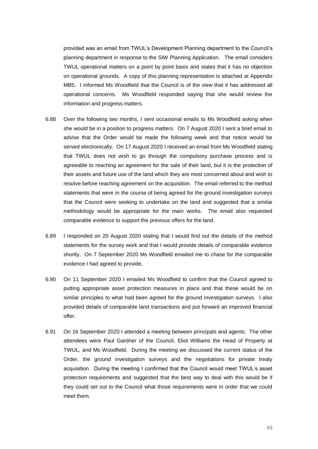provided was an email from TWUL's Development Planning department to the Council's planning department in response to the SIW Planning Application. The email considers TWUL operational matters on a point by point basis and states that it has no objection on operational grounds. A copy of this planning representation is attached at Appendix MB5. I informed Ms Woodfield that the Council is of the view that it has addressed all operational concerns. Ms Woodfield responded saying that she would review the information and progress matters.

- 6.88 Over the following two months, I sent occasional emails to Ms Woodfield asking when she would be in a position to progress matters. On 7 August 2020 I sent a brief email to advise that the Order would be made the following week and that notice would be served electronically. On 17 August 2020 I received an email from Ms Woodfield stating that TWUL does not wish to go through the compulsory purchase process and is agreeable to reaching an agreement for the sale of their land, but it is the protection of their assets and future use of the land which they are most concerned about and wish to resolve before reaching agreement on the acquisition. The email referred to the method statements that were in the course of being agreed for the ground investigation surveys that the Council were seeking to undertake on the land and suggested that a similar methodology would be appropriate for the main works. The email also requested comparable evidence to support the previous offers for the land.
- 6.89 I responded on 20 August 2020 stating that I would find out the details of the method statements for the survey work and that I would provide details of comparable evidence shortly. On 7 September 2020 Ms Woodfield emailed me to chase for the comparable evidence I had agreed to provide.
- 6.90 On 11 September 2020 I emailed Ms Woodfield to confirm that the Council agreed to putting appropriate asset protection measures in place and that these would be on similar principles to what had been agreed for the ground investigation surveys. I also provided details of comparable land transactions and put forward an improved financial offer.
- 6.91 On 16 September 2020 I attended a meeting between principals and agents. The other attendees were Paul Gardner of the Council, Eliot Williams the Head of Property at TWUL, and Ms Woodfield. During the meeting we discussed the current status of the Order, the ground investigation surveys and the negotiations for private treaty acquisition. During the meeting I confirmed that the Council would meet TWUL's asset protection requirements and suggested that the best way to deal with this would be if they could set out to the Council what those requirements were in order that we could meet them.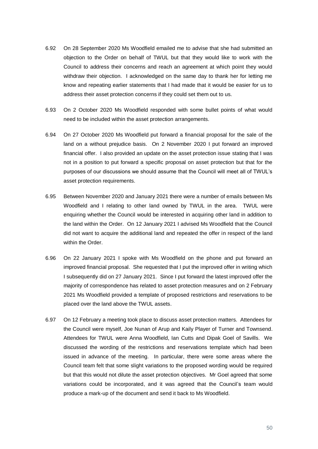- 6.92 On 28 September 2020 Ms Woodfield emailed me to advise that she had submitted an objection to the Order on behalf of TWUL but that they would like to work with the Council to address their concerns and reach an agreement at which point they would withdraw their objection. I acknowledged on the same day to thank her for letting me know and repeating earlier statements that I had made that it would be easier for us to address their asset protection concerns if they could set them out to us.
- 6.93 On 2 October 2020 Ms Woodfield responded with some bullet points of what would need to be included within the asset protection arrangements.
- 6.94 On 27 October 2020 Ms Woodfield put forward a financial proposal for the sale of the land on a without prejudice basis. On 2 November 2020 I put forward an improved financial offer. I also provided an update on the asset protection issue stating that I was not in a position to put forward a specific proposal on asset protection but that for the purposes of our discussions we should assume that the Council will meet all of TWUL's asset protection requirements.
- 6.95 Between November 2020 and January 2021 there were a number of emails between Ms Woodfield and I relating to other land owned by TWUL in the area. TWUL were enquiring whether the Council would be interested in acquiring other land in addition to the land within the Order. On 12 January 2021 I advised Ms Woodfield that the Council did not want to acquire the additional land and repeated the offer in respect of the land within the Order.
- 6.96 On 22 January 2021 I spoke with Ms Woodfield on the phone and put forward an improved financial proposal. She requested that I put the improved offer in writing which I subsequently did on 27 January 2021. Since I put forward the latest improved offer the majority of correspondence has related to asset protection measures and on 2 February 2021 Ms Woodfield provided a template of proposed restrictions and reservations to be placed over the land above the TWUL assets.
- 6.97 On 12 February a meeting took place to discuss asset protection matters. Attendees for the Council were myself, Joe Nunan of Arup and Kaily Player of Turner and Townsend. Attendees for TWUL were Anna Woodfield, Ian Cutts and Dipak Goel of Savills. We discussed the wording of the restrictions and reservations template which had been issued in advance of the meeting. In particular, there were some areas where the Council team felt that some slight variations to the proposed wording would be required but that this would not dilute the asset protection objectives. Mr Goel agreed that some variations could be incorporated, and it was agreed that the Council's team would produce a mark-up of the document and send it back to Ms Woodfield.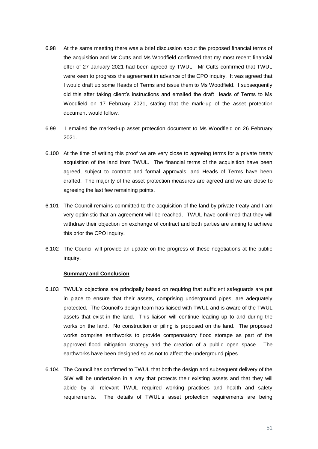- 6.98 At the same meeting there was a brief discussion about the proposed financial terms of the acquisition and Mr Cutts and Ms Woodfield confirmed that my most recent financial offer of 27 January 2021 had been agreed by TWUL. Mr Cutts confirmed that TWUL were keen to progress the agreement in advance of the CPO inquiry. It was agreed that I would draft up some Heads of Terms and issue them to Ms Woodfield. I subsequently did this after taking client's instructions and emailed the draft Heads of Terms to Ms Woodfield on 17 February 2021, stating that the mark-up of the asset protection document would follow.
- 6.99 I emailed the marked-up asset protection document to Ms Woodfield on 26 February 2021.
- 6.100 At the time of writing this proof we are very close to agreeing terms for a private treaty acquisition of the land from TWUL. The financial terms of the acquisition have been agreed, subject to contract and formal approvals, and Heads of Terms have been drafted. The majority of the asset protection measures are agreed and we are close to agreeing the last few remaining points.
- 6.101 The Council remains committed to the acquisition of the land by private treaty and I am very optimistic that an agreement will be reached. TWUL have confirmed that they will withdraw their objection on exchange of contract and both parties are aiming to achieve this prior the CPO inquiry.
- 6.102 The Council will provide an update on the progress of these negotiations at the public inquiry.

## **Summary and Conclusion**

- 6.103 TWUL's objections are principally based on requiring that sufficient safeguards are put in place to ensure that their assets, comprising underground pipes, are adequately protected. The Council's design team has liaised with TWUL and is aware of the TWUL assets that exist in the land. This liaison will continue leading up to and during the works on the land. No construction or piling is proposed on the land. The proposed works comprise earthworks to provide compensatory flood storage as part of the approved flood mitigation strategy and the creation of a public open space. The earthworks have been designed so as not to affect the underground pipes.
- 6.104 The Council has confirmed to TWUL that both the design and subsequent delivery of the SIW will be undertaken in a way that protects their existing assets and that they will abide by all relevant TWUL required working practices and health and safety requirements. The details of TWUL's asset protection requirements are being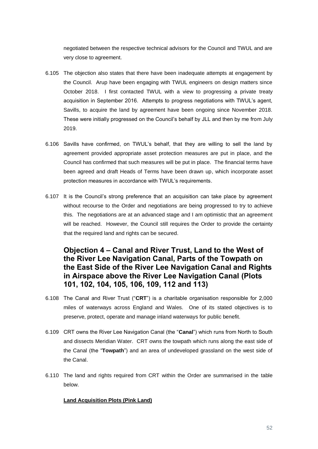negotiated between the respective technical advisors for the Council and TWUL and are very close to agreement.

- 6.105 The objection also states that there have been inadequate attempts at engagement by the Council. Arup have been engaging with TWUL engineers on design matters since October 2018. I first contacted TWUL with a view to progressing a private treaty acquisition in September 2016. Attempts to progress negotiations with TWUL's agent, Savills, to acquire the land by agreement have been ongoing since November 2018. These were initially progressed on the Council's behalf by JLL and then by me from July 2019.
- 6.106 Savills have confirmed, on TWUL's behalf, that they are willing to sell the land by agreement provided appropriate asset protection measures are put in place, and the Council has confirmed that such measures will be put in place. The financial terms have been agreed and draft Heads of Terms have been drawn up, which incorporate asset protection measures in accordance with TWUL's requirements.
- 6.107 It is the Council's strong preference that an acquisition can take place by agreement without recourse to the Order and negotiations are being progressed to try to achieve this. The negotiations are at an advanced stage and I am optimistic that an agreement will be reached. However, the Council still requires the Order to provide the certainty that the required land and rights can be secured.

# **Objection 4 – Canal and River Trust, Land to the West of the River Lee Navigation Canal, Parts of the Towpath on the East Side of the River Lee Navigation Canal and Rights in Airspace above the River Lee Navigation Canal (Plots 101, 102, 104, 105, 106, 109, 112 and 113)**

- 6.108 The Canal and River Trust ("**CRT**") is a charitable organisation responsible for 2,000 miles of waterways across England and Wales. One of its stated objectives is to preserve, protect, operate and manage inland waterways for public benefit.
- 6.109 CRT owns the River Lee Navigation Canal (the "**Canal**") which runs from North to South and dissects Meridian Water. CRT owns the towpath which runs along the east side of the Canal (the "**Towpath**") and an area of undeveloped grassland on the west side of the Canal.
- <span id="page-51-0"></span>6.110 The land and rights required from CRT within the Order are summarised in the table below.

## **Land Acquisition Plots (Pink Land)**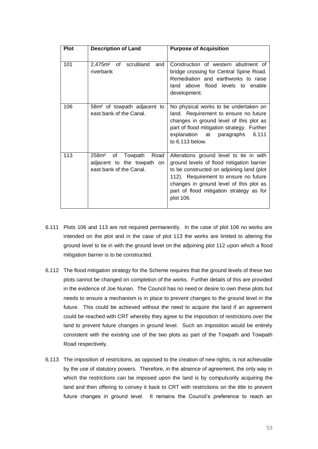| Plot | <b>Description of Land</b>                                                                          | <b>Purpose of Acquisition</b>                                                                                                                                                                                                                                                  |
|------|-----------------------------------------------------------------------------------------------------|--------------------------------------------------------------------------------------------------------------------------------------------------------------------------------------------------------------------------------------------------------------------------------|
| 101  | $2,475m2$ of<br>scrubland<br>and<br>riverbank                                                       | Construction of western abutment of<br>bridge crossing for Central Spine Road.<br>Remediation and earthworks to raise<br>land above flood levels to enable<br>development.                                                                                                     |
| 106  | 58m <sup>2</sup> of towpath adjacent to<br>east bank of the Canal.                                  | No physical works to be undertaken on<br>land. Requirement to ensure no future<br>changes in ground level of this plot as<br>part of flood mitigation strategy. Further<br>explanation at<br>6.111<br>paragraphs<br>to 6.113 below.                                            |
| 113  | 0f<br>Towpath<br>Road<br>258 <sup>m²</sup><br>adjacent to the towpath on<br>east bank of the Canal. | Alterations ground level to tie in with<br>ground levels of flood mitigation barrier<br>to be constructed on adjoining land (plot<br>112). Requirement to ensure no future<br>changes in ground level of this plot as<br>part of flood mitigation strategy as for<br>plot 106. |

- <span id="page-52-0"></span>6.111 Plots 106 and 113 are not required permanently. In the case of plot 106 no works are intended on the plot and in the case of plot 113 the works are limited to altering the ground level to tie in with the ground level on the adjoining plot 112 upon which a flood mitigation barrier is to be constructed.
- 6.112 The flood mitigation strategy for the Scheme requires that the ground levels of these two plots cannot be changed on completion of the works. Further details of this are provided in the evidence of Joe Nunan. The Council has no need or desire to own these plots but needs to ensure a mechanism is in place to prevent changes to the ground level in the future. This could be achieved without the need to acquire the land if an agreement could be reached with CRT whereby they agree to the imposition of restrictions over the land to prevent future changes in ground level. Such an imposition would be entirely consistent with the existing use of the two plots as part of the Towpath and Towpath Road respectively.
- <span id="page-52-1"></span>6.113 The imposition of restrictions, as opposed to the creation of new rights, is not achievable by the use of statutory powers. Therefore, in the absence of agreement, the only way in which the restrictions can be imposed upon the land is by compulsorily acquiring the land and then offering to convey it back to CRT with restrictions on the title to prevent future changes in ground level. It remains the Council's preference to reach an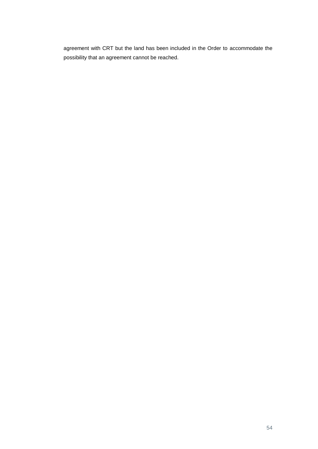agreement with CRT but the land has been included in the Order to accommodate the possibility that an agreement cannot be reached.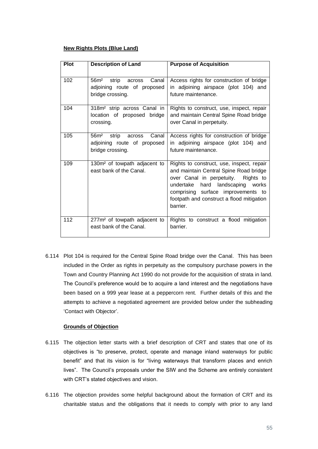## **New Rights Plots (Blue Land)**

| Plot | <b>Description of Land</b>                                                                      | <b>Purpose of Acquisition</b>                                                                                                                                                                                                                                    |
|------|-------------------------------------------------------------------------------------------------|------------------------------------------------------------------------------------------------------------------------------------------------------------------------------------------------------------------------------------------------------------------|
| 102  | Canal<br>56m <sup>2</sup><br>strip<br>across<br>adjoining route of proposed<br>bridge crossing. | Access rights for construction of bridge<br>in adjoining airspace (plot 104) and<br>future maintenance.                                                                                                                                                          |
| 104  | 318m <sup>2</sup> strip across Canal in<br>location of proposed bridge<br>crossing.             | Rights to construct, use, inspect, repair<br>and maintain Central Spine Road bridge<br>over Canal in perpetuity.                                                                                                                                                 |
| 105  | Canal<br>56m <sup>2</sup><br>strip<br>across<br>adjoining route of proposed<br>bridge crossing. | Access rights for construction of bridge<br>in adjoining airspace (plot 104) and<br>future maintenance.                                                                                                                                                          |
| 109  | 130m <sup>2</sup> of towpath adjacent to<br>east bank of the Canal.                             | Rights to construct, use, inspect, repair<br>and maintain Central Spine Road bridge<br>over Canal in perpetuity. Rights to<br>undertake<br>hard landscaping works<br>comprising surface improvements to<br>footpath and construct a flood mitigation<br>barrier. |
| 112  | 277m <sup>2</sup> of towpath adjacent to<br>east bank of the Canal.                             | Rights to construct a flood mitigation<br>barrier.                                                                                                                                                                                                               |

<span id="page-54-0"></span>6.114 Plot 104 is required for the Central Spine Road bridge over the Canal. This has been included in the Order as rights in perpetuity as the compulsory purchase powers in the Town and Country Planning Act 1990 do not provide for the acquisition of strata in land. The Council's preference would be to acquire a land interest and the negotiations have been based on a 999 year lease at a peppercorn rent. Further details of this and the attempts to achieve a negotiated agreement are provided below under the subheading 'Contact with Objector'.

## **Grounds of Objection**

- 6.115 The objection letter starts with a brief description of CRT and states that one of its objectives is "to preserve, protect, operate and manage inland waterways for public benefit" and that its vision is for "living waterways that transform places and enrich lives". The Council's proposals under the SIW and the Scheme are entirely consistent with CRT's stated objectives and vision.
- 6.116 The objection provides some helpful background about the formation of CRT and its charitable status and the obligations that it needs to comply with prior to any land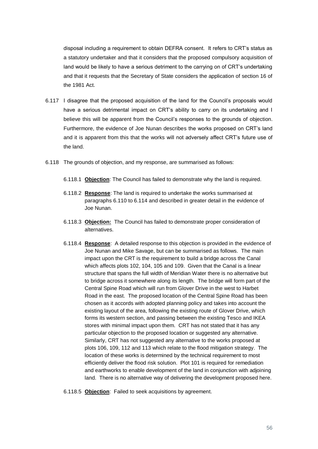disposal including a requirement to obtain DEFRA consent. It refers to CRT's status as a statutory undertaker and that it considers that the proposed compulsory acquisition of land would be likely to have a serious detriment to the carrying on of CRT's undertaking and that it requests that the Secretary of State considers the application of section 16 of the 1981 Act.

- 6.117 I disagree that the proposed acquisition of the land for the Council's proposals would have a serious detrimental impact on CRT's ability to carry on its undertaking and I believe this will be apparent from the Council's responses to the grounds of objection. Furthermore, the evidence of Joe Nunan describes the works proposed on CRT's land and it is apparent from this that the works will not adversely affect CRT's future use of the land.
- 6.118 The grounds of objection, and my response, are summarised as follows:
	- 6.118.1 **Objection**: The Council has failed to demonstrate why the land is required.
	- 6.118.2 **Response**: The land is required to undertake the works summarised at paragraphs [6.110](#page-51-0) to [6.114](#page-54-0) and described in greater detail in the evidence of Joe Nunan.
	- 6.118.3 **Objection:** The Council has failed to demonstrate proper consideration of alternatives.
	- 6.118.4 **Response**: A detailed response to this objection is provided in the evidence of Joe Nunan and Mike Savage, but can be summarised as follows. The main impact upon the CRT is the requirement to build a bridge across the Canal which affects plots 102, 104, 105 and 109. Given that the Canal is a linear structure that spans the full width of Meridian Water there is no alternative but to bridge across it somewhere along its length. The bridge will form part of the Central Spine Road which will run from Glover Drive in the west to Harbet Road in the east. The proposed location of the Central Spine Road has been chosen as it accords with adopted planning policy and takes into account the existing layout of the area, following the existing route of Glover Drive, which forms its western section, and passing between the existing Tesco and IKEA stores with minimal impact upon them. CRT has not stated that it has any particular objection to the proposed location or suggested any alternative. Similarly, CRT has not suggested any alternative to the works proposed at plots 106, 109, 112 and 113 which relate to the flood mitigation strategy. The location of these works is determined by the technical requirement to most efficiently deliver the flood risk solution. Plot 101 is required for remediation and earthworks to enable development of the land in conjunction with adjoining land. There is no alternative way of delivering the development proposed here.

6.118.5 **Objection**: Failed to seek acquisitions by agreement.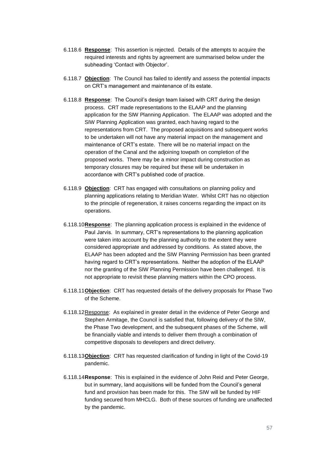- 6.118.6 **Response**: This assertion is rejected. Details of the attempts to acquire the required interests and rights by agreement are summarised below under the subheading 'Contact with Objector'.
- 6.118.7 **Objection**: The Council has failed to identify and assess the potential impacts on CRT's management and maintenance of its estate.
- 6.118.8 **Response**: The Council's design team liaised with CRT during the design process. CRT made representations to the ELAAP and the planning application for the SIW Planning Application. The ELAAP was adopted and the SIW Planning Application was granted, each having regard to the representations from CRT. The proposed acquisitions and subsequent works to be undertaken will not have any material impact on the management and maintenance of CRT's estate. There will be no material impact on the operation of the Canal and the adjoining towpath on completion of the proposed works. There may be a minor impact during construction as temporary closures may be required but these will be undertaken in accordance with CRT's published code of practice.
- 6.118.9 **Objection**: CRT has engaged with consultations on planning policy and planning applications relating to Meridian Water. Whilst CRT has no objection to the principle of regeneration, it raises concerns regarding the impact on its operations.
- 6.118.10**Response**: The planning application process is explained in the evidence of Paul Jarvis. In summary, CRT's representations to the planning application were taken into account by the planning authority to the extent they were considered appropriate and addressed by conditions. As stated above, the ELAAP has been adopted and the SIW Planning Permission has been granted having regard to CRT's representations. Neither the adoption of the ELAAP nor the granting of the SIW Planning Permission have been challenged. It is not appropriate to revisit these planning matters within the CPO process.
- 6.118.11**Objection**: CRT has requested details of the delivery proposals for Phase Two of the Scheme.
- 6.118.12Response: As explained in greater detail in the evidence of Peter George and Stephen Armitage, the Council is satisfied that, following delivery of the SIW, the Phase Two development, and the subsequent phases of the Scheme, will be financially viable and intends to deliver them through a combination of competitive disposals to developers and direct delivery.
- 6.118.13**Objection**: CRT has requested clarification of funding in light of the Covid-19 pandemic.
- 6.118.14**Response**: This is explained in the evidence of John Reid and Peter George, but in summary, land acquisitions will be funded from the Council's general fund and provision has been made for this. The SIW will be funded by HIF funding secured from MHCLG. Both of these sources of funding are unaffected by the pandemic.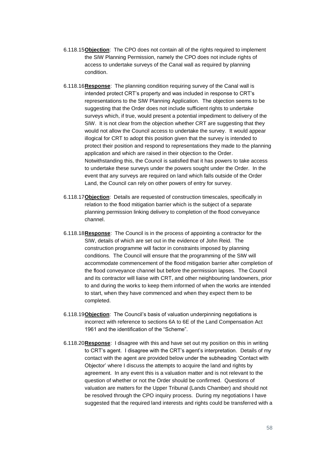- 6.118.15**Objection**: The CPO does not contain all of the rights required to implement the SIW Planning Permission, namely the CPO does not include rights of access to undertake surveys of the Canal wall as required by planning condition.
- 6.118.16**Response**: The planning condition requiring survey of the Canal wall is intended protect CRT's property and was included in response to CRT's representations to the SIW Planning Application. The objection seems to be suggesting that the Order does not include sufficient rights to undertake surveys which, if true, would present a potential impediment to delivery of the SIW. It is not clear from the objection whether CRT are suggesting that they would not allow the Council access to undertake the survey. It would appear illogical for CRT to adopt this position given that the survey is intended to protect their position and respond to representations they made to the planning application and which are raised in their objection to the Order. Notwithstanding this, the Council is satisfied that it has powers to take access to undertake these surveys under the powers sought under the Order. In the event that any surveys are required on land which falls outside of the Order Land, the Council can rely on other powers of entry for survey.
- 6.118.17**Objection**: Details are requested of construction timescales, specifically in relation to the flood mitigation barrier which is the subject of a separate planning permission linking delivery to completion of the flood conveyance channel.
- 6.118.18**Response**: The Council is in the process of appointing a contractor for the SIW, details of which are set out in the evidence of John Reid. The construction programme will factor in constraints imposed by planning conditions. The Council will ensure that the programming of the SIW will accommodate commencement of the flood mitigation barrier after completion of the flood conveyance channel but before the permission lapses. The Council and its contractor will liaise with CRT, and other neighbouring landowners, prior to and during the works to keep them informed of when the works are intended to start, when they have commenced and when they expect them to be completed.
- 6.118.19**Objection**: The Council's basis of valuation underpinning negotiations is incorrect with reference to sections 6A to 6E of the Land Compensation Act 1961 and the identification of the "Scheme".
- 6.118.20**Response**: I disagree with this and have set out my position on this in writing to CRT's agent. I disagree with the CRT's agent's interpretation. Details of my contact with the agent are provided below under the subheading 'Contact with Objector' where I discuss the attempts to acquire the land and rights by agreement. In any event this is a valuation matter and is not relevant to the question of whether or not the Order should be confirmed. Questions of valuation are matters for the Upper Tribunal (Lands Chamber) and should not be resolved through the CPO inquiry process. During my negotiations I have suggested that the required land interests and rights could be transferred with a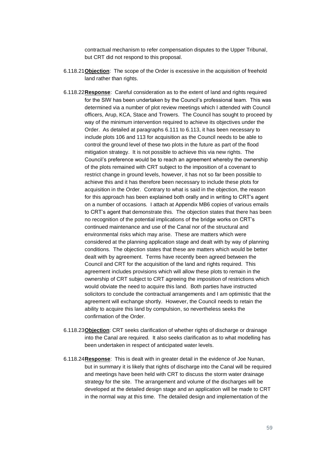contractual mechanism to refer compensation disputes to the Upper Tribunal, but CRT did not respond to this proposal.

- 6.118.21**Objection**: The scope of the Order is excessive in the acquisition of freehold land rather than rights.
- 6.118.22**Response**: Careful consideration as to the extent of land and rights required for the SIW has been undertaken by the Council's professional team. This was determined via a number of plot review meetings which I attended with Council officers, Arup, KCA, Stace and Trowers. The Council has sought to proceed by way of the minimum intervention required to achieve its objectives under the Order. As detailed at paragraphs [6.111](#page-52-0) to [6.113,](#page-52-1) it has been necessary to include plots 106 and 113 for acquisition as the Council needs to be able to control the ground level of these two plots in the future as part of the flood mitigation strategy. It is not possible to achieve this via new rights. The Council's preference would be to reach an agreement whereby the ownership of the plots remained with CRT subject to the imposition of a covenant to restrict change in ground levels, however, it has not so far been possible to achieve this and it has therefore been necessary to include these plots for acquisition in the Order. Contrary to what is said in the objection, the reason for this approach has been explained both orally and in writing to CRT's agent on a number of occasions. I attach at Appendix MB6 copies of various emails to CRT's agent that demonstrate this. The objection states that there has been no recognition of the potential implications of the bridge works on CRT's continued maintenance and use of the Canal nor of the structural and environmental risks which may arise. These are matters which were considered at the planning application stage and dealt with by way of planning conditions. The objection states that these are matters which would be better dealt with by agreement. Terms have recently been agreed between the Council and CRT for the acquisition of the land and rights required. This agreement includes provisions which will allow these plots to remain in the ownership of CRT subject to CRT agreeing the imposition of restrictions which would obviate the need to acquire this land. Both parties have instructed solicitors to conclude the contractual arrangements and I am optimistic that the agreement will exchange shortly. However, the Council needs to retain the ability to acquire this land by compulsion, so nevertheless seeks the confirmation of the Order.
- 6.118.23**Objection**: CRT seeks clarification of whether rights of discharge or drainage into the Canal are required. It also seeks clarification as to what modelling has been undertaken in respect of anticipated water levels.
- 6.118.24**Response**: This is dealt with in greater detail in the evidence of Joe Nunan, but in summary it is likely that rights of discharge into the Canal will be required and meetings have been held with CRT to discuss the storm water drainage strategy for the site. The arrangement and volume of the discharges will be developed at the detailed design stage and an application will be made to CRT in the normal way at this time. The detailed design and implementation of the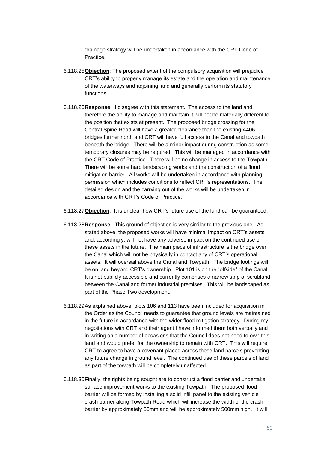drainage strategy will be undertaken in accordance with the CRT Code of **Practice** 

- 6.118.25**Objection**: The proposed extent of the compulsory acquisition will prejudice CRT's ability to properly manage its estate and the operation and maintenance of the waterways and adjoining land and generally perform its statutory functions.
- 6.118.26**Response**: I disagree with this statement. The access to the land and therefore the ability to manage and maintain it will not be materially different to the position that exists at present. The proposed bridge crossing for the Central Spine Road will have a greater clearance than the existing A406 bridges further north and CRT will have full access to the Canal and towpath beneath the bridge. There will be a minor impact during construction as some temporary closures may be required. This will be managed in accordance with the CRT Code of Practice. There will be no change in access to the Towpath. There will be some hard landscaping works and the construction of a flood mitigation barrier. All works will be undertaken in accordance with planning permission which includes conditions to reflect CRT's representations. The detailed design and the carrying out of the works will be undertaken in accordance with CRT's Code of Practice.
- 6.118.27**Objection**: It is unclear how CRT's future use of the land can be guaranteed.
- 6.118.28**Response**: This ground of objection is very similar to the previous one. As stated above, the proposed works will have minimal impact on CRT's assets and, accordingly, will not have any adverse impact on the continued use of these assets in the future. The main piece of infrastructure is the bridge over the Canal which will not be physically in contact any of CRT's operational assets. It will oversail above the Canal and Towpath. The bridge footings will be on land beyond CRT's ownership. Plot 101 is on the "offside" of the Canal. It is not publicly accessible and currently comprises a narrow strip of scrubland between the Canal and former industrial premises. This will be landscaped as part of the Phase Two development.
- 6.118.29As explained above, plots 106 and 113 have been included for acquisition in the Order as the Council needs to guarantee that ground levels are maintained in the future in accordance with the wider flood mitigation strategy. During my negotiations with CRT and their agent I have informed them both verbally and in writing on a number of occasions that the Council does not need to own this land and would prefer for the ownership to remain with CRT. This will require CRT to agree to have a covenant placed across these land parcels preventing any future change in ground level. The continued use of these parcels of land as part of the towpath will be completely unaffected.
- 6.118.30Finally, the rights being sought are to construct a flood barrier and undertake surface improvement works to the existing Towpath. The proposed flood barrier will be formed by installing a solid infill panel to the existing vehicle crash barrier along Towpath Road which will increase the width of the crash barrier by approximately 50mm and will be approximately 500mm high. It will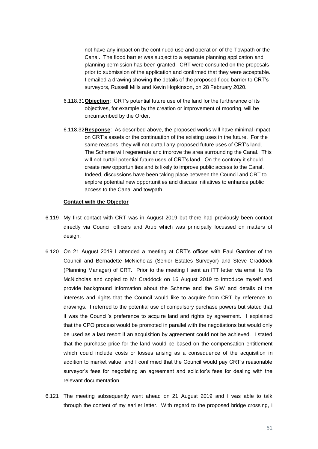not have any impact on the continued use and operation of the Towpath or the Canal. The flood barrier was subject to a separate planning application and planning permission has been granted. CRT were consulted on the proposals prior to submission of the application and confirmed that they were acceptable. I emailed a drawing showing the details of the proposed flood barrier to CRT's surveyors, Russell Mills and Kevin Hopkinson, on 28 February 2020.

- 6.118.31**Objection**: CRT's potential future use of the land for the furtherance of its objectives, for example by the creation or improvement of mooring, will be circumscribed by the Order.
- 6.118.32**Response**: As described above, the proposed works will have minimal impact on CRT's assets or the continuation of the existing uses in the future. For the same reasons, they will not curtail any proposed future uses of CRT's land. The Scheme will regenerate and improve the area surrounding the Canal. This will not curtail potential future uses of CRT's land. On the contrary it should create new opportunities and is likely to improve public access to the Canal. Indeed, discussions have been taking place between the Council and CRT to explore potential new opportunities and discuss initiatives to enhance public access to the Canal and towpath.

## **Contact with the Objector**

- 6.119 My first contact with CRT was in August 2019 but there had previously been contact directly via Council officers and Arup which was principally focussed on matters of design.
- 6.120 On 21 August 2019 I attended a meeting at CRT's offices with Paul Gardner of the Council and Bernadette McNicholas (Senior Estates Surveyor) and Steve Craddock (Planning Manager) of CRT. Prior to the meeting I sent an ITT letter via email to Ms McNicholas and copied to Mr Craddock on 16 August 2019 to introduce myself and provide background information about the Scheme and the SIW and details of the interests and rights that the Council would like to acquire from CRT by reference to drawings. I referred to the potential use of compulsory purchase powers but stated that it was the Council's preference to acquire land and rights by agreement. I explained that the CPO process would be promoted in parallel with the negotiations but would only be used as a last resort if an acquisition by agreement could not be achieved. I stated that the purchase price for the land would be based on the compensation entitlement which could include costs or losses arising as a consequence of the acquisition in addition to market value, and I confirmed that the Council would pay CRT's reasonable surveyor's fees for negotiating an agreement and solicitor's fees for dealing with the relevant documentation.
- 6.121 The meeting subsequently went ahead on 21 August 2019 and I was able to talk through the content of my earlier letter. With regard to the proposed bridge crossing, I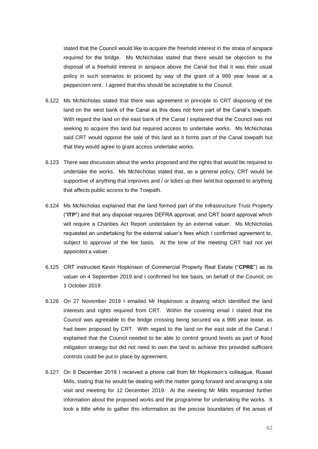stated that the Council would like to acquire the freehold interest in the strata of airspace required for the bridge. Ms McNicholas stated that there would be objection to the disposal of a freehold interest in airspace above the Canal but that it was their usual policy in such scenarios to proceed by way of the grant of a 999 year lease at a peppercorn rent. I agreed that this should be acceptable to the Council.

- 6.122 Ms McNicholas stated that there was agreement in principle to CRT disposing of the land on the west bank of the Canal as this does not form part of the Canal's towpath. With regard the land on the east bank of the Canal I explained that the Council was not seeking to acquire this land but required access to undertake works. Ms McNicholas said CRT would oppose the sale of this land as it forms part of the Canal towpath but that they would agree to grant access undertake works.
- 6.123 There was discussion about the works proposed and the rights that would be required to undertake the works. Ms McNicholas stated that, as a general policy, CRT would be supportive of anything that improves and / or tidies up their land but opposed to anything that affects public access to the Towpath.
- 6.124 Ms McNicholas explained that the land formed part of the Infrastructure Trust Property ("**ITP**") and that any disposal requires DEFRA approval, and CRT board approval which will require a Charities Act Report undertaken by an external valuer. Ms McNicholas requested an undertaking for the external valuer's fees which I confirmed agreement to, subject to approval of the fee basis. At the time of the meeting CRT had not yet appointed a valuer.
- 6.125 CRT instructed Kevin Hopkinson of Commercial Property Real Estate ("**CPRE**") as its valuer on 4 September 2019 and I confirmed his fee basis, on behalf of the Council, on 1 October 2019.
- 6.126 On 27 November 2019 I emailed Mr Hopkinson a drawing which identified the land interests and rights required from CRT. Within the covering email I stated that the Council was agreeable to the bridge crossing being secured via a 999 year lease, as had been proposed by CRT. With regard to the land on the east side of the Canal I explained that the Council needed to be able to control ground levels as part of flood mitigation strategy but did not need to own the land to achieve this provided sufficient controls could be put in place by agreement.
- 6.127 On 9 December 2019 I received a phone call from Mr Hopkinson's colleague, Russel Mills, stating that he would be dealing with the matter going forward and arranging a site visit and meeting for 12 December 2019. At the meeting Mr Mills requested further information about the proposed works and the programme for undertaking the works. It took a little while to gather this information as the precise boundaries of the areas of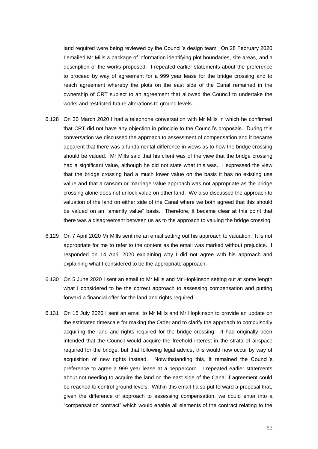land required were being reviewed by the Council's design team. On 28 February 2020 I emailed Mr Mills a package of information identifying plot boundaries, site areas, and a description of the works proposed. I repeated earlier statements about the preference to proceed by way of agreement for a 999 year lease for the bridge crossing and to reach agreement whereby the plots on the east side of the Canal remained in the ownership of CRT subject to an agreement that allowed the Council to undertake the works and restricted future alterations to ground levels.

- 6.128 On 30 March 2020 I had a telephone conversation with Mr Mills in which he confirmed that CRT did not have any objection in principle to the Council's proposals. During this conversation we discussed the approach to assessment of compensation and it became apparent that there was a fundamental difference in views as to how the bridge crossing should be valued. Mr Mills said that his client was of the view that the bridge crossing had a significant value, although he did not state what this was. I expressed the view that the bridge crossing had a much lower value on the basis it has no existing use value and that a ransom or marriage value approach was not appropriate as the bridge crossing alone does not unlock value on other land. We also discussed the approach to valuation of the land on either side of the Canal where we both agreed that this should be valued on an "amenity value" basis. Therefore, it became clear at this point that there was a disagreement between us as to the approach to valuing the bridge crossing.
- 6.129 On 7 April 2020 Mr Mills sent me an email setting out his approach to valuation. It is not appropriate for me to refer to the content as the email was marked without prejudice. I responded on 14 April 2020 explaining why I did not agree with his approach and explaining what I considered to be the appropriate approach.
- 6.130 On 5 June 2020 I sent an email to Mr Mills and Mr Hopkinson setting out at some length what I considered to be the correct approach to assessing compensation and putting forward a financial offer for the land and rights required.
- 6.131 On 15 July 2020 I sent an email to Mr Mills and Mr Hopkinson to provide an update on the estimated timescale for making the Order and to clarify the approach to compulsorily acquiring the land and rights required for the bridge crossing. It had originally been intended that the Council would acquire the freehold interest in the strata of airspace required for the bridge, but that following legal advice, this would now occur by way of acquisition of new rights instead. Notwithstanding this, it remained the Council's preference to agree a 999 year lease at a peppercorn. I repeated earlier statements about not needing to acquire the land on the east side of the Canal if agreement could be reached to control ground levels. Within this email I also put forward a proposal that, given the difference of approach to assessing compensation, we could enter into a "compensation contract" which would enable all elements of the contract relating to the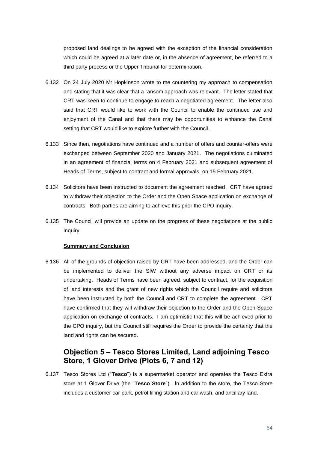proposed land dealings to be agreed with the exception of the financial consideration which could be agreed at a later date or, in the absence of agreement, be referred to a third party process or the Upper Tribunal for determination.

- 6.132 On 24 July 2020 Mr Hopkinson wrote to me countering my approach to compensation and stating that it was clear that a ransom approach was relevant. The letter stated that CRT was keen to continue to engage to reach a negotiated agreement. The letter also said that CRT would like to work with the Council to enable the continued use and enjoyment of the Canal and that there may be opportunities to enhance the Canal setting that CRT would like to explore further with the Council.
- 6.133 Since then, negotiations have continued and a number of offers and counter-offers were exchanged between September 2020 and January 2021. The negotiations culminated in an agreement of financial terms on 4 February 2021 and subsequent agreement of Heads of Terms, subject to contract and formal approvals, on 15 February 2021.
- 6.134 Solicitors have been instructed to document the agreement reached. CRT have agreed to withdraw their objection to the Order and the Open Space application on exchange of contracts. Both parties are aiming to achieve this prior the CPO inquiry.
- 6.135 The Council will provide an update on the progress of these negotiations at the public inquiry.

## **Summary and Conclusion**

6.136 All of the grounds of objection raised by CRT have been addressed, and the Order can be implemented to deliver the SIW without any adverse impact on CRT or its undertaking. Heads of Terms have been agreed, subject to contract, for the acquisition of land interests and the grant of new rights which the Council require and solicitors have been instructed by both the Council and CRT to complete the agreement. CRT have confirmed that they will withdraw their objection to the Order and the Open Space application on exchange of contracts. I am optimistic that this will be achieved prior to the CPO inquiry, but the Council still requires the Order to provide the certainty that the land and rights can be secured.

# **Objection 5 – Tesco Stores Limited, Land adjoining Tesco Store, 1 Glover Drive (Plots 6, 7 and 12)**

6.137 Tesco Stores Ltd ("**Tesco**") is a supermarket operator and operates the Tesco Extra store at 1 Glover Drive (the "**Tesco Store**"). In addition to the store, the Tesco Store includes a customer car park, petrol filling station and car wash, and ancillary land.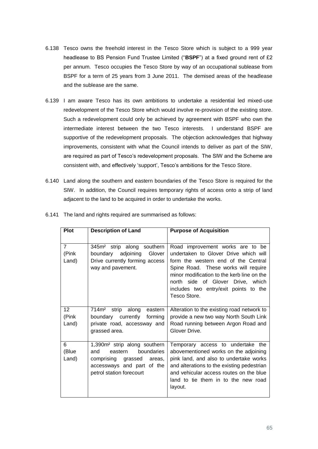- 6.138 Tesco owns the freehold interest in the Tesco Store which is subject to a 999 year headlease to BS Pension Fund Trustee Limited ("**BSPF**") at a fixed ground rent of £2 per annum. Tesco occupies the Tesco Store by way of an occupational sublease from BSPF for a term of 25 years from 3 June 2011. The demised areas of the headlease and the sublease are the same.
- <span id="page-64-0"></span>6.139 I am aware Tesco has its own ambitions to undertake a residential led mixed-use redevelopment of the Tesco Store which would involve re-provision of the existing store. Such a redevelopment could only be achieved by agreement with BSPF who own the intermediate interest between the two Tesco interests. I understand BSPF are supportive of the redevelopment proposals. The objection acknowledges that highway improvements, consistent with what the Council intends to deliver as part of the SIW, are required as part of Tesco's redevelopment proposals. The SIW and the Scheme are consistent with, and effectively 'support', Tesco's ambitions for the Tesco Store.
- <span id="page-64-1"></span>6.140 Land along the southern and eastern boundaries of the Tesco Store is required for the SIW. In addition, the Council requires temporary rights of access onto a strip of land adjacent to the land to be acquired in order to undertake the works.

| <b>Plot</b>                      | <b>Description of Land</b>                                                                                                                                      | <b>Purpose of Acquisition</b>                                                                                                                                                                                                                                                                        |
|----------------------------------|-----------------------------------------------------------------------------------------------------------------------------------------------------------------|------------------------------------------------------------------------------------------------------------------------------------------------------------------------------------------------------------------------------------------------------------------------------------------------------|
| $\overline{7}$<br>(Pink<br>Land) | 345m <sup>2</sup> strip along southern<br>Glover<br>boundary<br>adjoining<br>Drive currently forming access<br>way and pavement.                                | Road improvement works are to be<br>undertaken to Glover Drive which will<br>form the western end of the Central<br>Spine Road. These works will require<br>minor modification to the kerb line on the<br>north side of Glover Drive, which<br>includes two entry/exit points to the<br>Tesco Store. |
| 12<br>(Pink<br>Land)             | 714m <sup>2</sup><br>along<br>strip<br>eastern<br>boundary currently<br>forming<br>private road, accessway and<br>grassed area.                                 | Alteration to the existing road network to<br>provide a new two way North South Link<br>Road running between Argon Road and<br>Glover Drive.                                                                                                                                                         |
| 6<br>(Blue<br>Land)              | 1,390m <sup>2</sup> strip along southern<br>boundaries<br>eastern<br>and<br>comprising grassed areas,<br>accessways and part of the<br>petrol station forecourt | Temporary access to undertake the<br>abovementioned works on the adjoining<br>pink land, and also to undertake works<br>and alterations to the existing pedestrian<br>and vehicular access routes on the blue<br>land to tie them in to the new road<br>layout.                                      |

6.141 The land and rights required are summarised as follows: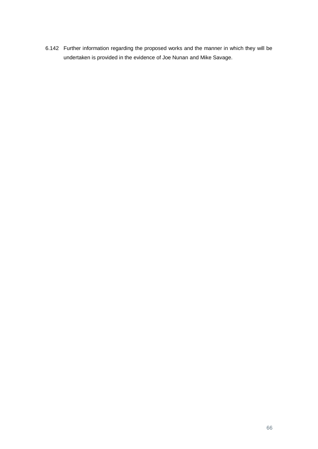<span id="page-65-0"></span>6.142 Further information regarding the proposed works and the manner in which they will be undertaken is provided in the evidence of Joe Nunan and Mike Savage.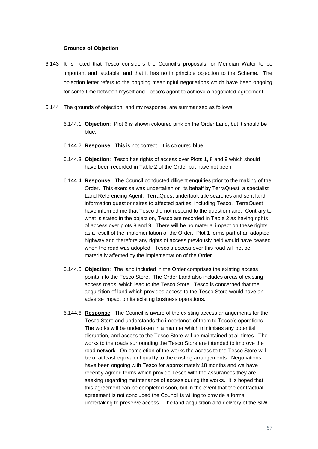### **Grounds of Objection**

- 6.143 It is noted that Tesco considers the Council's proposals for Meridian Water to be important and laudable, and that it has no in principle objection to the Scheme. The objection letter refers to the ongoing meaningful negotiations which have been ongoing for some time between myself and Tesco's agent to achieve a negotiated agreement.
- 6.144 The grounds of objection, and my response, are summarised as follows:
	- 6.144.1 **Objection**: Plot 6 is shown coloured pink on the Order Land, but it should be blue.
	- 6.144.2 **Response**: This is not correct. It is coloured blue.
	- 6.144.3 **Objection**: Tesco has rights of access over Plots 1, 8 and 9 which should have been recorded in Table 2 of the Order but have not been.
	- 6.144.4 **Response**: The Council conducted diligent enquiries prior to the making of the Order. This exercise was undertaken on its behalf by TerraQuest, a specialist Land Referencing Agent. TerraQuest undertook title searches and sent land information questionnaires to affected parties, including Tesco. TerraQuest have informed me that Tesco did not respond to the questionnaire. Contrary to what is stated in the objection, Tesco are recorded in Table 2 as having rights of access over plots 8 and 9. There will be no material impact on these rights as a result of the implementation of the Order. Plot 1 forms part of an adopted highway and therefore any rights of access previously held would have ceased when the road was adopted. Tesco's access over this road will not be materially affected by the implementation of the Order.
	- 6.144.5 **Objection**: The land included in the Order comprises the existing access points into the Tesco Store. The Order Land also includes areas of existing access roads, which lead to the Tesco Store. Tesco is concerned that the acquisition of land which provides access to the Tesco Store would have an adverse impact on its existing business operations.
	- 6.144.6 **Response**: The Council is aware of the existing access arrangements for the Tesco Store and understands the importance of them to Tesco's operations. The works will be undertaken in a manner which minimises any potential disruption, and access to the Tesco Store will be maintained at all times. The works to the roads surrounding the Tesco Store are intended to improve the road network. On completion of the works the access to the Tesco Store will be of at least equivalent quality to the existing arrangements. Negotiations have been ongoing with Tesco for approximately 18 months and we have recently agreed terms which provide Tesco with the assurances they are seeking regarding maintenance of access during the works. It is hoped that this agreement can be completed soon, but in the event that the contractual agreement is not concluded the Council is willing to provide a formal undertaking to preserve access. The land acquisition and delivery of the SIW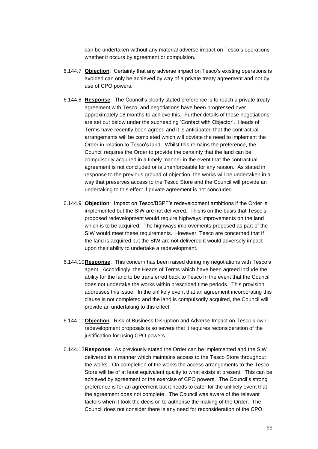can be undertaken without any material adverse impact on Tesco's operations whether it occurs by agreement or compulsion.

- 6.144.7 **Objection**: Certainty that any adverse impact on Tesco's existing operations is avoided can only be achieved by way of a private treaty agreement and not by use of CPO powers.
- 6.144.8 **Response**: The Council's clearly stated preference is to reach a private treaty agreement with Tesco, and negotiations have been progressed over approximately 18 months to achieve this. Further details of these negotiations are set out below under the subheading 'Contact with Objector'. Heads of Terms have recently been agreed and it is anticipated that the contractual arrangements will be completed which will obviate the need to implement the Order in relation to Tesco's land. Whilst this remains the preference, the Council requires the Order to provide the certainty that the land can be compulsorily acquired in a timely manner in the event that the contractual agreement is not concluded or is unenforceable for any reason. As stated in response to the previous ground of objection, the works will be undertaken in a way that preserves access to the Tesco Store and the Council will provide an undertaking to this effect if private agreement is not concluded.
- 6.144.9 **Objection**: Impact on Tesco/BSPF's redevelopment ambitions if the Order is implemented but the SIW are not delivered. This is on the basis that Tesco's proposed redevelopment would require highways improvements on the land which is to be acquired. The highways improvements proposed as part of the SIW would meet these requirements. However, Tesco are concerned that if the land is acquired but the SIW are not delivered it would adversely impact upon their ability to undertake a redevelopment.
- 6.144.10**Response**: This concern has been raised during my negotiations with Tesco's agent. Accordingly, the Heads of Terms which have been agreed include the ability for the land to be transferred back to Tesco in the event that the Council does not undertake the works within prescribed time periods. This provision addresses this issue. In the unlikely event that an agreement incorporating this clause is not completed and the land is compulsorily acquired, the Council will provide an undertaking to this effect.
- 6.144.11**Objection**: Risk of Business Disruption and Adverse Impact on Tesco's own redevelopment proposals is so severe that it requires reconsideration of the justification for using CPO powers.
- 6.144.12**Response**: As previously stated the Order can be implemented and the SIW delivered in a manner which maintains access to the Tesco Store throughout the works. On completion of the works the access arrangements to the Tesco Store will be of at least equivalent quality to what exists at present. This can be achieved by agreement or the exercise of CPO powers. The Council's strong preference is for an agreement but it needs to cater for the unlikely event that the agreement does not complete. The Council was aware of the relevant factors when it took the decision to authorise the making of the Order. The Council does not consider there is any need for reconsideration of the CPO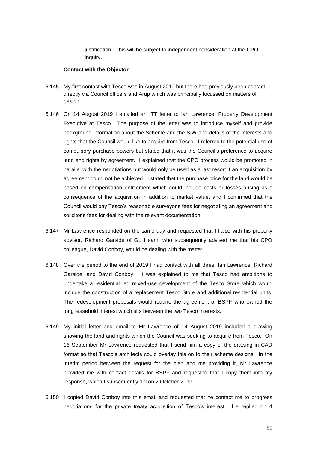justification. This will be subject to independent consideration at the CPO inquiry.

## **Contact with the Objector**

- 6.145 My first contact with Tesco was in August 2019 but there had previously been contact directly via Council officers and Arup which was principally focussed on matters of design.
- 6.146 On 14 August 2019 I emailed an ITT letter to Ian Lawrence, Property Development Executive at Tesco. The purpose of the letter was to introduce myself and provide background information about the Scheme and the SIW and details of the interests and rights that the Council would like to acquire from Tesco. I referred to the potential use of compulsory purchase powers but stated that it was the Council's preference to acquire land and rights by agreement. I explained that the CPO process would be promoted in parallel with the negotiations but would only be used as a last resort if an acquisition by agreement could not be achieved. I stated that the purchase price for the land would be based on compensation entitlement which could include costs or losses arising as a consequence of the acquisition in addition to market value, and I confirmed that the Council would pay Tesco's reasonable surveyor's fees for negotiating an agreement and solicitor's fees for dealing with the relevant documentation.
- 6.147 Mr Lawrence responded on the same day and requested that I liaise with his property advisor, Richard Garside of GL Hearn, who subsequently advised me that his CPO colleague, David Conboy, would be dealing with the matter.
- 6.148 Over the period to the end of 2019 I had contact with all three: Ian Lawrence; Richard Garside; and David Conboy. It was explained to me that Tesco had ambitions to undertake a residential led mixed-use development of the Tesco Store which would include the construction of a replacement Tesco Store and additional residential units. The redevelopment proposals would require the agreement of BSPF who owned the long leasehold interest which sits between the two Tesco interests.
- 6.149 My initial letter and email to Mr Lawrence of 14 August 2019 included a drawing showing the land and rights which the Council was seeking to acquire from Tesco. On 16 September Mr Lawrence requested that I send him a copy of the drawing in CAD format so that Tesco's architects could overlay this on to their scheme designs. In the interim period between the request for the plan and me providing it, Mr Lawrence provided me with contact details for BSPF and requested that I copy them into my response, which I subsequently did on 2 October 2019.
- 6.150 I copied David Conboy into this email and requested that he contact me to progress negotiations for the private treaty acquisition of Tesco's interest. He replied on 4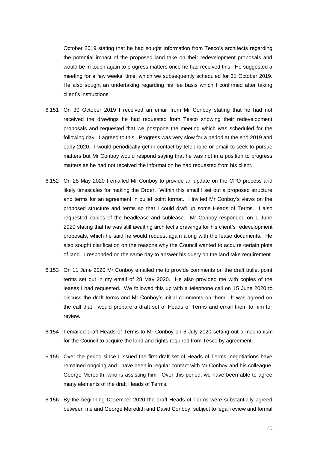October 2019 stating that he had sought information from Tesco's architects regarding the potential impact of the proposed land take on their redevelopment proposals and would be in touch again to progress matters once he had received this. He suggested a meeting for a few weeks' time, which we subsequently scheduled for 31 October 2019. He also sought an undertaking regarding his fee basis which I confirmed after taking client's instructions.

- 6.151 On 30 October 2019 I received an email from Mr Conboy stating that he had not received the drawings he had requested from Tesco showing their redevelopment proposals and requested that we postpone the meeting which was scheduled for the following day. I agreed to this. Progress was very slow for a period at the end 2019 and early 2020. I would periodically get in contact by telephone or email to seek to pursue matters but Mr Conboy would respond saying that he was not in a position to progress matters as he had not received the information he had requested from his client.
- 6.152 On 28 May 2020 I emailed Mr Conboy to provide an update on the CPO process and likely timescales for making the Order. Within this email I set out a proposed structure and terms for an agreement in bullet point format. I invited Mr Conboy's views on the proposed structure and terms so that I could draft up some Heads of Terms. I also requested copies of the headlease and sublease. Mr Conboy responded on 1 June 2020 stating that he was still awaiting architect's drawings for his client's redevelopment proposals, which he said he would request again along with the lease documents. He also sought clarification on the reasons why the Council wanted to acquire certain plots of land. I responded on the same day to answer his query on the land take requirement.
- 6.153 On 11 June 2020 Mr Conboy emailed me to provide comments on the draft bullet point terms set out in my email of 28 May 2020. He also provided me with copies of the leases I had requested. We followed this up with a telephone call on 15 June 2020 to discuss the draft terms and Mr Conboy's initial comments on them. It was agreed on the call that I would prepare a draft set of Heads of Terms and email them to him for review.
- 6.154 I emailed draft Heads of Terms to Mr Conboy on 6 July 2020 setting out a mechanism for the Council to acquire the land and rights required from Tesco by agreement.
- 6.155 Over the period since I issued the first draft set of Heads of Terms, negotiations have remained ongoing and I have been in regular contact with Mr Conboy and his colleague, George Meredith, who is assisting him. Over this period, we have been able to agree many elements of the draft Heads of Terms.
- 6.156 By the beginning December 2020 the draft Heads of Terms were substantially agreed between me and George Meredith and David Conboy, subject to legal review and formal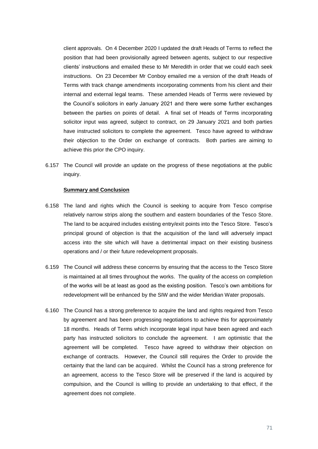client approvals. On 4 December 2020 I updated the draft Heads of Terms to reflect the position that had been provisionally agreed between agents, subject to our respective clients' instructions and emailed these to Mr Meredith in order that we could each seek instructions. On 23 December Mr Conboy emailed me a version of the draft Heads of Terms with track change amendments incorporating comments from his client and their internal and external legal teams. These amended Heads of Terms were reviewed by the Council's solicitors in early January 2021 and there were some further exchanges between the parties on points of detail. A final set of Heads of Terms incorporating solicitor input was agreed, subject to contract, on 29 January 2021 and both parties have instructed solicitors to complete the agreement. Tesco have agreed to withdraw their objection to the Order on exchange of contracts. Both parties are aiming to achieve this prior the CPO inquiry.

6.157 The Council will provide an update on the progress of these negotiations at the public inquiry.

### **Summary and Conclusion**

- 6.158 The land and rights which the Council is seeking to acquire from Tesco comprise relatively narrow strips along the southern and eastern boundaries of the Tesco Store. The land to be acquired includes existing entry/exit points into the Tesco Store. Tesco's principal ground of objection is that the acquisition of the land will adversely impact access into the site which will have a detrimental impact on their existing business operations and / or their future redevelopment proposals.
- 6.159 The Council will address these concerns by ensuring that the access to the Tesco Store is maintained at all times throughout the works. The quality of the access on completion of the works will be at least as good as the existing position. Tesco's own ambitions for redevelopment will be enhanced by the SIW and the wider Meridian Water proposals.
- 6.160 The Council has a strong preference to acquire the land and rights required from Tesco by agreement and has been progressing negotiations to achieve this for approximately 18 months. Heads of Terms which incorporate legal input have been agreed and each party has instructed solicitors to conclude the agreement. I am optimistic that the agreement will be completed. Tesco have agreed to withdraw their objection on exchange of contracts. However, the Council still requires the Order to provide the certainty that the land can be acquired. Whilst the Council has a strong preference for an agreement, access to the Tesco Store will be preserved if the land is acquired by compulsion, and the Council is willing to provide an undertaking to that effect, if the agreement does not complete.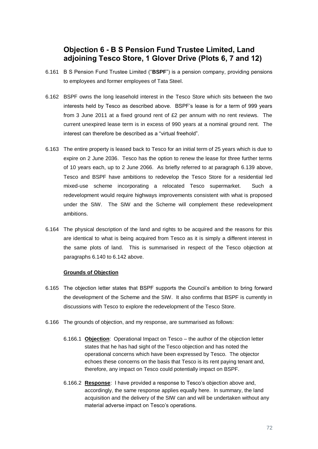## **Objection 6 - B S Pension Fund Trustee Limited, Land adjoining Tesco Store, 1 Glover Drive (Plots 6, 7 and 12)**

- 6.161 B S Pension Fund Trustee Limited ("**BSPF**") is a pension company, providing pensions to employees and former employees of Tata Steel.
- 6.162 BSPF owns the long leasehold interest in the Tesco Store which sits between the two interests held by Tesco as described above. BSPF's lease is for a term of 999 years from 3 June 2011 at a fixed ground rent of £2 per annum with no rent reviews. The current unexpired lease term is in excess of 990 years at a nominal ground rent. The interest can therefore be described as a "virtual freehold".
- 6.163 The entire property is leased back to Tesco for an initial term of 25 years which is due to expire on 2 June 2036. Tesco has the option to renew the lease for three further terms of 10 years each, up to 2 June 2066. As briefly referred to at paragraph [6.139](#page-64-0) above, Tesco and BSPF have ambitions to redevelop the Tesco Store for a residential led mixed-use scheme incorporating a relocated Tesco supermarket. Such a redevelopment would require highways improvements consistent with what is proposed under the SIW. The SIW and the Scheme will complement these redevelopment ambitions.
- 6.164 The physical description of the land and rights to be acquired and the reasons for this are identical to what is being acquired from Tesco as it is simply a different interest in the same plots of land. This is summarised in respect of the Tesco objection at paragraphs [6.140](#page-64-1) to [6.142](#page-65-0) above.

## **Grounds of Objection**

- 6.165 The objection letter states that BSPF supports the Council's ambition to bring forward the development of the Scheme and the SIW. It also confirms that BSPF is currently in discussions with Tesco to explore the redevelopment of the Tesco Store.
- 6.166 The grounds of objection, and my response, are summarised as follows:
	- 6.166.1 **Objection**: Operational Impact on Tesco the author of the objection letter states that he has had sight of the Tesco objection and has noted the operational concerns which have been expressed by Tesco. The objector echoes these concerns on the basis that Tesco is its rent paying tenant and, therefore, any impact on Tesco could potentially impact on BSPF.
	- 6.166.2 **Response**: I have provided a response to Tesco's objection above and, accordingly, the same response applies equally here. In summary, the land acquisition and the delivery of the SIW can and will be undertaken without any material adverse impact on Tesco's operations.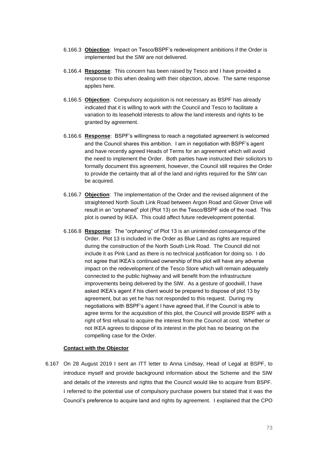- 6.166.3 **Objection**: Impact on Tesco/BSPF's redevelopment ambitions if the Order is implemented but the SIW are not delivered.
- 6.166.4 **Response**: This concern has been raised by Tesco and I have provided a response to this when dealing with their objection, above. The same response applies here.
- 6.166.5 **Objection**: Compulsory acquisition is not necessary as BSPF has already indicated that it is willing to work with the Council and Tesco to facilitate a variation to its leasehold interests to allow the land interests and rights to be granted by agreement.
- 6.166.6 **Response**: BSPF's willingness to reach a negotiated agreement is welcomed and the Council shares this ambition. I am in negotiation with BSPF's agent and have recently agreed Heads of Terms for an agreement which will avoid the need to implement the Order. Both parties have instructed their solicitors to formally document this agreement, however, the Council still requires the Order to provide the certainty that all of the land and rights required for the SIW can be acquired.
- <span id="page-72-0"></span>6.166.7 **Objection**: The implementation of the Order and the revised alignment of the straightened North South Link Road between Argon Road and Glover Drive will result in an "orphaned" plot (Plot 13) on the Tesco/BSPF side of the road. This plot is owned by IKEA. This could affect future redevelopment potential.
- 6.166.8 **Response**: The "orphaning" of Plot 13 is an unintended consequence of the Order. Plot 13 is included in the Order as Blue Land as rights are required during the construction of the North South Link Road. The Council did not include it as Pink Land as there is no technical justification for doing so. I do not agree that IKEA's continued ownership of this plot will have any adverse impact on the redevelopment of the Tesco Store which will remain adequately connected to the public highway and will benefit from the infrastructure improvements being delivered by the SIW. As a gesture of goodwill, I have asked IKEA's agent if his client would be prepared to dispose of plot 13 by agreement, but as yet he has not responded to this request. During my negotiations with BSPF's agent I have agreed that, if the Council is able to agree terms for the acquisition of this plot, the Council will provide BSPF with a right of first refusal to acquire the interest from the Council at cost. Whether or not IKEA agrees to dispose of its interest in the plot has no bearing on the compelling case for the Order.

### **Contact with the Objector**

6.167 On 28 August 2019 I sent an ITT letter to Anna Lindsay, Head of Legal at BSPF, to introduce myself and provide background information about the Scheme and the SIW and details of the interests and rights that the Council would like to acquire from BSPF. I referred to the potential use of compulsory purchase powers but stated that it was the Council's preference to acquire land and rights by agreement. I explained that the CPO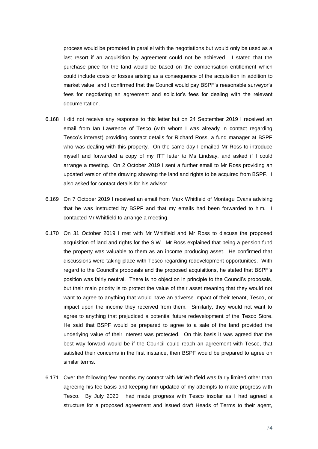process would be promoted in parallel with the negotiations but would only be used as a last resort if an acquisition by agreement could not be achieved. I stated that the purchase price for the land would be based on the compensation entitlement which could include costs or losses arising as a consequence of the acquisition in addition to market value, and I confirmed that the Council would pay BSPF's reasonable surveyor's fees for negotiating an agreement and solicitor's fees for dealing with the relevant documentation.

- 6.168 I did not receive any response to this letter but on 24 September 2019 I received an email from Ian Lawrence of Tesco (with whom I was already in contact regarding Tesco's interest) providing contact details for Richard Ross, a fund manager at BSPF who was dealing with this property. On the same day I emailed Mr Ross to introduce myself and forwarded a copy of my ITT letter to Ms Lindsay, and asked if I could arrange a meeting. On 2 October 2019 I sent a further email to Mr Ross providing an updated version of the drawing showing the land and rights to be acquired from BSPF. I also asked for contact details for his advisor.
- 6.169 On 7 October 2019 I received an email from Mark Whitfield of Montagu Evans advising that he was instructed by BSPF and that my emails had been forwarded to him. I contacted Mr Whitfield to arrange a meeting.
- 6.170 On 31 October 2019 I met with Mr Whitfield and Mr Ross to discuss the proposed acquisition of land and rights for the SIW. Mr Ross explained that being a pension fund the property was valuable to them as an income producing asset. He confirmed that discussions were taking place with Tesco regarding redevelopment opportunities. With regard to the Council's proposals and the proposed acquisitions, he stated that BSPF's position was fairly neutral. There is no objection in principle to the Council's proposals, but their main priority is to protect the value of their asset meaning that they would not want to agree to anything that would have an adverse impact of their tenant, Tesco, or impact upon the income they received from them. Similarly, they would not want to agree to anything that prejudiced a potential future redevelopment of the Tesco Store. He said that BSPF would be prepared to agree to a sale of the land provided the underlying value of their interest was protected. On this basis it was agreed that the best way forward would be if the Council could reach an agreement with Tesco, that satisfied their concerns in the first instance, then BSPF would be prepared to agree on similar terms.
- 6.171 Over the following few months my contact with Mr Whitfield was fairly limited other than agreeing his fee basis and keeping him updated of my attempts to make progress with Tesco. By July 2020 I had made progress with Tesco insofar as I had agreed a structure for a proposed agreement and issued draft Heads of Terms to their agent,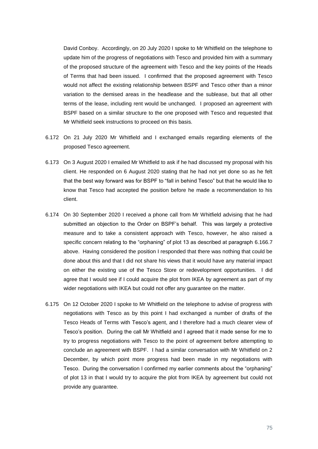David Conboy. Accordingly, on 20 July 2020 I spoke to Mr Whitfield on the telephone to update him of the progress of negotiations with Tesco and provided him with a summary of the proposed structure of the agreement with Tesco and the key points of the Heads of Terms that had been issued. I confirmed that the proposed agreement with Tesco would not affect the existing relationship between BSPF and Tesco other than a minor variation to the demised areas in the headlease and the sublease, but that all other terms of the lease, including rent would be unchanged. I proposed an agreement with BSPF based on a similar structure to the one proposed with Tesco and requested that Mr Whitfield seek instructions to proceed on this basis.

- 6.172 On 21 July 2020 Mr Whitfield and I exchanged emails regarding elements of the proposed Tesco agreement.
- 6.173 On 3 August 2020 I emailed Mr Whitfield to ask if he had discussed my proposal with his client. He responded on 6 August 2020 stating that he had not yet done so as he felt that the best way forward was for BSPF to "fall in behind Tesco" but that he would like to know that Tesco had accepted the position before he made a recommendation to his client.
- 6.174 On 30 September 2020 I received a phone call from Mr Whitfield advising that he had submitted an objection to the Order on BSPF's behalf. This was largely a protective measure and to take a consistent approach with Tesco, however, he also raised a specific concern relating to the "orphaning" of plot 13 as described at paragraph [6.166.7](#page-72-0) above. Having considered the position I responded that there was nothing that could be done about this and that I did not share his views that it would have any material impact on either the existing use of the Tesco Store or redevelopment opportunities. I did agree that I would see if I could acquire the plot from IKEA by agreement as part of my wider negotiations with IKEA but could not offer any guarantee on the matter.
- 6.175 On 12 October 2020 I spoke to Mr Whitfield on the telephone to advise of progress with negotiations with Tesco as by this point I had exchanged a number of drafts of the Tesco Heads of Terms with Tesco's agent, and I therefore had a much clearer view of Tesco's position. During the call Mr Whitfield and I agreed that it made sense for me to try to progress negotiations with Tesco to the point of agreement before attempting to conclude an agreement with BSPF. I had a similar conversation with Mr Whitfield on 2 December, by which point more progress had been made in my negotiations with Tesco. During the conversation I confirmed my earlier comments about the "orphaning" of plot 13 in that I would try to acquire the plot from IKEA by agreement but could not provide any guarantee.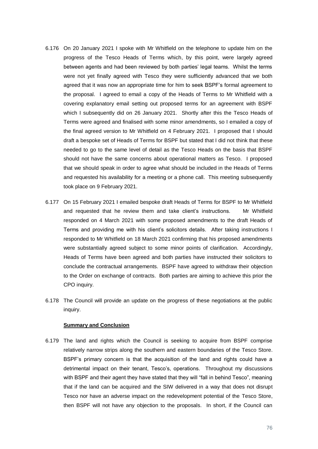- 6.176 On 20 January 2021 I spoke with Mr Whitfield on the telephone to update him on the progress of the Tesco Heads of Terms which, by this point, were largely agreed between agents and had been reviewed by both parties' legal teams. Whilst the terms were not yet finally agreed with Tesco they were sufficiently advanced that we both agreed that it was now an appropriate time for him to seek BSPF's formal agreement to the proposal. I agreed to email a copy of the Heads of Terms to Mr Whitfield with a covering explanatory email setting out proposed terms for an agreement with BSPF which I subsequently did on 26 January 2021. Shortly after this the Tesco Heads of Terms were agreed and finalised with some minor amendments, so I emailed a copy of the final agreed version to Mr Whitfield on 4 February 2021. I proposed that I should draft a bespoke set of Heads of Terms for BSPF but stated that I did not think that these needed to go to the same level of detail as the Tesco Heads on the basis that BSPF should not have the same concerns about operational matters as Tesco. I proposed that we should speak in order to agree what should be included in the Heads of Terms and requested his availability for a meeting or a phone call. This meeting subsequently took place on 9 February 2021.
- 6.177 On 15 February 2021 I emailed bespoke draft Heads of Terms for BSPF to Mr Whitfield and requested that he review them and take client's instructions. Mr Whitfield responded on 4 March 2021 with some proposed amendments to the draft Heads of Terms and providing me with his client's solicitors details. After taking instructions I responded to Mr Whitfield on 18 March 2021 confirming that his proposed amendments were substantially agreed subject to some minor points of clarification. Accordingly, Heads of Terms have been agreed and both parties have instructed their solicitors to conclude the contractual arrangements. BSPF have agreed to withdraw their objection to the Order on exchange of contracts. Both parties are aiming to achieve this prior the CPO inquiry.
- 6.178 The Council will provide an update on the progress of these negotiations at the public inquiry.

### **Summary and Conclusion**

6.179 The land and rights which the Council is seeking to acquire from BSPF comprise relatively narrow strips along the southern and eastern boundaries of the Tesco Store. BSPF's primary concern is that the acquisition of the land and rights could have a detrimental impact on their tenant, Tesco's, operations. Throughout my discussions with BSPF and their agent they have stated that they will "fall in behind Tesco", meaning that if the land can be acquired and the SIW delivered in a way that does not disrupt Tesco nor have an adverse impact on the redevelopment potential of the Tesco Store, then BSPF will not have any objection to the proposals. In short, if the Council can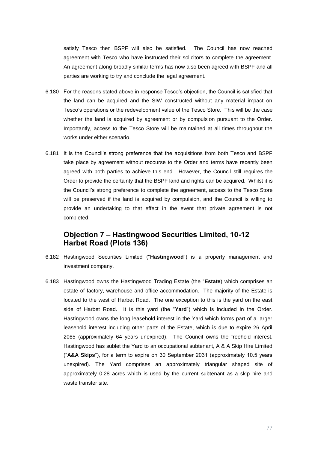satisfy Tesco then BSPF will also be satisfied. The Council has now reached agreement with Tesco who have instructed their solicitors to complete the agreement. An agreement along broadly similar terms has now also been agreed with BSPF and all parties are working to try and conclude the legal agreement.

- 6.180 For the reasons stated above in response Tesco's objection, the Council is satisfied that the land can be acquired and the SIW constructed without any material impact on Tesco's operations or the redevelopment value of the Tesco Store. This will be the case whether the land is acquired by agreement or by compulsion pursuant to the Order. Importantly, access to the Tesco Store will be maintained at all times throughout the works under either scenario.
- 6.181 It is the Council's strong preference that the acquisitions from both Tesco and BSPF take place by agreement without recourse to the Order and terms have recently been agreed with both parties to achieve this end. However, the Council still requires the Order to provide the certainty that the BSPF land and rights can be acquired. Whilst it is the Council's strong preference to complete the agreement, access to the Tesco Store will be preserved if the land is acquired by compulsion, and the Council is willing to provide an undertaking to that effect in the event that private agreement is not completed.

### **Objection 7 – Hastingwood Securities Limited, 10-12 Harbet Road (Plots 136)**

- 6.182 Hastingwood Securities Limited ("**Hastingwood**") is a property management and investment company.
- 6.183 Hastingwood owns the Hastingwood Trading Estate (the "**Estate**) which comprises an estate of factory, warehouse and office accommodation. The majority of the Estate is located to the west of Harbet Road. The one exception to this is the yard on the east side of Harbet Road. It is this yard (the "**Yard**") which is included in the Order. Hastingwood owns the long leasehold interest in the Yard which forms part of a larger leasehold interest including other parts of the Estate, which is due to expire 26 April 2085 (approximately 64 years unexpired). The Council owns the freehold interest. Hastingwood has sublet the Yard to an occupational subtenant, A & A Skip Hire Limited ("**A&A Skips**"), for a term to expire on 30 September 2031 (approximately 10.5 years unexpired). The Yard comprises an approximately triangular shaped site of approximately 0.28 acres which is used by the current subtenant as a skip hire and waste transfer site.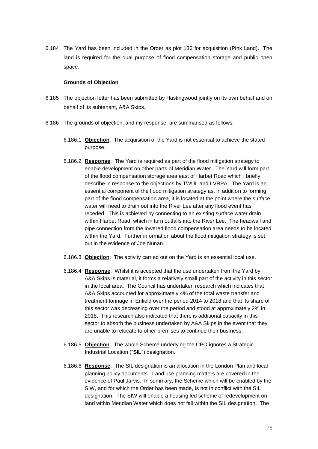6.184 The Yard has been included in the Order as plot 136 for acquisition (Pink Land). The land is required for the dual purpose of flood compensation storage and public open space.

### **Grounds of Objection**

- 6.185 The objection letter has been submitted by Hastingwood jointly on its own behalf and on behalf of its subtenant, A&A Skips.
- <span id="page-77-0"></span>6.186 The grounds of objection, and my response, are summarised as follows:
	- 6.186.1 **Objection**: The acquisition of the Yard is not essential to achieve the stated purpose.
	- 6.186.2 **Response**: The Yard is required as part of the flood mitigation strategy to enable development on other parts of Meridian Water. The Yard will form part of the flood compensation storage area east of Harbet Road which I briefly describe in response to the objections by TWUL and LVRPA. The Yard is an essential component of the flood mitigation strategy as, in addition to forming part of the flood compensation area, it is located at the point where the surface water will need to drain out into the River Lee after any flood event has receded. This is achieved by connecting to an existing surface water drain within Harbet Road, which in turn outfalls into the River Lee. The headwall and pipe connection from the lowered flood compensation area needs to be located within the Yard. Further information about the flood mitigation strategy is set out in the evidence of Joe Nunan.
	- 6.186.3 **Objection**: The activity carried out on the Yard is an essential local use.
	- 6.186.4 **Response**: Whilst it is accepted that the use undertaken from the Yard by A&A Skips is material, it forms a relatively small part of the activity in this sector in the local area. The Council has undertaken research which indicates that A&A Skips accounted for approximately 4% of the total waste transfer and treatment tonnage in Enfield over the period 2014 to 2018 and that its share of this sector was decreasing over the period and stood at approximately 2% in 2018. This research also indicated that there is additional capacity in this sector to absorb the business undertaken by A&A Skips in the event that they are unable to relocate to other premises to continue their business.
	- 6.186.5 **Objection**: The whole Scheme underlying the CPO ignores a Strategic Industrial Location ("**SIL**") designation.
	- 6.186.6 **Response**: The SIL designation is an allocation in the London Plan and local planning policy documents. Land use planning matters are covered in the evidence of Paul Jarvis. In summary, the Scheme which will be enabled by the SIW, and for which the Order has been made, is not in conflict with the SIL designation. The SIW will enable a housing led scheme of redevelopment on land within Meridian Water which does not fall within the SIL designation. The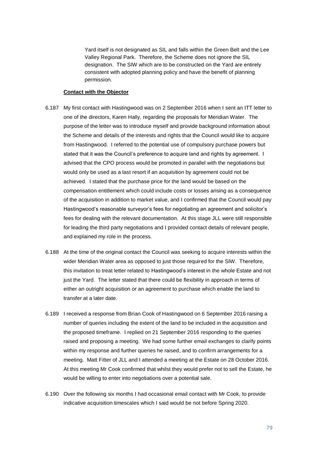Yard itself is not designated as SIL and falls within the Green Belt and the Lee Valley Regional Park. Therefore, the Scheme does not ignore the SIL designation. The SIW which are to be constructed on the Yard are entirely consistent with adopted planning policy and have the benefit of planning permission.

### **Contact with the Objector**

- 6.187 My first contact with Hastingwood was on 2 September 2016 when I sent an ITT letter to one of the directors, Karen Hally, regarding the proposals for Meridian Water. The purpose of the letter was to introduce myself and provide background information about the Scheme and details of the interests and rights that the Council would like to acquire from Hastingwood. I referred to the potential use of compulsory purchase powers but stated that it was the Council's preference to acquire land and rights by agreement. I advised that the CPO process would be promoted in parallel with the negotiations but would only be used as a last resort if an acquisition by agreement could not be achieved. I stated that the purchase price for the land would be based on the compensation entitlement which could include costs or losses arising as a consequence of the acquisition in addition to market value, and I confirmed that the Council would pay Hastingwood's reasonable surveyor's fees for negotiating an agreement and solicitor's fees for dealing with the relevant documentation. At this stage JLL were still responsible for leading the third party negotiations and I provided contact details of relevant people, and explained my role in the process.
- 6.188 At the time of the original contact the Council was seeking to acquire interests within the wider Meridian Water area as opposed to just those required for the SIW. Therefore, this invitation to treat letter related to Hastingwood's interest in the whole Estate and not just the Yard. The letter stated that there could be flexibility in approach in terms of either an outright acquisition or an agreement to purchase which enable the land to transfer at a later date.
- 6.189 I received a response from Brian Cook of Hastingwood on 6 September 2016 raising a number of queries including the extent of the land to be included in the acquisition and the proposed timeframe. I replied on 21 September 2016 responding to the queries raised and proposing a meeting. We had some further email exchanges to clarify points within my response and further queries he raised, and to confirm arrangements for a meeting. Matt Fitter of JLL and I attended a meeting at the Estate on 28 October 2016. At this meeting Mr Cook confirmed that whilst they would prefer not to sell the Estate, he would be willing to enter into negotiations over a potential sale.
- 6.190 Over the following six months I had occasional email contact with Mr Cook, to provide indicative acquisition timescales which I said would be not before Spring 2020.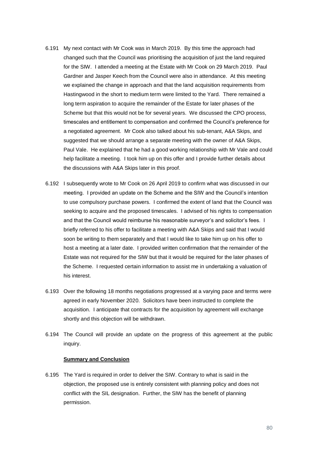- 6.191 My next contact with Mr Cook was in March 2019. By this time the approach had changed such that the Council was prioritising the acquisition of just the land required for the SIW. I attended a meeting at the Estate with Mr Cook on 29 March 2019. Paul Gardner and Jasper Keech from the Council were also in attendance. At this meeting we explained the change in approach and that the land acquisition requirements from Hastingwood in the short to medium term were limited to the Yard. There remained a long term aspiration to acquire the remainder of the Estate for later phases of the Scheme but that this would not be for several years. We discussed the CPO process, timescales and entitlement to compensation and confirmed the Council's preference for a negotiated agreement. Mr Cook also talked about his sub-tenant, A&A Skips, and suggested that we should arrange a separate meeting with the owner of A&A Skips, Paul Vale. He explained that he had a good working relationship with Mr Vale and could help facilitate a meeting. I took him up on this offer and I provide further details about the discussions with A&A Skips later in this proof.
- 6.192 I subsequently wrote to Mr Cook on 26 April 2019 to confirm what was discussed in our meeting. I provided an update on the Scheme and the SIW and the Council's intention to use compulsory purchase powers. I confirmed the extent of land that the Council was seeking to acquire and the proposed timescales. I advised of his rights to compensation and that the Council would reimburse his reasonable surveyor's and solicitor's fees. I briefly referred to his offer to facilitate a meeting with A&A Skips and said that I would soon be writing to them separately and that I would like to take him up on his offer to host a meeting at a later date. I provided written confirmation that the remainder of the Estate was not required for the SIW but that it would be required for the later phases of the Scheme. I requested certain information to assist me in undertaking a valuation of his interest.
- 6.193 Over the following 18 months negotiations progressed at a varying pace and terms were agreed in early November 2020. Solicitors have been instructed to complete the acquisition. I anticipate that contracts for the acquisition by agreement will exchange shortly and this objection will be withdrawn.
- 6.194 The Council will provide an update on the progress of this agreement at the public inquiry.

### **Summary and Conclusion**

6.195 The Yard is required in order to deliver the SIW. Contrary to what is said in the objection, the proposed use is entirely consistent with planning policy and does not conflict with the SIL designation. Further, the SIW has the benefit of planning permission.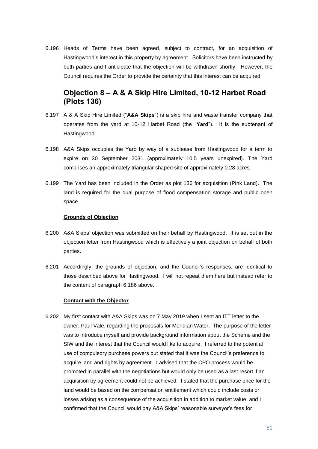6.196 Heads of Terms have been agreed, subject to contract, for an acquisition of Hastingwood's interest in this property by agreement. Solicitors have been instructed by both parties and I anticipate that the objection will be withdrawn shortly. However, the Council requires the Order to provide the certainty that this interest can be acquired.

## **Objection 8 – A & A Skip Hire Limited, 10-12 Harbet Road (Plots 136)**

- 6.197 A & A Skip Hire Limited ("**A&A Skips**") is a skip hire and waste transfer company that operates from the yard at 10-12 Harbet Road (the "**Yard**"). It is the subtenant of Hastingwood.
- 6.198 A&A Skips occupies the Yard by way of a sublease from Hastingwood for a term to expire on 30 September 2031 (approximately 10.5 years unexpired). The Yard comprises an approximately triangular shaped site of approximately 0.28 acres.
- 6.199 The Yard has been included in the Order as plot 136 for acquisition (Pink Land). The land is required for the dual purpose of flood compensation storage and public open space.

### **Grounds of Objection**

- 6.200 A&A Skips' objection was submitted on their behalf by Hastingwood. It is set out in the objection letter from Hastingwood which is effectively a joint objection on behalf of both parties.
- 6.201 Accordingly, the grounds of objection, and the Council's responses, are identical to those described above for Hastingwood. I will not repeat them here but instead refer to the content of paragraph [6.186](#page-77-0) above.

#### **Contact with the Objector**

6.202 My first contact with A&A Skips was on 7 May 2019 when I sent an ITT letter to the owner, Paul Vale, regarding the proposals for Meridian Water. The purpose of the letter was to introduce myself and provide background information about the Scheme and the SIW and the interest that the Council would like to acquire. I referred to the potential use of compulsory purchase powers but stated that it was the Council's preference to acquire land and rights by agreement. I advised that the CPO process would be promoted in parallel with the negotiations but would only be used as a last resort if an acquisition by agreement could not be achieved. I stated that the purchase price for the land would be based on the compensation entitlement which could include costs or losses arising as a consequence of the acquisition in addition to market value, and I confirmed that the Council would pay A&A Skips' reasonable surveyor's fees for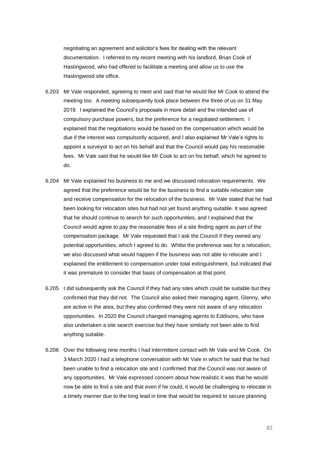negotiating an agreement and solicitor's fees for dealing with the relevant documentation. I referred to my recent meeting with his landlord, Brian Cook of Hastingwood, who had offered to facilitate a meeting and allow us to use the Hastingwood site office.

- 6.203 Mr Vale responded, agreeing to meet and said that he would like Mr Cook to attend the meeting too. A meeting subsequently took place between the three of us on 31 May 2019. I explained the Council's proposals in more detail and the intended use of compulsory purchase powers, but the preference for a negotiated settlement. I explained that the negotiations would be based on the compensation which would be due if the interest was compulsorily acquired, and I also explained Mr Vale's rights to appoint a surveyor to act on his behalf and that the Council would pay his reasonable fees. Mr Vale said that he would like Mr Cook to act on his behalf, which he agreed to do.
- 6.204 Mr Vale explained his business to me and we discussed relocation requirements. We agreed that the preference would be for the business to find a suitable relocation site and receive compensation for the relocation of the business. Mr Vale stated that he had been looking for relocation sites but had not yet found anything suitable. It was agreed that he should continue to search for such opportunities, and I explained that the Council would agree to pay the reasonable fees of a site finding agent as part of the compensation package. Mr Vale requested that I ask the Council if they owned any potential opportunities, which I agreed to do. Whilst the preference was for a relocation, we also discussed what would happen if the business was not able to relocate and I explained the entitlement to compensation under total extinguishment, but indicated that it was premature to consider that basis of compensation at that point.
- 6.205 I did subsequently ask the Council if they had any sites which could be suitable but they confirmed that they did not. The Council also asked their managing agent, Glenny, who are active in the area, but they also confirmed they were not aware of any relocation opportunities. In 2020 the Council changed managing agents to Eddisons, who have also undertaken a site search exercise but they have similarly not been able to find anything suitable.
- 6.206 Over the following nine months I had intermittent contact with Mr Vale and Mr Cook. On 3 March 2020 I had a telephone conversation with Mr Vale in which he said that he had been unable to find a relocation site and I confirmed that the Council was not aware of any opportunities. Mr Vale expressed concern about how realistic it was that he would now be able to find a site and that even if he could, it would be challenging to relocate in a timely manner due to the long lead in time that would be required to secure planning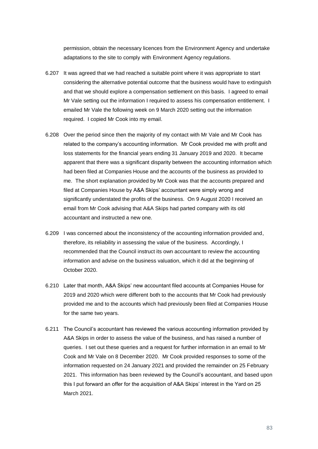permission, obtain the necessary licences from the Environment Agency and undertake adaptations to the site to comply with Environment Agency regulations.

- 6.207 It was agreed that we had reached a suitable point where it was appropriate to start considering the alternative potential outcome that the business would have to extinguish and that we should explore a compensation settlement on this basis. I agreed to email Mr Vale setting out the information I required to assess his compensation entitlement. I emailed Mr Vale the following week on 9 March 2020 setting out the information required. I copied Mr Cook into my email.
- 6.208 Over the period since then the majority of my contact with Mr Vale and Mr Cook has related to the company's accounting information. Mr Cook provided me with profit and loss statements for the financial years ending 31 January 2019 and 2020. It became apparent that there was a significant disparity between the accounting information which had been filed at Companies House and the accounts of the business as provided to me. The short explanation provided by Mr Cook was that the accounts prepared and filed at Companies House by A&A Skips' accountant were simply wrong and significantly understated the profits of the business. On 9 August 2020 I received an email from Mr Cook advising that A&A Skips had parted company with its old accountant and instructed a new one.
- 6.209 I was concerned about the inconsistency of the accounting information provided and, therefore, its reliability in assessing the value of the business. Accordingly, I recommended that the Council instruct its own accountant to review the accounting information and advise on the business valuation, which it did at the beginning of October 2020.
- 6.210 Later that month, A&A Skips' new accountant filed accounts at Companies House for 2019 and 2020 which were different both to the accounts that Mr Cook had previously provided me and to the accounts which had previously been filed at Companies House for the same two years.
- 6.211 The Council's accountant has reviewed the various accounting information provided by A&A Skips in order to assess the value of the business, and has raised a number of queries. I set out these queries and a request for further information in an email to Mr Cook and Mr Vale on 8 December 2020. Mr Cook provided responses to some of the information requested on 24 January 2021 and provided the remainder on 25 February 2021. This information has been reviewed by the Council's accountant, and based upon this I put forward an offer for the acquisition of A&A Skips' interest in the Yard on 25 March 2021.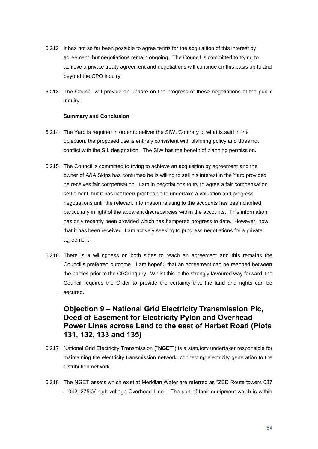- 6.212 It has not so far been possible to agree terms for the acquisition of this interest by agreement, but negotiations remain ongoing. The Council is committed to trying to achieve a private treaty agreement and negotiations will continue on this basis up to and beyond the CPO inquiry.
- 6.213 The Council will provide an update on the progress of these negotiations at the public inquiry.

### **Summary and Conclusion**

- 6.214 The Yard is required in order to deliver the SIW. Contrary to what is said in the objection, the proposed use is entirely consistent with planning policy and does not conflict with the SIL designation. The SIW has the benefit of planning permission.
- 6.215 The Council is committed to trying to achieve an acquisition by agreement and the owner of A&A Skips has confirmed he is willing to sell his interest in the Yard provided he receives fair compensation. I am in negotiations to try to agree a fair compensation settlement, but it has not been practicable to undertake a valuation and progress negotiations until the relevant information relating to the accounts has been clarified, particularly in light of the apparent discrepancies within the accounts. This information has only recently been provided which has hampered progress to date. However, now that it has been received, I am actively seeking to progress negotiations for a private agreement.
- 6.216 There is a willingness on both sides to reach an agreement and this remains the Council's preferred outcome. I am hopeful that an agreement can be reached between the parties prior to the CPO inquiry. Whilst this is the strongly favoured way forward, the Council requires the Order to provide the certainty that the land and rights can be secured.

## **Objection 9 – National Grid Electricity Transmission Plc, Deed of Easement for Electricity Pylon and Overhead Power Lines across Land to the east of Harbet Road (Plots 131, 132, 133 and 135)**

- 6.217 National Grid Electricity Transmission ("**NGET**") is a statutory undertaker responsible for maintaining the electricity transmission network, connecting electricity generation to the distribution network.
- 6.218 The NGET assets which exist at Meridian Water are referred as "ZBD Route towers 037 – 042. 275kV high voltage Overhead Line". The part of their equipment which is within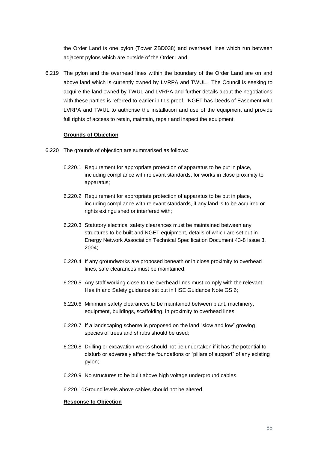the Order Land is one pylon (Tower ZBD038) and overhead lines which run between adjacent pylons which are outside of the Order Land.

6.219 The pylon and the overhead lines within the boundary of the Order Land are on and above land which is currently owned by LVRPA and TWUL. The Council is seeking to acquire the land owned by TWUL and LVRPA and further details about the negotiations with these parties is referred to earlier in this proof. NGET has Deeds of Easement with LVRPA and TWUL to authorise the installation and use of the equipment and provide full rights of access to retain, maintain, repair and inspect the equipment.

### **Grounds of Objection**

- 6.220 The grounds of objection are summarised as follows:
	- 6.220.1 Requirement for appropriate protection of apparatus to be put in place, including compliance with relevant standards, for works in close proximity to apparatus;
	- 6.220.2 Requirement for appropriate protection of apparatus to be put in place, including compliance with relevant standards, if any land is to be acquired or rights extinguished or interfered with;
	- 6.220.3 Statutory electrical safety clearances must be maintained between any structures to be built and NGET equipment, details of which are set out in Energy Network Association Technical Specification Document 43-8 Issue 3, 2004;
	- 6.220.4 If any groundworks are proposed beneath or in close proximity to overhead lines, safe clearances must be maintained;
	- 6.220.5 Any staff working close to the overhead lines must comply with the relevant Health and Safety guidance set out in HSE Guidance Note GS 6;
	- 6.220.6 Minimum safety clearances to be maintained between plant, machinery, equipment, buildings, scaffolding, in proximity to overhead lines;
	- 6.220.7 If a landscaping scheme is proposed on the land "slow and low" growing species of trees and shrubs should be used;
	- 6.220.8 Drilling or excavation works should not be undertaken if it has the potential to disturb or adversely affect the foundations or "pillars of support" of any existing pylon;
	- 6.220.9 No structures to be built above high voltage underground cables.

6.220.10Ground levels above cables should not be altered.

### **Response to Objection**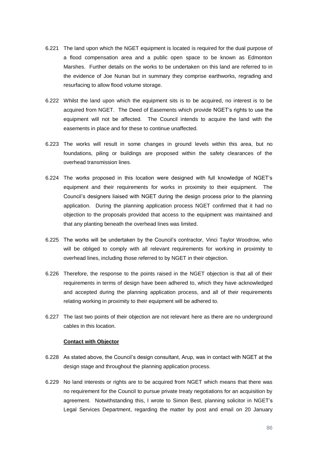- 6.221 The land upon which the NGET equipment is located is required for the dual purpose of a flood compensation area and a public open space to be known as Edmonton Marshes. Further details on the works to be undertaken on this land are referred to in the evidence of Joe Nunan but in summary they comprise earthworks, regrading and resurfacing to allow flood volume storage.
- 6.222 Whilst the land upon which the equipment sits is to be acquired, no interest is to be acquired from NGET. The Deed of Easements which provide NGET's rights to use the equipment will not be affected. The Council intends to acquire the land with the easements in place and for these to continue unaffected.
- 6.223 The works will result in some changes in ground levels within this area, but no foundations, piling or buildings are proposed within the safety clearances of the overhead transmission lines.
- 6.224 The works proposed in this location were designed with full knowledge of NGET's equipment and their requirements for works in proximity to their equipment. The Council's designers liaised with NGET during the design process prior to the planning application. During the planning application process NGET confirmed that it had no objection to the proposals provided that access to the equipment was maintained and that any planting beneath the overhead lines was limited.
- 6.225 The works will be undertaken by the Council's contractor, Vinci Taylor Woodrow, who will be obliged to comply with all relevant requirements for working in proximity to overhead lines, including those referred to by NGET in their objection.
- 6.226 Therefore, the response to the points raised in the NGET objection is that all of their requirements in terms of design have been adhered to, which they have acknowledged and accepted during the planning application process, and all of their requirements relating working in proximity to their equipment will be adhered to.
- 6.227 The last two points of their objection are not relevant here as there are no underground cables in this location.

### **Contact with Objector**

- 6.228 As stated above, the Council's design consultant, Arup, was in contact with NGET at the design stage and throughout the planning application process.
- 6.229 No land interests or rights are to be acquired from NGET which means that there was no requirement for the Council to pursue private treaty negotiations for an acquisition by agreement. Notwithstanding this, I wrote to Simon Best, planning solicitor in NGET's Legal Services Department, regarding the matter by post and email on 20 January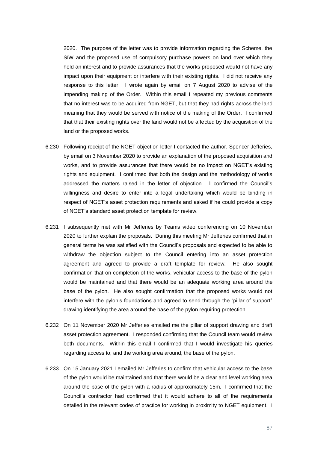2020. The purpose of the letter was to provide information regarding the Scheme, the SIW and the proposed use of compulsory purchase powers on land over which they held an interest and to provide assurances that the works proposed would not have any impact upon their equipment or interfere with their existing rights. I did not receive any response to this letter. I wrote again by email on 7 August 2020 to advise of the impending making of the Order. Within this email I repeated my previous comments that no interest was to be acquired from NGET, but that they had rights across the land meaning that they would be served with notice of the making of the Order. I confirmed that that their existing rights over the land would not be affected by the acquisition of the land or the proposed works.

- 6.230 Following receipt of the NGET objection letter I contacted the author, Spencer Jefferies, by email on 3 November 2020 to provide an explanation of the proposed acquisition and works, and to provide assurances that there would be no impact on NGET's existing rights and equipment. I confirmed that both the design and the methodology of works addressed the matters raised in the letter of objection. I confirmed the Council's willingness and desire to enter into a legal undertaking which would be binding in respect of NGET's asset protection requirements and asked if he could provide a copy of NGET's standard asset protection template for review.
- 6.231 I subsequently met with Mr Jefferies by Teams video conferencing on 10 November 2020 to further explain the proposals. During this meeting Mr Jefferies confirmed that in general terms he was satisfied with the Council's proposals and expected to be able to withdraw the objection subject to the Council entering into an asset protection agreement and agreed to provide a draft template for review. He also sought confirmation that on completion of the works, vehicular access to the base of the pylon would be maintained and that there would be an adequate working area around the base of the pylon. He also sought confirmation that the proposed works would not interfere with the pylon's foundations and agreed to send through the "pillar of support" drawing identifying the area around the base of the pylon requiring protection.
- 6.232 On 11 November 2020 Mr Jefferies emailed me the pillar of support drawing and draft asset protection agreement. I responded confirming that the Council team would review both documents. Within this email I confirmed that I would investigate his queries regarding access to, and the working area around, the base of the pylon.
- 6.233 On 15 January 2021 I emailed Mr Jefferies to confirm that vehicular access to the base of the pylon would be maintained and that there would be a clear and level working area around the base of the pylon with a radius of approximately 15m. I confirmed that the Council's contractor had confirmed that it would adhere to all of the requirements detailed in the relevant codes of practice for working in proximity to NGET equipment. I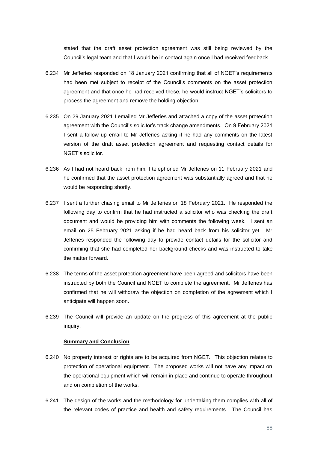stated that the draft asset protection agreement was still being reviewed by the Council's legal team and that I would be in contact again once I had received feedback.

- 6.234 Mr Jefferies responded on 18 January 2021 confirming that all of NGET's requirements had been met subject to receipt of the Council's comments on the asset protection agreement and that once he had received these, he would instruct NGET's solicitors to process the agreement and remove the holding objection.
- 6.235 On 29 January 2021 I emailed Mr Jefferies and attached a copy of the asset protection agreement with the Council's solicitor's track change amendments. On 9 February 2021 I sent a follow up email to Mr Jefferies asking if he had any comments on the latest version of the draft asset protection agreement and requesting contact details for NGET's solicitor.
- 6.236 As I had not heard back from him, I telephoned Mr Jefferies on 11 February 2021 and he confirmed that the asset protection agreement was substantially agreed and that he would be responding shortly.
- 6.237 I sent a further chasing email to Mr Jefferies on 18 February 2021. He responded the following day to confirm that he had instructed a solicitor who was checking the draft document and would be providing him with comments the following week. I sent an email on 25 February 2021 asking if he had heard back from his solicitor yet. Mr Jefferies responded the following day to provide contact details for the solicitor and confirming that she had completed her background checks and was instructed to take the matter forward.
- 6.238 The terms of the asset protection agreement have been agreed and solicitors have been instructed by both the Council and NGET to complete the agreement. Mr Jefferies has confirmed that he will withdraw the objection on completion of the agreement which I anticipate will happen soon.
- 6.239 The Council will provide an update on the progress of this agreement at the public inquiry.

### **Summary and Conclusion**

- 6.240 No property interest or rights are to be acquired from NGET. This objection relates to protection of operational equipment. The proposed works will not have any impact on the operational equipment which will remain in place and continue to operate throughout and on completion of the works.
- 6.241 The design of the works and the methodology for undertaking them complies with all of the relevant codes of practice and health and safety requirements. The Council has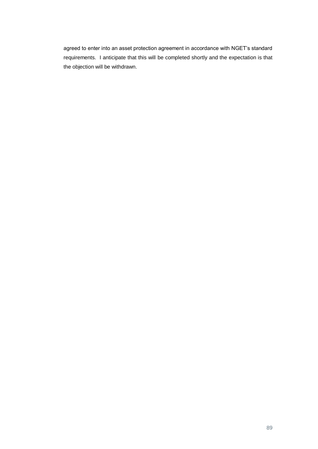agreed to enter into an asset protection agreement in accordance with NGET's standard requirements. I anticipate that this will be completed shortly and the expectation is that the objection will be withdrawn.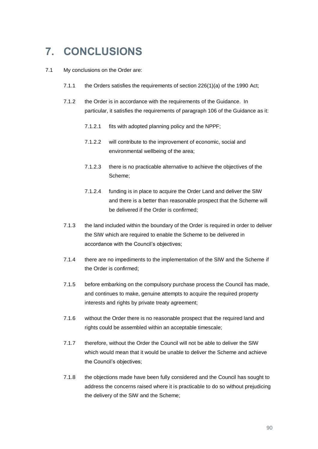# **7. CONCLUSIONS**

### 7.1 My conclusions on the Order are:

- 7.1.1 the Orders satisfies the requirements of section 226(1)(a) of the 1990 Act;
- 7.1.2 the Order is in accordance with the requirements of the Guidance. In particular, it satisfies the requirements of paragraph 106 of the Guidance as it:
	- 7.1.2.1 fits with adopted planning policy and the NPPF;
	- 7.1.2.2 will contribute to the improvement of economic, social and environmental wellbeing of the area;
	- 7.1.2.3 there is no practicable alternative to achieve the objectives of the Scheme;
	- 7.1.2.4 funding is in place to acquire the Order Land and deliver the SIW and there is a better than reasonable prospect that the Scheme will be delivered if the Order is confirmed;
- 7.1.3 the land included within the boundary of the Order is required in order to deliver the SIW which are required to enable the Scheme to be delivered in accordance with the Council's objectives;
- 7.1.4 there are no impediments to the implementation of the SIW and the Scheme if the Order is confirmed;
- 7.1.5 before embarking on the compulsory purchase process the Council has made, and continues to make, genuine attempts to acquire the required property interests and rights by private treaty agreement;
- 7.1.6 without the Order there is no reasonable prospect that the required land and rights could be assembled within an acceptable timescale;
- 7.1.7 therefore, without the Order the Council will not be able to deliver the SIW which would mean that it would be unable to deliver the Scheme and achieve the Council's objectives;
- 7.1.8 the objections made have been fully considered and the Council has sought to address the concerns raised where it is practicable to do so without prejudicing the delivery of the SIW and the Scheme;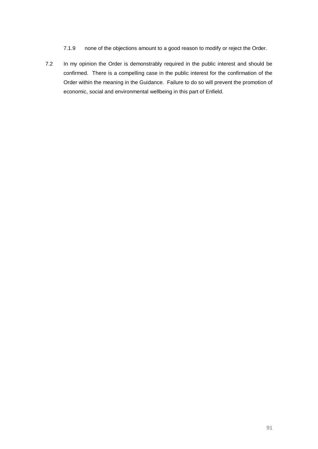- 7.1.9 none of the objections amount to a good reason to modify or reject the Order.
- 7.2 In my opinion the Order is demonstrably required in the public interest and should be confirmed. There is a compelling case in the public interest for the confirmation of the Order within the meaning in the Guidance. Failure to do so will prevent the promotion of economic, social and environmental wellbeing in this part of Enfield.